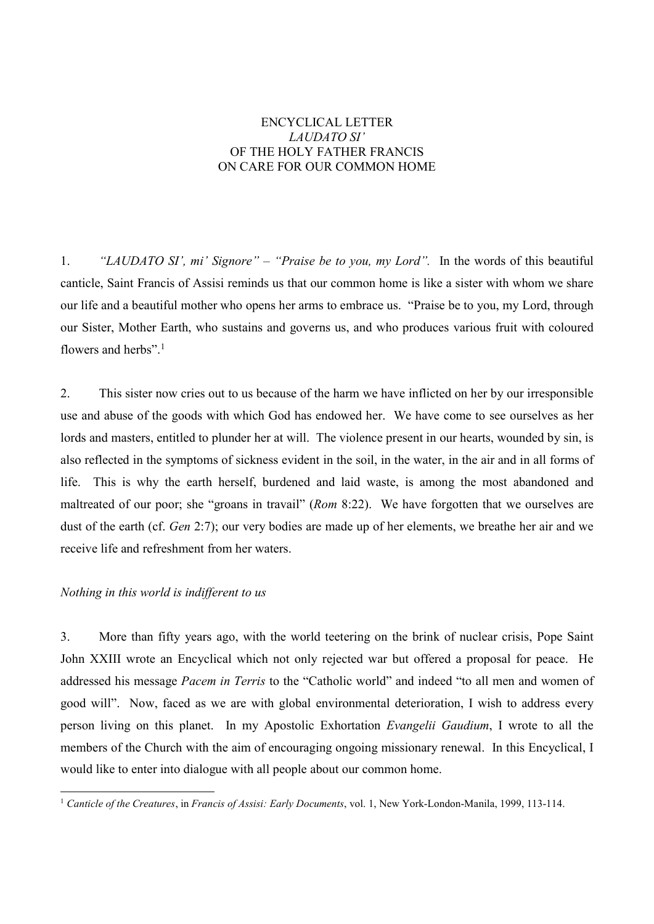# ENCYCLICAL LETTER *LAUDATO SI'* OF THE HOLY FATHER FRANCIS ON CARE FOR OUR COMMON HOME

1. *"LAUDATO SI', mi' Signore" – "Praise be to you, my Lord".* In the words of this beautiful canticle, Saint Francis of Assisi reminds us that our common home is like a sister with whom we share our life and a beautiful mother who opens her arms to embrace us. "Praise be to you, my Lord, through our Sister, Mother Earth, who sustains and governs us, and who produces various fruit with coloured flowers and herbs".1

2. This sister now cries out to us because of the harm we have inflicted on her by our irresponsible use and abuse of the goods with which God has endowed her. We have come to see ourselves as her lords and masters, entitled to plunder her at will. The violence present in our hearts, wounded by sin, is also reflected in the symptoms of sickness evident in the soil, in the water, in the air and in all forms of life. This is why the earth herself, burdened and laid waste, is among the most abandoned and maltreated of our poor; she "groans in travail" (*Rom* 8:22). We have forgotten that we ourselves are dust of the earth (cf. *Gen* 2:7); our very bodies are made up of her elements, we breathe her air and we receive life and refreshment from her waters.

# *Nothing in this world is indifferent to us*

3. More than fifty years ago, with the world teetering on the brink of nuclear crisis, Pope Saint John XXIII wrote an Encyclical which not only rejected war but offered a proposal for peace. He addressed his message *Pacem in Terris* to the "Catholic world" and indeed "to all men and women of good will". Now, faced as we are with global environmental deterioration, I wish to address every person living on this planet. In my Apostolic Exhortation *Evangelii Gaudium*, I wrote to all the members of the Church with the aim of encouraging ongoing missionary renewal. In this Encyclical, I would like to enter into dialogue with all people about our common home.

 <sup>1</sup> *Canticle of the Creatures*, in *Francis of Assisi: Early Documents*, vol. 1, New York-London-Manila, 1999, 113-114.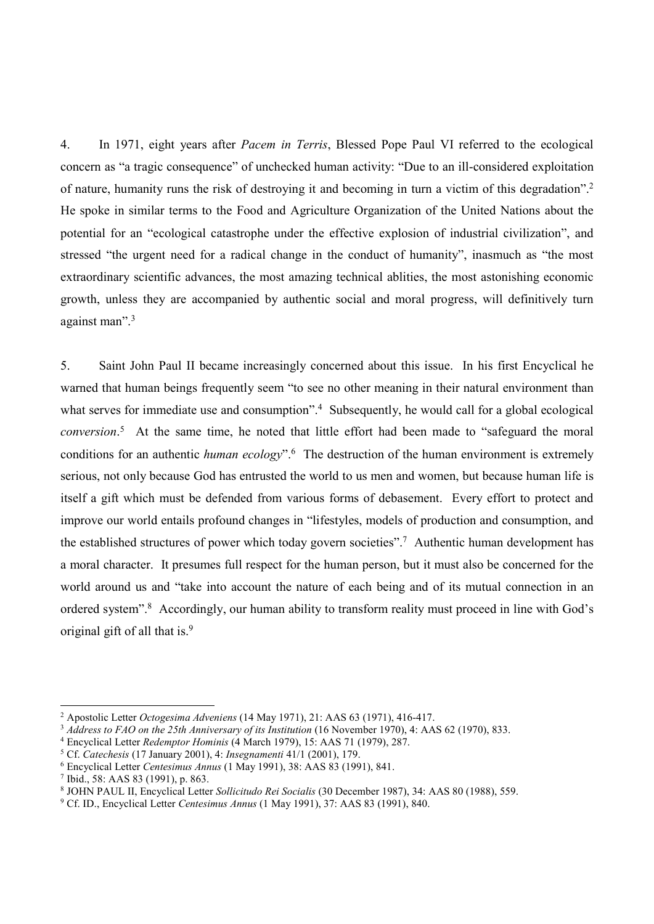4. In 1971, eight years after *Pacem in Terris*, Blessed Pope Paul VI referred to the ecological concern as "a tragic consequence" of unchecked human activity: "Due to an ill-considered exploitation of nature, humanity runs the risk of destroying it and becoming in turn a victim of this degradation".2 He spoke in similar terms to the Food and Agriculture Organization of the United Nations about the potential for an "ecological catastrophe under the effective explosion of industrial civilization", and stressed "the urgent need for a radical change in the conduct of humanity", inasmuch as "the most extraordinary scientific advances, the most amazing technical ablities, the most astonishing economic growth, unless they are accompanied by authentic social and moral progress, will definitively turn against man".3

5. Saint John Paul II became increasingly concerned about this issue. In his first Encyclical he warned that human beings frequently seem "to see no other meaning in their natural environment than what serves for immediate use and consumption".<sup>4</sup> Subsequently, he would call for a global ecological *conversion*. 5 At the same time, he noted that little effort had been made to "safeguard the moral conditions for an authentic *human ecology*".6 The destruction of the human environment is extremely serious, not only because God has entrusted the world to us men and women, but because human life is itself a gift which must be defended from various forms of debasement. Every effort to protect and improve our world entails profound changes in "lifestyles, models of production and consumption, and the established structures of power which today govern societies".7 Authentic human development has a moral character. It presumes full respect for the human person, but it must also be concerned for the world around us and "take into account the nature of each being and of its mutual connection in an ordered system".8 Accordingly, our human ability to transform reality must proceed in line with God's original gift of all that is.9

 <sup>2</sup> Apostolic Letter *Octogesima Adveniens* (14 May 1971), 21: AAS 63 (1971), 416-417.

<sup>3</sup> *Address to FAO on the 25th Anniversary of its Institution* (16 November 1970), 4: AAS 62 (1970), 833.

<sup>4</sup> Encyclical Letter *Redemptor Hominis* (4 March 1979), 15: AAS 71 (1979), 287.

<sup>5</sup> Cf. *Catechesis* (17 January 2001), 4: *Insegnamenti* 41/1 (2001), 179.

<sup>6</sup> Encyclical Letter *Centesimus Annus* (1 May 1991), 38: AAS 83 (1991), 841.

<sup>7</sup> Ibid., 58: AAS 83 (1991), p. 863.

<sup>8</sup> JOHN PAUL II, Encyclical Letter *Sollicitudo Rei Socialis* (30 December 1987), 34: AAS 80 (1988), 559.

<sup>9</sup> Cf. ID., Encyclical Letter *Centesimus Annus* (1 May 1991), 37: AAS 83 (1991), 840.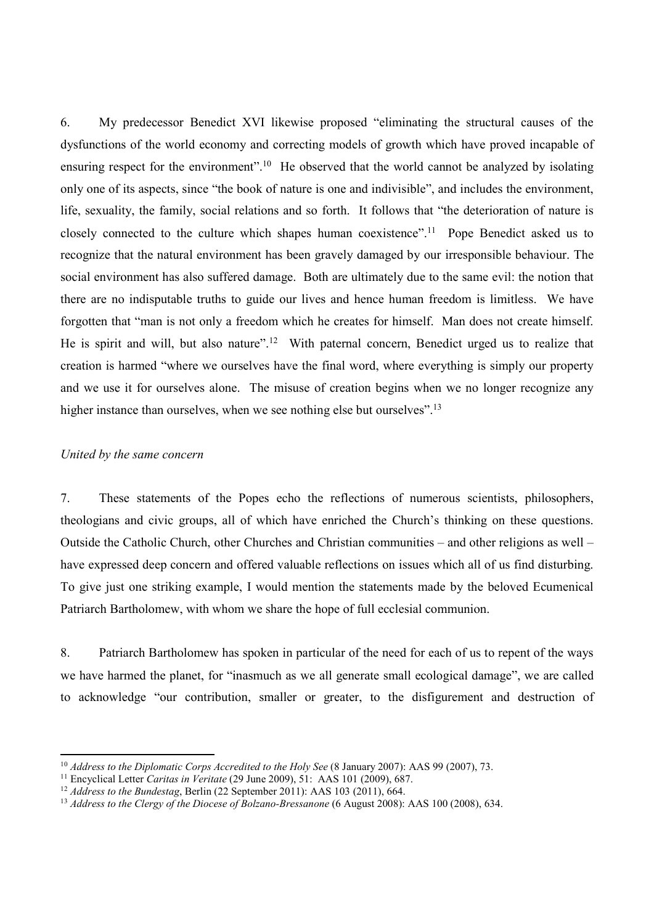6. My predecessor Benedict XVI likewise proposed "eliminating the structural causes of the dysfunctions of the world economy and correcting models of growth which have proved incapable of ensuring respect for the environment".<sup>10</sup> He observed that the world cannot be analyzed by isolating only one of its aspects, since "the book of nature is one and indivisible", and includes the environment, life, sexuality, the family, social relations and so forth. It follows that "the deterioration of nature is closely connected to the culture which shapes human coexistence".11 Pope Benedict asked us to recognize that the natural environment has been gravely damaged by our irresponsible behaviour. The social environment has also suffered damage. Both are ultimately due to the same evil: the notion that there are no indisputable truths to guide our lives and hence human freedom is limitless. We have forgotten that "man is not only a freedom which he creates for himself. Man does not create himself. He is spirit and will, but also nature".<sup>12</sup> With paternal concern, Benedict urged us to realize that creation is harmed "where we ourselves have the final word, where everything is simply our property and we use it for ourselves alone. The misuse of creation begins when we no longer recognize any higher instance than ourselves, when we see nothing else but ourselves".<sup>13</sup>

### *United by the same concern*

7. These statements of the Popes echo the reflections of numerous scientists, philosophers, theologians and civic groups, all of which have enriched the Church's thinking on these questions. Outside the Catholic Church, other Churches and Christian communities – and other religions as well – have expressed deep concern and offered valuable reflections on issues which all of us find disturbing. To give just one striking example, I would mention the statements made by the beloved Ecumenical Patriarch Bartholomew, with whom we share the hope of full ecclesial communion.

8. Patriarch Bartholomew has spoken in particular of the need for each of us to repent of the ways we have harmed the planet, for "inasmuch as we all generate small ecological damage", we are called to acknowledge "our contribution, smaller or greater, to the disfigurement and destruction of

 <sup>10</sup> *Address to the Diplomatic Corps Accredited to the Holy See* (8 January 2007): AAS 99 (2007), 73.

<sup>11</sup> Encyclical Letter *Caritas in Veritate* (29 June 2009), 51: AAS 101 (2009), 687.

<sup>12</sup> *Address to the Bundestag*, Berlin (22 September 2011): AAS 103 (2011), 664.

<sup>&</sup>lt;sup>13</sup> *Address to the Clergy of the Diocese of Bolzano-Bressanone* (6 August 2008): AAS 100 (2008), 634.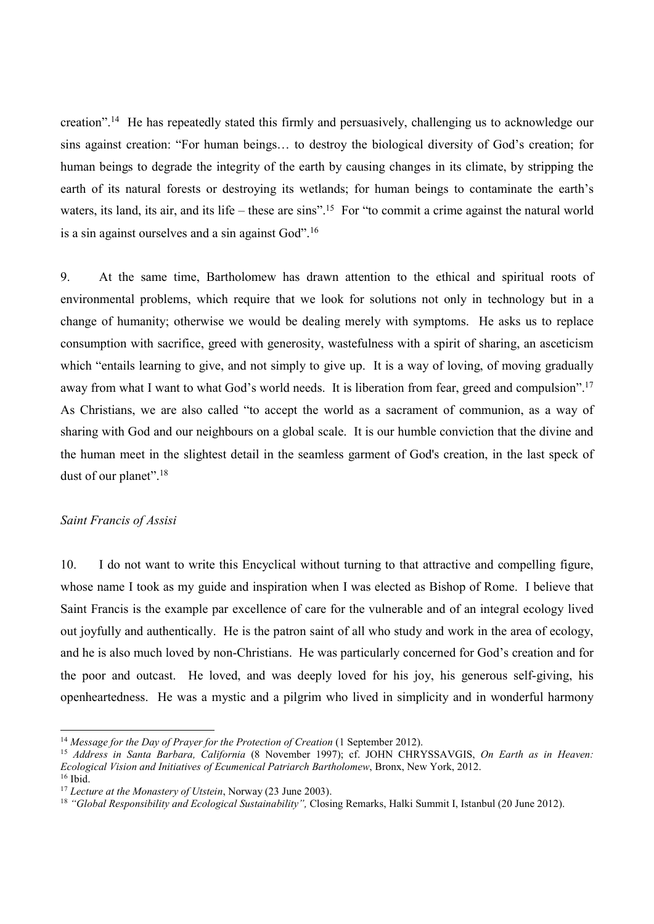creation".14 He has repeatedly stated this firmly and persuasively, challenging us to acknowledge our sins against creation: "For human beings… to destroy the biological diversity of God's creation; for human beings to degrade the integrity of the earth by causing changes in its climate, by stripping the earth of its natural forests or destroying its wetlands; for human beings to contaminate the earth's waters, its land, its air, and its life – these are sins".<sup>15</sup> For "to commit a crime against the natural world is a sin against ourselves and a sin against God".16

9. At the same time, Bartholomew has drawn attention to the ethical and spiritual roots of environmental problems, which require that we look for solutions not only in technology but in a change of humanity; otherwise we would be dealing merely with symptoms. He asks us to replace consumption with sacrifice, greed with generosity, wastefulness with a spirit of sharing, an asceticism which "entails learning to give, and not simply to give up. It is a way of loving, of moving gradually away from what I want to what God's world needs. It is liberation from fear, greed and compulsion".17 As Christians, we are also called "to accept the world as a sacrament of communion, as a way of sharing with God and our neighbours on a global scale. It is our humble conviction that the divine and the human meet in the slightest detail in the seamless garment of God's creation, in the last speck of dust of our planet".18

#### *Saint Francis of Assisi*

10. I do not want to write this Encyclical without turning to that attractive and compelling figure, whose name I took as my guide and inspiration when I was elected as Bishop of Rome. I believe that Saint Francis is the example par excellence of care for the vulnerable and of an integral ecology lived out joyfully and authentically. He is the patron saint of all who study and work in the area of ecology, and he is also much loved by non-Christians. He was particularly concerned for God's creation and for the poor and outcast. He loved, and was deeply loved for his joy, his generous self-giving, his openheartedness. He was a mystic and a pilgrim who lived in simplicity and in wonderful harmony

<sup>&</sup>lt;sup>14</sup> Message for the Day of Prayer for the Protection of Creation (1 September 2012).

<sup>15</sup> *Address in Santa Barbara, California* (8 November 1997); cf. JOHN CHRYSSAVGIS, *On Earth as in Heaven: Ecological Vision and Initiatives of Ecumenical Patriarch Bartholomew*, Bronx, New York, 2012.

 $16$  Ibid.

<sup>17</sup> *Lecture at the Monastery of Utstein*, Norway (23 June 2003).

<sup>&</sup>lt;sup>18</sup> "Global Responsibility and Ecological Sustainability", Closing Remarks, Halki Summit I, Istanbul (20 June 2012).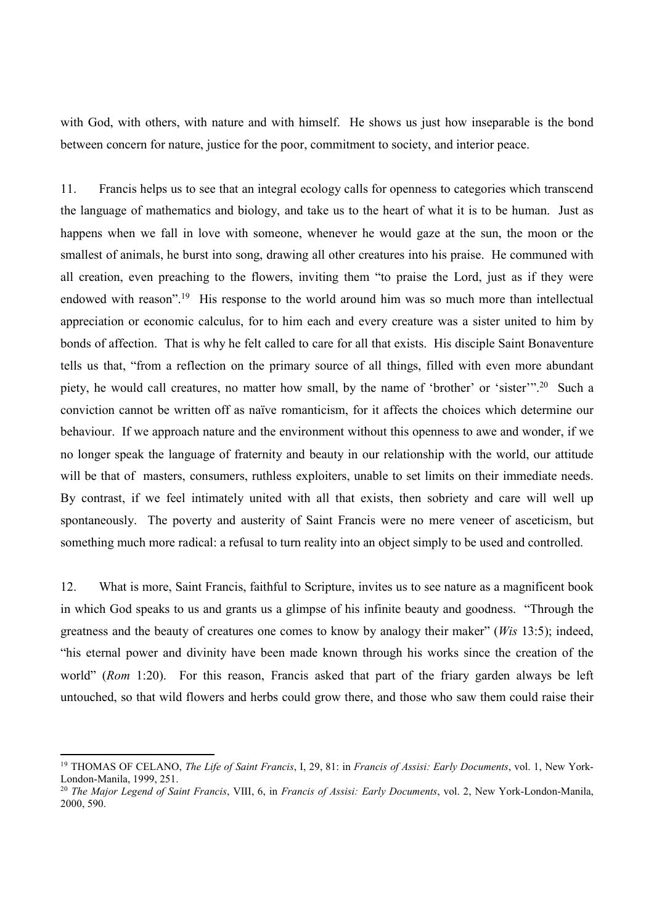with God, with others, with nature and with himself. He shows us just how inseparable is the bond between concern for nature, justice for the poor, commitment to society, and interior peace.

11. Francis helps us to see that an integral ecology calls for openness to categories which transcend the language of mathematics and biology, and take us to the heart of what it is to be human. Just as happens when we fall in love with someone, whenever he would gaze at the sun, the moon or the smallest of animals, he burst into song, drawing all other creatures into his praise. He communed with all creation, even preaching to the flowers, inviting them "to praise the Lord, just as if they were endowed with reason".<sup>19</sup> His response to the world around him was so much more than intellectual appreciation or economic calculus, for to him each and every creature was a sister united to him by bonds of affection. That is why he felt called to care for all that exists. His disciple Saint Bonaventure tells us that, "from a reflection on the primary source of all things, filled with even more abundant piety, he would call creatures, no matter how small, by the name of 'brother' or 'sister'".20 Such a conviction cannot be written off as naïve romanticism, for it affects the choices which determine our behaviour. If we approach nature and the environment without this openness to awe and wonder, if we no longer speak the language of fraternity and beauty in our relationship with the world, our attitude will be that of masters, consumers, ruthless exploiters, unable to set limits on their immediate needs. By contrast, if we feel intimately united with all that exists, then sobriety and care will well up spontaneously. The poverty and austerity of Saint Francis were no mere veneer of asceticism, but something much more radical: a refusal to turn reality into an object simply to be used and controlled.

12. What is more, Saint Francis, faithful to Scripture, invites us to see nature as a magnificent book in which God speaks to us and grants us a glimpse of his infinite beauty and goodness. "Through the greatness and the beauty of creatures one comes to know by analogy their maker" (*Wis* 13:5); indeed, "his eternal power and divinity have been made known through his works since the creation of the world" (*Rom* 1:20). For this reason, Francis asked that part of the friary garden always be left untouched, so that wild flowers and herbs could grow there, and those who saw them could raise their

 <sup>19</sup> THOMAS OF CELANO, *The Life of Saint Francis*, I, 29, 81: in *Francis of Assisi: Early Documents*, vol. 1, New York-London-Manila, 1999, 251.

<sup>20</sup> *The Major Legend of Saint Francis*, VIII, 6, in *Francis of Assisi: Early Documents*, vol. 2, New York-London-Manila, 2000, 590.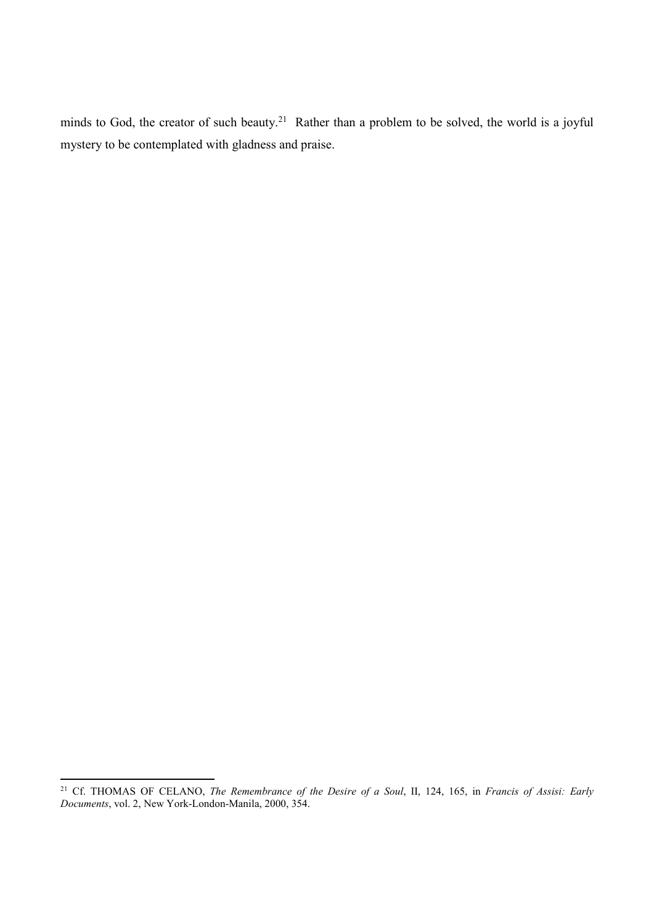minds to God, the creator of such beauty.<sup>21</sup> Rather than a problem to be solved, the world is a joyful mystery to be contemplated with gladness and praise.

 <sup>21</sup> Cf. THOMAS OF CELANO, *The Remembrance of the Desire of a Soul*, II, 124, 165, in *Francis of Assisi: Early Documents*, vol. 2, New York-London-Manila, 2000, 354.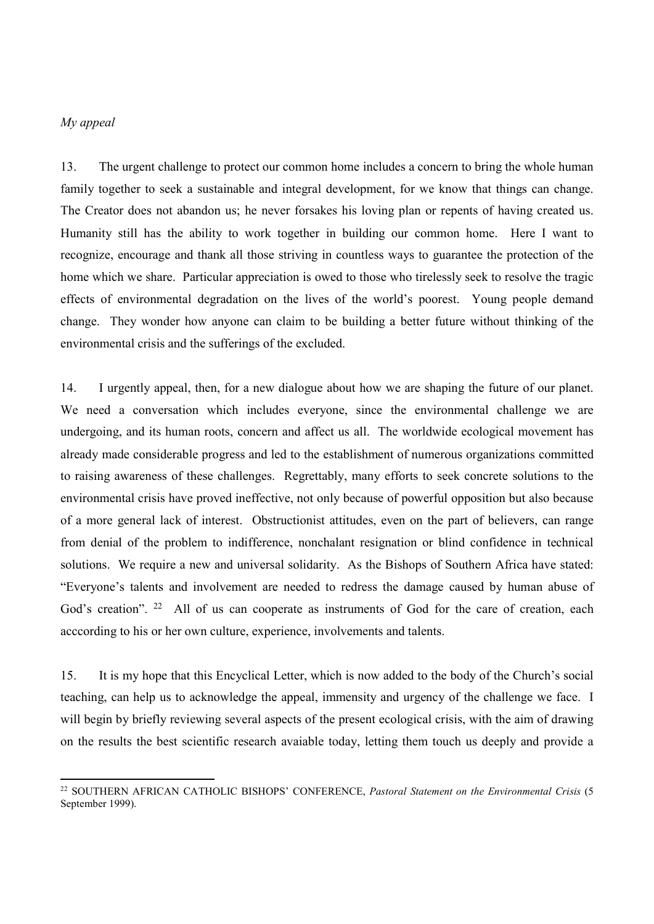#### *My appeal*

13. The urgent challenge to protect our common home includes a concern to bring the whole human family together to seek a sustainable and integral development, for we know that things can change. The Creator does not abandon us; he never forsakes his loving plan or repents of having created us. Humanity still has the ability to work together in building our common home. Here I want to recognize, encourage and thank all those striving in countless ways to guarantee the protection of the home which we share. Particular appreciation is owed to those who tirelessly seek to resolve the tragic effects of environmental degradation on the lives of the world's poorest. Young people demand change. They wonder how anyone can claim to be building a better future without thinking of the environmental crisis and the sufferings of the excluded.

14. I urgently appeal, then, for a new dialogue about how we are shaping the future of our planet. We need a conversation which includes everyone, since the environmental challenge we are undergoing, and its human roots, concern and affect us all. The worldwide ecological movement has already made considerable progress and led to the establishment of numerous organizations committed to raising awareness of these challenges. Regrettably, many efforts to seek concrete solutions to the environmental crisis have proved ineffective, not only because of powerful opposition but also because of a more general lack of interest. Obstructionist attitudes, even on the part of believers, can range from denial of the problem to indifference, nonchalant resignation or blind confidence in technical solutions. We require a new and universal solidarity. As the Bishops of Southern Africa have stated: "Everyone's talents and involvement are needed to redress the damage caused by human abuse of God's creation". <sup>22</sup> All of us can cooperate as instruments of God for the care of creation, each acccording to his or her own culture, experience, involvements and talents.

15. It is my hope that this Encyclical Letter, which is now added to the body of the Church's social teaching, can help us to acknowledge the appeal, immensity and urgency of the challenge we face. I will begin by briefly reviewing several aspects of the present ecological crisis, with the aim of drawing on the results the best scientific research avaiable today, letting them touch us deeply and provide a

 <sup>22</sup> SOUTHERN AFRICAN CATHOLIC BISHOPS' CONFERENCE, *Pastoral Statement on the Environmental Crisis* (5 September 1999).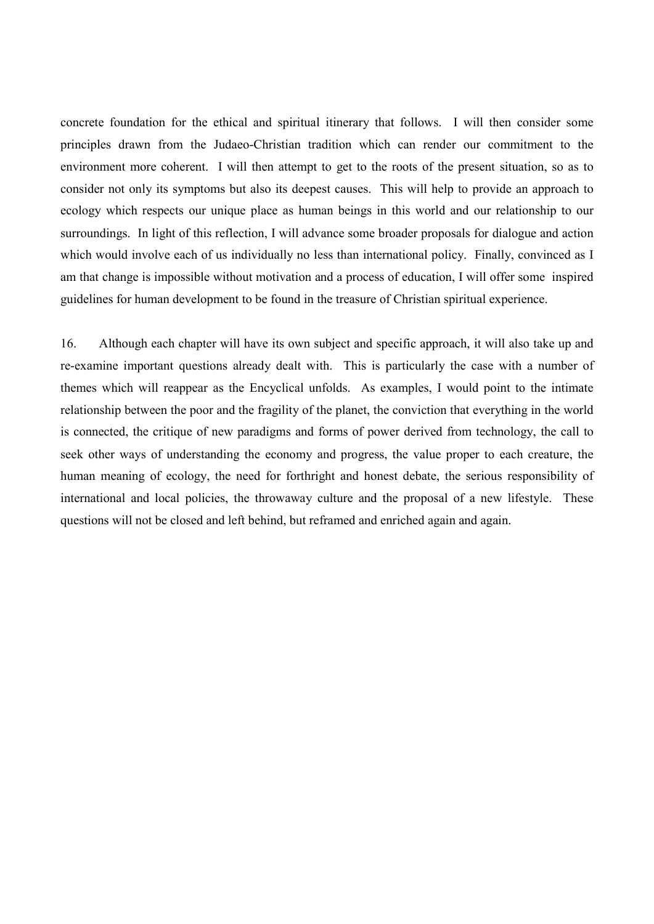concrete foundation for the ethical and spiritual itinerary that follows. I will then consider some principles drawn from the Judaeo-Christian tradition which can render our commitment to the environment more coherent. I will then attempt to get to the roots of the present situation, so as to consider not only its symptoms but also its deepest causes. This will help to provide an approach to ecology which respects our unique place as human beings in this world and our relationship to our surroundings. In light of this reflection, I will advance some broader proposals for dialogue and action which would involve each of us individually no less than international policy. Finally, convinced as I am that change is impossible without motivation and a process of education, I will offer some inspired guidelines for human development to be found in the treasure of Christian spiritual experience.

16. Although each chapter will have its own subject and specific approach, it will also take up and re-examine important questions already dealt with. This is particularly the case with a number of themes which will reappear as the Encyclical unfolds. As examples, I would point to the intimate relationship between the poor and the fragility of the planet, the conviction that everything in the world is connected, the critique of new paradigms and forms of power derived from technology, the call to seek other ways of understanding the economy and progress, the value proper to each creature, the human meaning of ecology, the need for forthright and honest debate, the serious responsibility of international and local policies, the throwaway culture and the proposal of a new lifestyle. These questions will not be closed and left behind, but reframed and enriched again and again.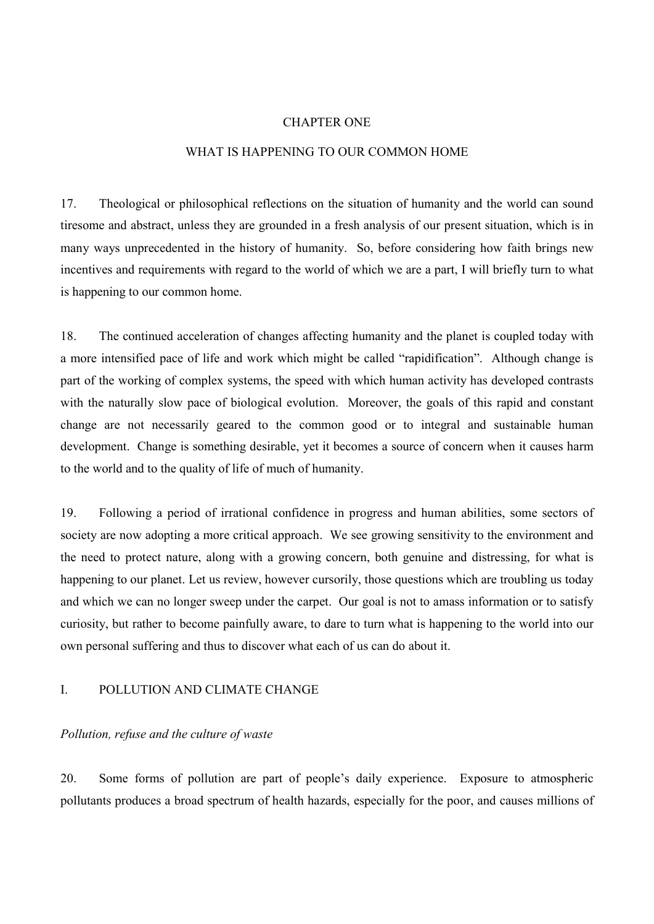#### CHAPTER ONE

### WHAT IS HAPPENING TO OUR COMMON HOME

17. Theological or philosophical reflections on the situation of humanity and the world can sound tiresome and abstract, unless they are grounded in a fresh analysis of our present situation, which is in many ways unprecedented in the history of humanity. So, before considering how faith brings new incentives and requirements with regard to the world of which we are a part, I will briefly turn to what is happening to our common home.

18. The continued acceleration of changes affecting humanity and the planet is coupled today with a more intensified pace of life and work which might be called "rapidification". Although change is part of the working of complex systems, the speed with which human activity has developed contrasts with the naturally slow pace of biological evolution. Moreover, the goals of this rapid and constant change are not necessarily geared to the common good or to integral and sustainable human development. Change is something desirable, yet it becomes a source of concern when it causes harm to the world and to the quality of life of much of humanity.

19. Following a period of irrational confidence in progress and human abilities, some sectors of society are now adopting a more critical approach. We see growing sensitivity to the environment and the need to protect nature, along with a growing concern, both genuine and distressing, for what is happening to our planet. Let us review, however cursorily, those questions which are troubling us today and which we can no longer sweep under the carpet. Our goal is not to amass information or to satisfy curiosity, but rather to become painfully aware, to dare to turn what is happening to the world into our own personal suffering and thus to discover what each of us can do about it.

### I. POLLUTION AND CLIMATE CHANGE

#### *Pollution, refuse and the culture of waste*

20. Some forms of pollution are part of people's daily experience. Exposure to atmospheric pollutants produces a broad spectrum of health hazards, especially for the poor, and causes millions of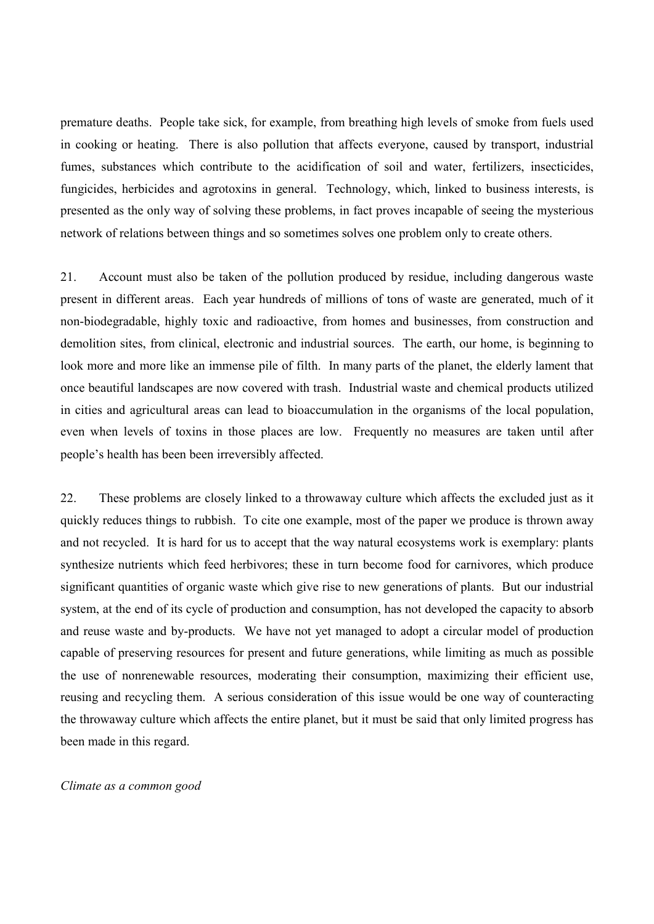premature deaths. People take sick, for example, from breathing high levels of smoke from fuels used in cooking or heating. There is also pollution that affects everyone, caused by transport, industrial fumes, substances which contribute to the acidification of soil and water, fertilizers, insecticides, fungicides, herbicides and agrotoxins in general. Technology, which, linked to business interests, is presented as the only way of solving these problems, in fact proves incapable of seeing the mysterious network of relations between things and so sometimes solves one problem only to create others.

21. Account must also be taken of the pollution produced by residue, including dangerous waste present in different areas. Each year hundreds of millions of tons of waste are generated, much of it non-biodegradable, highly toxic and radioactive, from homes and businesses, from construction and demolition sites, from clinical, electronic and industrial sources. The earth, our home, is beginning to look more and more like an immense pile of filth. In many parts of the planet, the elderly lament that once beautiful landscapes are now covered with trash. Industrial waste and chemical products utilized in cities and agricultural areas can lead to bioaccumulation in the organisms of the local population, even when levels of toxins in those places are low. Frequently no measures are taken until after people's health has been been irreversibly affected.

22. These problems are closely linked to a throwaway culture which affects the excluded just as it quickly reduces things to rubbish. To cite one example, most of the paper we produce is thrown away and not recycled. It is hard for us to accept that the way natural ecosystems work is exemplary: plants synthesize nutrients which feed herbivores; these in turn become food for carnivores, which produce significant quantities of organic waste which give rise to new generations of plants. But our industrial system, at the end of its cycle of production and consumption, has not developed the capacity to absorb and reuse waste and by-products. We have not yet managed to adopt a circular model of production capable of preserving resources for present and future generations, while limiting as much as possible the use of nonrenewable resources, moderating their consumption, maximizing their efficient use, reusing and recycling them. A serious consideration of this issue would be one way of counteracting the throwaway culture which affects the entire planet, but it must be said that only limited progress has been made in this regard.

#### *Climate as a common good*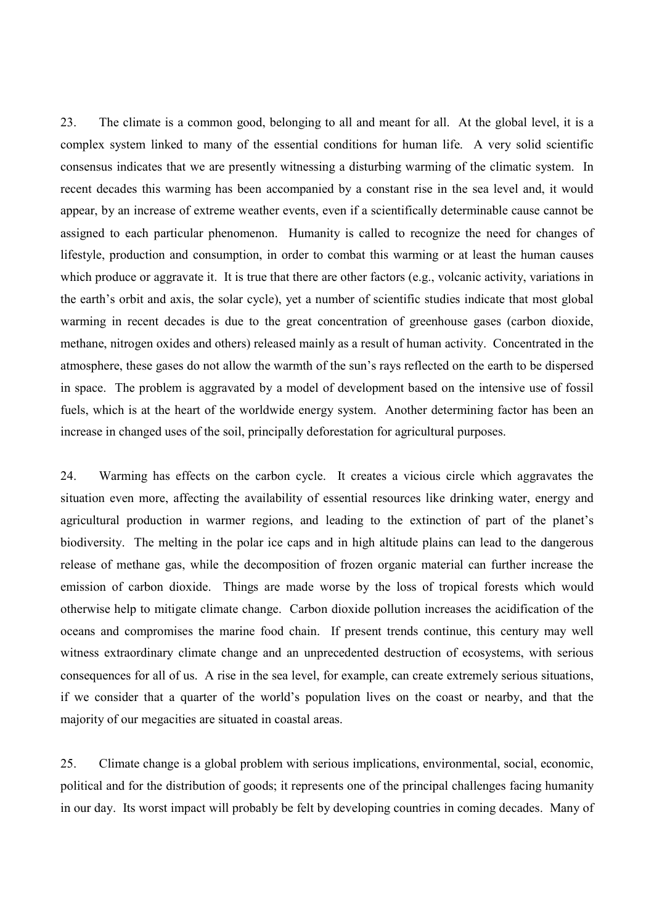23. The climate is a common good, belonging to all and meant for all. At the global level, it is a complex system linked to many of the essential conditions for human life. A very solid scientific consensus indicates that we are presently witnessing a disturbing warming of the climatic system. In recent decades this warming has been accompanied by a constant rise in the sea level and, it would appear, by an increase of extreme weather events, even if a scientifically determinable cause cannot be assigned to each particular phenomenon. Humanity is called to recognize the need for changes of lifestyle, production and consumption, in order to combat this warming or at least the human causes which produce or aggravate it. It is true that there are other factors (e.g., volcanic activity, variations in the earth's orbit and axis, the solar cycle), yet a number of scientific studies indicate that most global warming in recent decades is due to the great concentration of greenhouse gases (carbon dioxide, methane, nitrogen oxides and others) released mainly as a result of human activity. Concentrated in the atmosphere, these gases do not allow the warmth of the sun's rays reflected on the earth to be dispersed in space. The problem is aggravated by a model of development based on the intensive use of fossil fuels, which is at the heart of the worldwide energy system. Another determining factor has been an increase in changed uses of the soil, principally deforestation for agricultural purposes.

24. Warming has effects on the carbon cycle. It creates a vicious circle which aggravates the situation even more, affecting the availability of essential resources like drinking water, energy and agricultural production in warmer regions, and leading to the extinction of part of the planet's biodiversity. The melting in the polar ice caps and in high altitude plains can lead to the dangerous release of methane gas, while the decomposition of frozen organic material can further increase the emission of carbon dioxide. Things are made worse by the loss of tropical forests which would otherwise help to mitigate climate change. Carbon dioxide pollution increases the acidification of the oceans and compromises the marine food chain. If present trends continue, this century may well witness extraordinary climate change and an unprecedented destruction of ecosystems, with serious consequences for all of us. A rise in the sea level, for example, can create extremely serious situations, if we consider that a quarter of the world's population lives on the coast or nearby, and that the majority of our megacities are situated in coastal areas.

25. Climate change is a global problem with serious implications, environmental, social, economic, political and for the distribution of goods; it represents one of the principal challenges facing humanity in our day. Its worst impact will probably be felt by developing countries in coming decades. Many of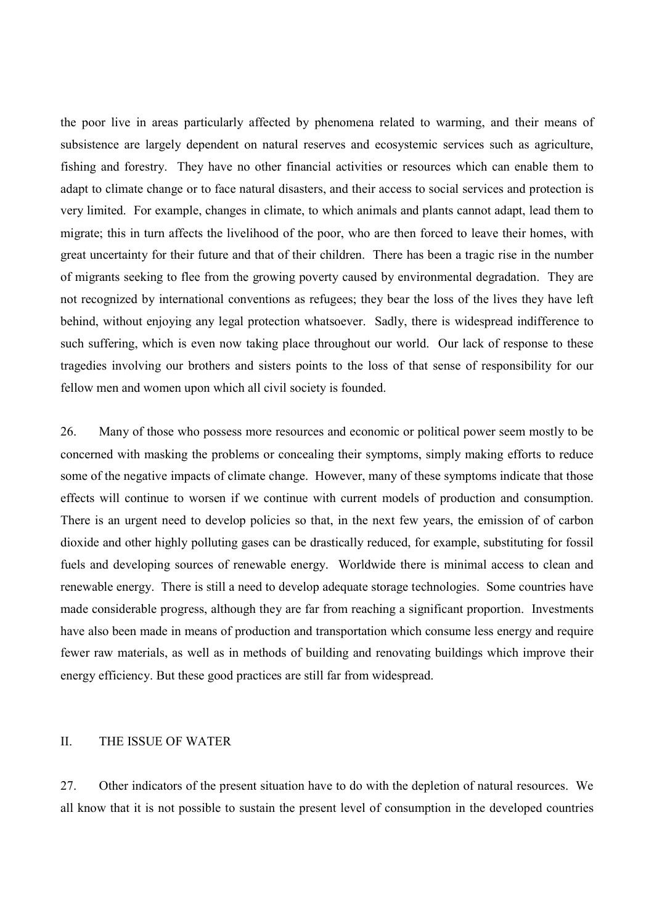the poor live in areas particularly affected by phenomena related to warming, and their means of subsistence are largely dependent on natural reserves and ecosystemic services such as agriculture, fishing and forestry. They have no other financial activities or resources which can enable them to adapt to climate change or to face natural disasters, and their access to social services and protection is very limited. For example, changes in climate, to which animals and plants cannot adapt, lead them to migrate; this in turn affects the livelihood of the poor, who are then forced to leave their homes, with great uncertainty for their future and that of their children. There has been a tragic rise in the number of migrants seeking to flee from the growing poverty caused by environmental degradation. They are not recognized by international conventions as refugees; they bear the loss of the lives they have left behind, without enjoying any legal protection whatsoever. Sadly, there is widespread indifference to such suffering, which is even now taking place throughout our world. Our lack of response to these tragedies involving our brothers and sisters points to the loss of that sense of responsibility for our fellow men and women upon which all civil society is founded.

26. Many of those who possess more resources and economic or political power seem mostly to be concerned with masking the problems or concealing their symptoms, simply making efforts to reduce some of the negative impacts of climate change. However, many of these symptoms indicate that those effects will continue to worsen if we continue with current models of production and consumption. There is an urgent need to develop policies so that, in the next few years, the emission of of carbon dioxide and other highly polluting gases can be drastically reduced, for example, substituting for fossil fuels and developing sources of renewable energy. Worldwide there is minimal access to clean and renewable energy. There is still a need to develop adequate storage technologies. Some countries have made considerable progress, although they are far from reaching a significant proportion. Investments have also been made in means of production and transportation which consume less energy and require fewer raw materials, as well as in methods of building and renovating buildings which improve their energy efficiency. But these good practices are still far from widespread.

# II. THE ISSUE OF WATER

27. Other indicators of the present situation have to do with the depletion of natural resources. We all know that it is not possible to sustain the present level of consumption in the developed countries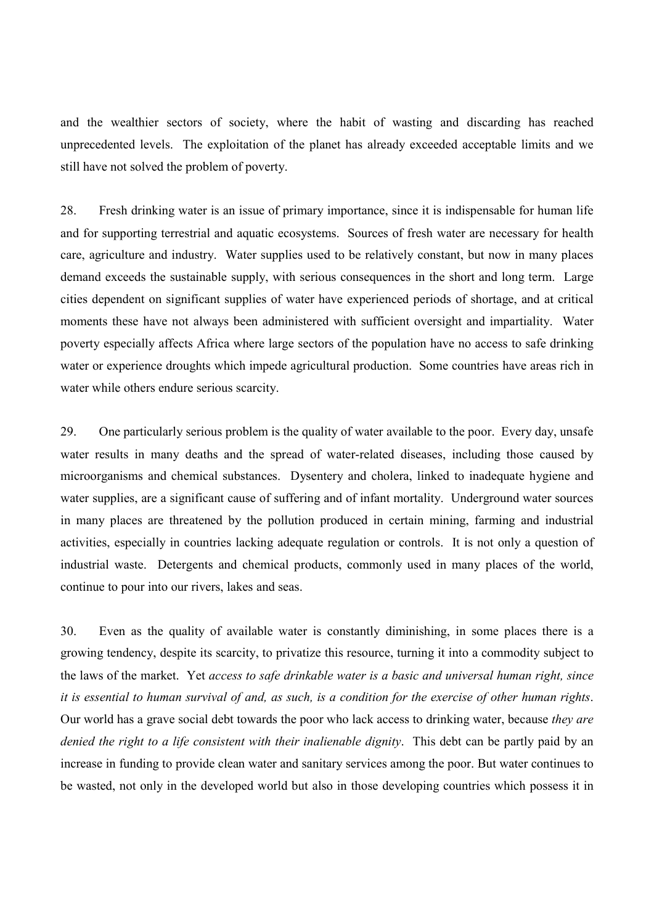and the wealthier sectors of society, where the habit of wasting and discarding has reached unprecedented levels. The exploitation of the planet has already exceeded acceptable limits and we still have not solved the problem of poverty.

28. Fresh drinking water is an issue of primary importance, since it is indispensable for human life and for supporting terrestrial and aquatic ecosystems. Sources of fresh water are necessary for health care, agriculture and industry. Water supplies used to be relatively constant, but now in many places demand exceeds the sustainable supply, with serious consequences in the short and long term. Large cities dependent on significant supplies of water have experienced periods of shortage, and at critical moments these have not always been administered with sufficient oversight and impartiality. Water poverty especially affects Africa where large sectors of the population have no access to safe drinking water or experience droughts which impede agricultural production. Some countries have areas rich in water while others endure serious scarcity.

29. One particularly serious problem is the quality of water available to the poor. Every day, unsafe water results in many deaths and the spread of water-related diseases, including those caused by microorganisms and chemical substances. Dysentery and cholera, linked to inadequate hygiene and water supplies, are a significant cause of suffering and of infant mortality. Underground water sources in many places are threatened by the pollution produced in certain mining, farming and industrial activities, especially in countries lacking adequate regulation or controls. It is not only a question of industrial waste. Detergents and chemical products, commonly used in many places of the world, continue to pour into our rivers, lakes and seas.

30. Even as the quality of available water is constantly diminishing, in some places there is a growing tendency, despite its scarcity, to privatize this resource, turning it into a commodity subject to the laws of the market. Yet *access to safe drinkable water is a basic and universal human right, since it is essential to human survival of and, as such, is a condition for the exercise of other human rights*. Our world has a grave social debt towards the poor who lack access to drinking water, because *they are denied the right to a life consistent with their inalienable dignity*. This debt can be partly paid by an increase in funding to provide clean water and sanitary services among the poor. But water continues to be wasted, not only in the developed world but also in those developing countries which possess it in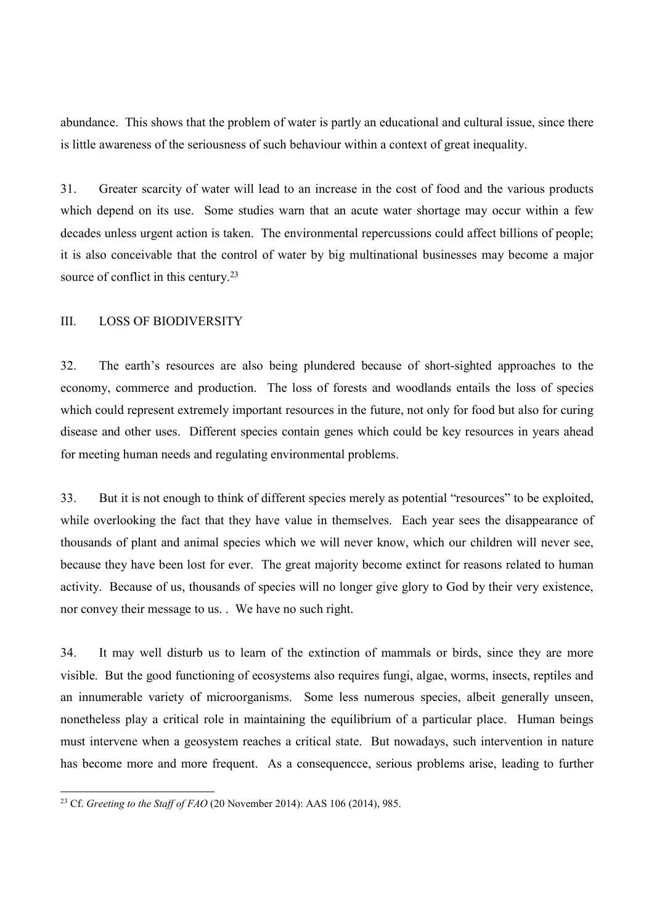abundance. This shows that the problem of water is partly an educational and cultural issue, since there is little awareness of the seriousness of such behaviour within a context of great inequality.

31. Greater scarcity of water will lead to an increase in the cost of food and the various products which depend on its use. Some studies warn that an acute water shortage may occur within a few decades unless urgent action is taken. The environmental repercussions could affect billions of people; it is also conceivable that the control of water by big multinational businesses may become a major source of conflict in this century.<sup>23</sup>

## III. LOSS OF BIODIVERSITY

32. The earth's resources are also being plundered because of short-sighted approaches to the economy, commerce and production. The loss of forests and woodlands entails the loss of species which could represent extremely important resources in the future, not only for food but also for curing disease and other uses. Different species contain genes which could be key resources in years ahead for meeting human needs and regulating environmental problems.

33. But it is not enough to think of different species merely as potential "resources" to be exploited, while overlooking the fact that they have value in themselves. Each year sees the disappearance of thousands of plant and animal species which we will never know, which our children will never see, because they have been lost for ever. The great majority become extinct for reasons related to human activity. Because of us, thousands of species will no longer give glory to God by their very existence, nor convey their message to us. . We have no such right.

34. It may well disturb us to learn of the extinction of mammals or birds, since they are more visible. But the good functioning of ecosystems also requires fungi, algae, worms, insects, reptiles and an innumerable variety of microorganisms. Some less numerous species, albeit generally unseen, nonetheless play a critical role in maintaining the equilibrium of a particular place. Human beings must intervene when a geosystem reaches a critical state. But nowadays, such intervention in nature has become more and more frequent. As a consequencce, serious problems arise, leading to further

 <sup>23</sup> Cf. *Greeting to the Staff of FAO* (20 November 2014): AAS 106 (2014), 985.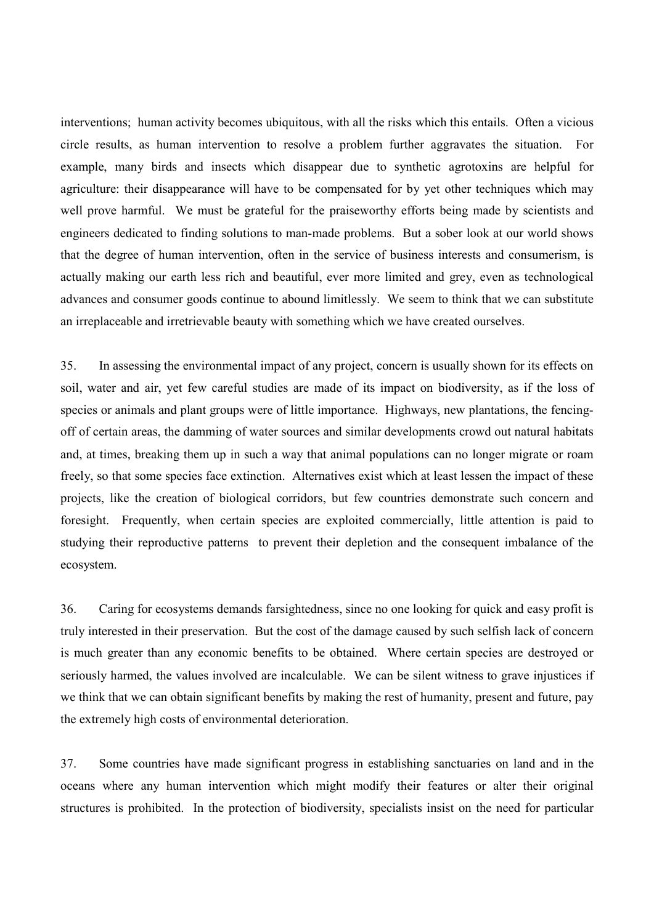interventions; human activity becomes ubiquitous, with all the risks which this entails. Often a vicious circle results, as human intervention to resolve a problem further aggravates the situation. For example, many birds and insects which disappear due to synthetic agrotoxins are helpful for agriculture: their disappearance will have to be compensated for by yet other techniques which may well prove harmful. We must be grateful for the praiseworthy efforts being made by scientists and engineers dedicated to finding solutions to man-made problems. But a sober look at our world shows that the degree of human intervention, often in the service of business interests and consumerism, is actually making our earth less rich and beautiful, ever more limited and grey, even as technological advances and consumer goods continue to abound limitlessly. We seem to think that we can substitute an irreplaceable and irretrievable beauty with something which we have created ourselves.

35. In assessing the environmental impact of any project, concern is usually shown for its effects on soil, water and air, yet few careful studies are made of its impact on biodiversity, as if the loss of species or animals and plant groups were of little importance. Highways, new plantations, the fencingoff of certain areas, the damming of water sources and similar developments crowd out natural habitats and, at times, breaking them up in such a way that animal populations can no longer migrate or roam freely, so that some species face extinction. Alternatives exist which at least lessen the impact of these projects, like the creation of biological corridors, but few countries demonstrate such concern and foresight. Frequently, when certain species are exploited commercially, little attention is paid to studying their reproductive patterns to prevent their depletion and the consequent imbalance of the ecosystem.

36. Caring for ecosystems demands farsightedness, since no one looking for quick and easy profit is truly interested in their preservation. But the cost of the damage caused by such selfish lack of concern is much greater than any economic benefits to be obtained. Where certain species are destroyed or seriously harmed, the values involved are incalculable. We can be silent witness to grave injustices if we think that we can obtain significant benefits by making the rest of humanity, present and future, pay the extremely high costs of environmental deterioration.

37. Some countries have made significant progress in establishing sanctuaries on land and in the oceans where any human intervention which might modify their features or alter their original structures is prohibited. In the protection of biodiversity, specialists insist on the need for particular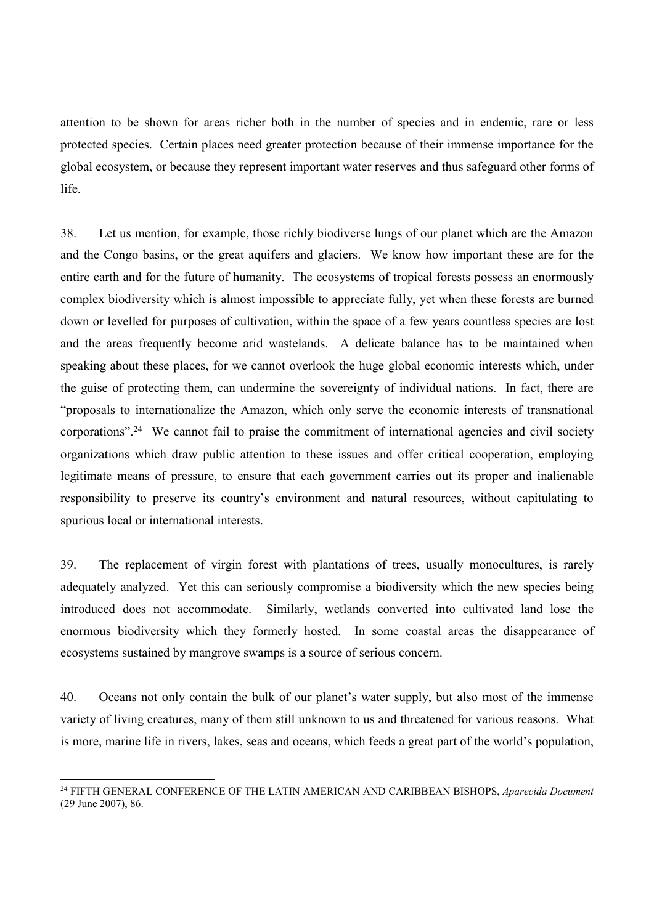attention to be shown for areas richer both in the number of species and in endemic, rare or less protected species. Certain places need greater protection because of their immense importance for the global ecosystem, or because they represent important water reserves and thus safeguard other forms of life.

38. Let us mention, for example, those richly biodiverse lungs of our planet which are the Amazon and the Congo basins, or the great aquifers and glaciers. We know how important these are for the entire earth and for the future of humanity. The ecosystems of tropical forests possess an enormously complex biodiversity which is almost impossible to appreciate fully, yet when these forests are burned down or levelled for purposes of cultivation, within the space of a few years countless species are lost and the areas frequently become arid wastelands. A delicate balance has to be maintained when speaking about these places, for we cannot overlook the huge global economic interests which, under the guise of protecting them, can undermine the sovereignty of individual nations. In fact, there are "proposals to internationalize the Amazon, which only serve the economic interests of transnational corporations"<sup>24</sup> We cannot fail to praise the commitment of international agencies and civil society organizations which draw public attention to these issues and offer critical cooperation, employing legitimate means of pressure, to ensure that each government carries out its proper and inalienable responsibility to preserve its country's environment and natural resources, without capitulating to spurious local or international interests.

39. The replacement of virgin forest with plantations of trees, usually monocultures, is rarely adequately analyzed. Yet this can seriously compromise a biodiversity which the new species being introduced does not accommodate. Similarly, wetlands converted into cultivated land lose the enormous biodiversity which they formerly hosted. In some coastal areas the disappearance of ecosystems sustained by mangrove swamps is a source of serious concern.

40. Oceans not only contain the bulk of our planet's water supply, but also most of the immense variety of living creatures, many of them still unknown to us and threatened for various reasons. What is more, marine life in rivers, lakes, seas and oceans, which feeds a great part of the world's population,

 <sup>24</sup> FIFTH GENERAL CONFERENCE OF THE LATIN AMERICAN AND CARIBBEAN BISHOPS, *Aparecida Document* (29 June 2007), 86.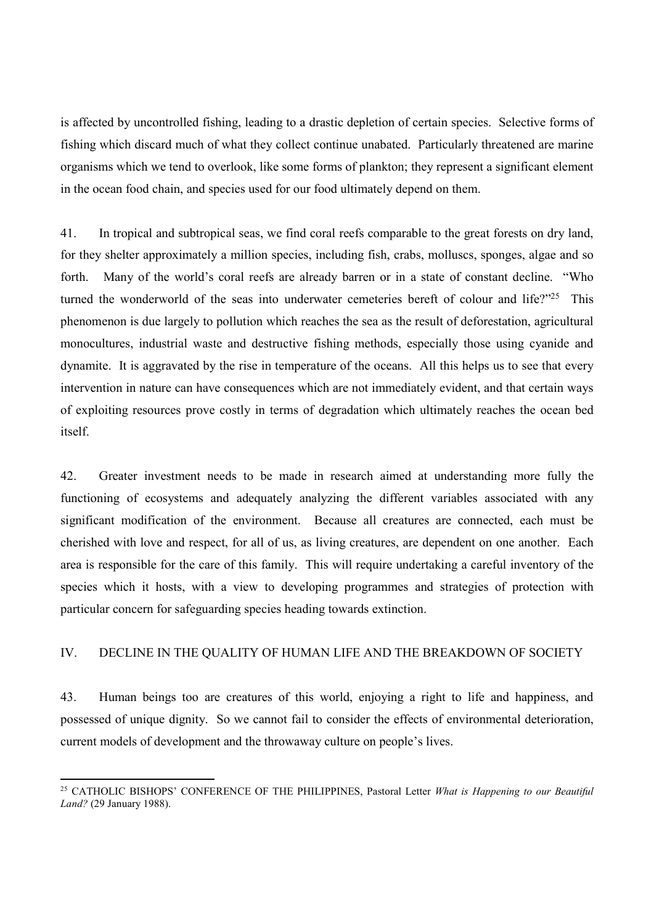is affected by uncontrolled fishing, leading to a drastic depletion of certain species. Selective forms of fishing which discard much of what they collect continue unabated. Particularly threatened are marine organisms which we tend to overlook, like some forms of plankton; they represent a significant element in the ocean food chain, and species used for our food ultimately depend on them.

41. In tropical and subtropical seas, we find coral reefs comparable to the great forests on dry land, for they shelter approximately a million species, including fish, crabs, molluscs, sponges, algae and so forth. Many of the world's coral reefs are already barren or in a state of constant decline. "Who turned the wonderworld of the seas into underwater cemeteries bereft of colour and life?"<sup>25</sup> This phenomenon is due largely to pollution which reaches the sea as the result of deforestation, agricultural monocultures, industrial waste and destructive fishing methods, especially those using cyanide and dynamite. It is aggravated by the rise in temperature of the oceans. All this helps us to see that every intervention in nature can have consequences which are not immediately evident, and that certain ways of exploiting resources prove costly in terms of degradation which ultimately reaches the ocean bed itself.

42. Greater investment needs to be made in research aimed at understanding more fully the functioning of ecosystems and adequately analyzing the different variables associated with any significant modification of the environment. Because all creatures are connected, each must be cherished with love and respect, for all of us, as living creatures, are dependent on one another. Each area is responsible for the care of this family. This will require undertaking a careful inventory of the species which it hosts, with a view to developing programmes and strategies of protection with particular concern for safeguarding species heading towards extinction.

# IV. DECLINE IN THE QUALITY OF HUMAN LIFE AND THE BREAKDOWN OF SOCIETY

43. Human beings too are creatures of this world, enjoying a right to life and happiness, and possessed of unique dignity. So we cannot fail to consider the effects of environmental deterioration, current models of development and the throwaway culture on people's lives.

 <sup>25</sup> CATHOLIC BISHOPS' CONFERENCE OF THE PHILIPPINES, Pastoral Letter *What is Happening to our Beautiful Land?* (29 January 1988).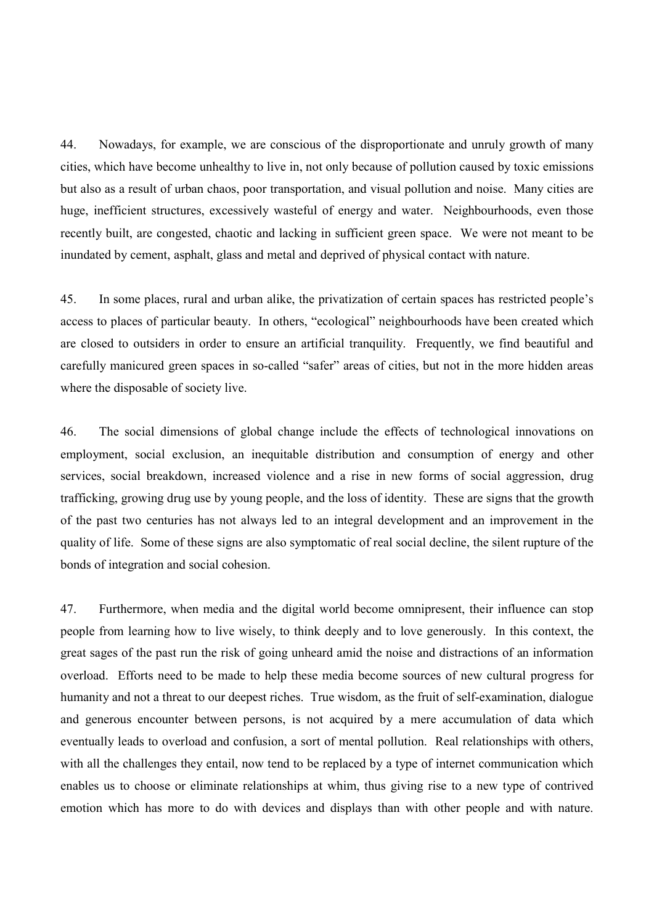44. Nowadays, for example, we are conscious of the disproportionate and unruly growth of many cities, which have become unhealthy to live in, not only because of pollution caused by toxic emissions but also as a result of urban chaos, poor transportation, and visual pollution and noise. Many cities are huge, inefficient structures, excessively wasteful of energy and water. Neighbourhoods, even those recently built, are congested, chaotic and lacking in sufficient green space. We were not meant to be inundated by cement, asphalt, glass and metal and deprived of physical contact with nature.

45. In some places, rural and urban alike, the privatization of certain spaces has restricted people's access to places of particular beauty. In others, "ecological" neighbourhoods have been created which are closed to outsiders in order to ensure an artificial tranquility. Frequently, we find beautiful and carefully manicured green spaces in so-called "safer" areas of cities, but not in the more hidden areas where the disposable of society live.

46. The social dimensions of global change include the effects of technological innovations on employment, social exclusion, an inequitable distribution and consumption of energy and other services, social breakdown, increased violence and a rise in new forms of social aggression, drug trafficking, growing drug use by young people, and the loss of identity. These are signs that the growth of the past two centuries has not always led to an integral development and an improvement in the quality of life. Some of these signs are also symptomatic of real social decline, the silent rupture of the bonds of integration and social cohesion.

47. Furthermore, when media and the digital world become omnipresent, their influence can stop people from learning how to live wisely, to think deeply and to love generously. In this context, the great sages of the past run the risk of going unheard amid the noise and distractions of an information overload. Efforts need to be made to help these media become sources of new cultural progress for humanity and not a threat to our deepest riches. True wisdom, as the fruit of self-examination, dialogue and generous encounter between persons, is not acquired by a mere accumulation of data which eventually leads to overload and confusion, a sort of mental pollution. Real relationships with others, with all the challenges they entail, now tend to be replaced by a type of internet communication which enables us to choose or eliminate relationships at whim, thus giving rise to a new type of contrived emotion which has more to do with devices and displays than with other people and with nature.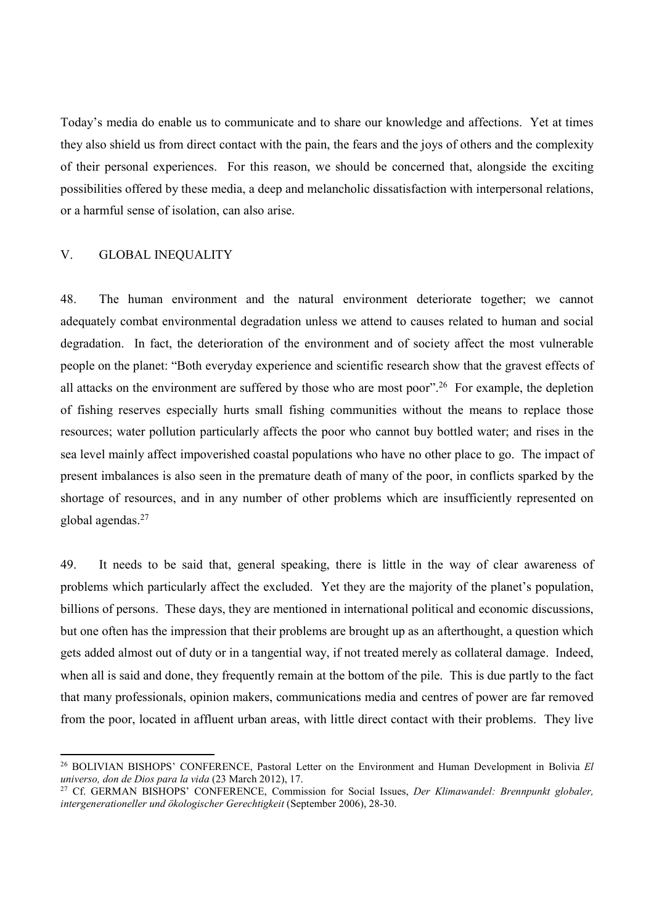Today's media do enable us to communicate and to share our knowledge and affections. Yet at times they also shield us from direct contact with the pain, the fears and the joys of others and the complexity of their personal experiences. For this reason, we should be concerned that, alongside the exciting possibilities offered by these media, a deep and melancholic dissatisfaction with interpersonal relations, or a harmful sense of isolation, can also arise.

# V. GLOBAL INEQUALITY

48. The human environment and the natural environment deteriorate together; we cannot adequately combat environmental degradation unless we attend to causes related to human and social degradation. In fact, the deterioration of the environment and of society affect the most vulnerable people on the planet: "Both everyday experience and scientific research show that the gravest effects of all attacks on the environment are suffered by those who are most poor".<sup>26</sup> For example, the depletion of fishing reserves especially hurts small fishing communities without the means to replace those resources; water pollution particularly affects the poor who cannot buy bottled water; and rises in the sea level mainly affect impoverished coastal populations who have no other place to go. The impact of present imbalances is also seen in the premature death of many of the poor, in conflicts sparked by the shortage of resources, and in any number of other problems which are insufficiently represented on global agendas.27

49. It needs to be said that, general speaking, there is little in the way of clear awareness of problems which particularly affect the excluded. Yet they are the majority of the planet's population, billions of persons. These days, they are mentioned in international political and economic discussions, but one often has the impression that their problems are brought up as an afterthought, a question which gets added almost out of duty or in a tangential way, if not treated merely as collateral damage. Indeed, when all is said and done, they frequently remain at the bottom of the pile. This is due partly to the fact that many professionals, opinion makers, communications media and centres of power are far removed from the poor, located in affluent urban areas, with little direct contact with their problems. They live

 <sup>26</sup> BOLIVIAN BISHOPS' CONFERENCE, Pastoral Letter on the Environment and Human Development in Bolivia *El universo, don de Dios para la vida* (23 March 2012), 17.

<sup>27</sup> Cf. GERMAN BISHOPS' CONFERENCE, Commission for Social Issues, *Der Klimawandel: Brennpunkt globaler, intergenerationeller und ökologischer Gerechtigkeit* (September 2006), 28-30.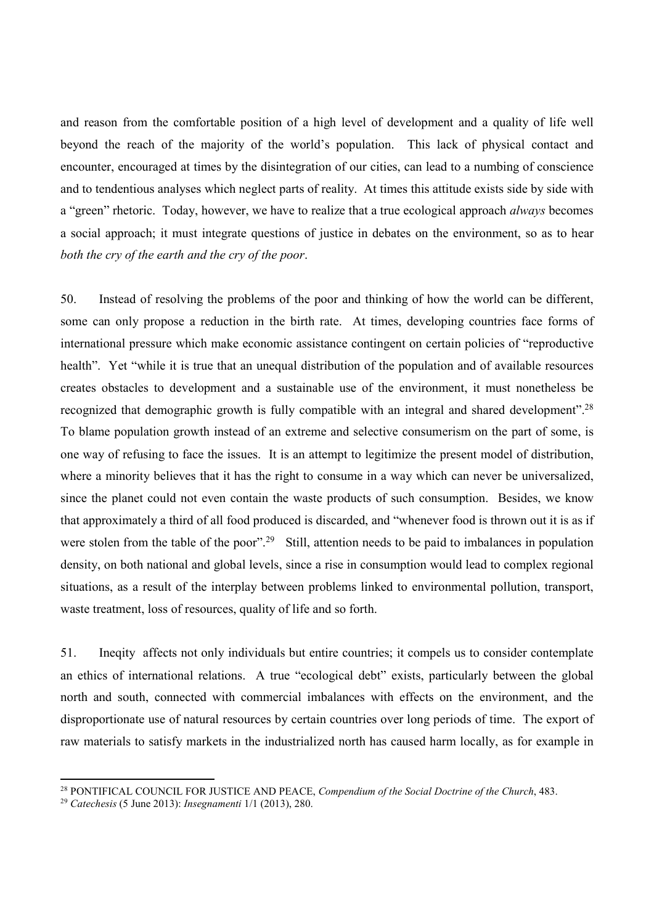and reason from the comfortable position of a high level of development and a quality of life well beyond the reach of the majority of the world's population. This lack of physical contact and encounter, encouraged at times by the disintegration of our cities, can lead to a numbing of conscience and to tendentious analyses which neglect parts of reality. At times this attitude exists side by side with a "green" rhetoric. Today, however, we have to realize that a true ecological approach *always* becomes a social approach; it must integrate questions of justice in debates on the environment, so as to hear *both the cry of the earth and the cry of the poor*.

50. Instead of resolving the problems of the poor and thinking of how the world can be different, some can only propose a reduction in the birth rate. At times, developing countries face forms of international pressure which make economic assistance contingent on certain policies of "reproductive health". Yet "while it is true that an unequal distribution of the population and of available resources creates obstacles to development and a sustainable use of the environment, it must nonetheless be recognized that demographic growth is fully compatible with an integral and shared development".28 To blame population growth instead of an extreme and selective consumerism on the part of some, is one way of refusing to face the issues. It is an attempt to legitimize the present model of distribution, where a minority believes that it has the right to consume in a way which can never be universalized, since the planet could not even contain the waste products of such consumption. Besides, we know that approximately a third of all food produced is discarded, and "whenever food is thrown out it is as if were stolen from the table of the poor".<sup>29</sup> Still, attention needs to be paid to imbalances in population density, on both national and global levels, since a rise in consumption would lead to complex regional situations, as a result of the interplay between problems linked to environmental pollution, transport, waste treatment, loss of resources, quality of life and so forth.

51. Ineqity affects not only individuals but entire countries; it compels us to consider contemplate an ethics of international relations. A true "ecological debt" exists, particularly between the global north and south, connected with commercial imbalances with effects on the environment, and the disproportionate use of natural resources by certain countries over long periods of time. The export of raw materials to satisfy markets in the industrialized north has caused harm locally, as for example in

 <sup>28</sup> PONTIFICAL COUNCIL FOR JUSTICE AND PEACE, *Compendium of the Social Doctrine of the Church*, 483.

<sup>29</sup> *Catechesis* (5 June 2013): *Insegnamenti* 1/1 (2013), 280.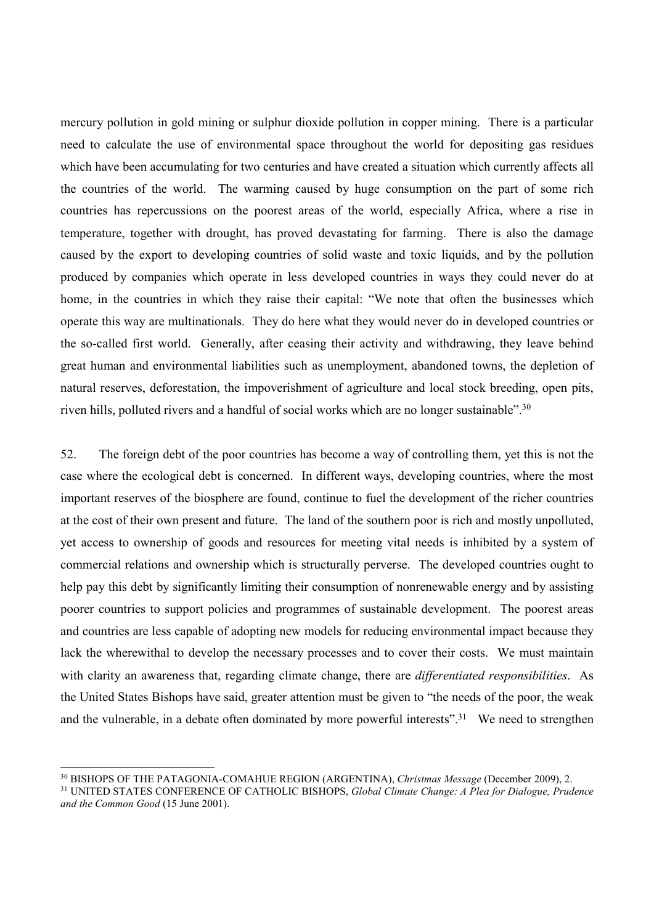mercury pollution in gold mining or sulphur dioxide pollution in copper mining. There is a particular need to calculate the use of environmental space throughout the world for depositing gas residues which have been accumulating for two centuries and have created a situation which currently affects all the countries of the world. The warming caused by huge consumption on the part of some rich countries has repercussions on the poorest areas of the world, especially Africa, where a rise in temperature, together with drought, has proved devastating for farming. There is also the damage caused by the export to developing countries of solid waste and toxic liquids, and by the pollution produced by companies which operate in less developed countries in ways they could never do at home, in the countries in which they raise their capital: "We note that often the businesses which operate this way are multinationals. They do here what they would never do in developed countries or the so-called first world. Generally, after ceasing their activity and withdrawing, they leave behind great human and environmental liabilities such as unemployment, abandoned towns, the depletion of natural reserves, deforestation, the impoverishment of agriculture and local stock breeding, open pits, riven hills, polluted rivers and a handful of social works which are no longer sustainable".<sup>30</sup>

52. The foreign debt of the poor countries has become a way of controlling them, yet this is not the case where the ecological debt is concerned. In different ways, developing countries, where the most important reserves of the biosphere are found, continue to fuel the development of the richer countries at the cost of their own present and future. The land of the southern poor is rich and mostly unpolluted, yet access to ownership of goods and resources for meeting vital needs is inhibited by a system of commercial relations and ownership which is structurally perverse. The developed countries ought to help pay this debt by significantly limiting their consumption of nonrenewable energy and by assisting poorer countries to support policies and programmes of sustainable development. The poorest areas and countries are less capable of adopting new models for reducing environmental impact because they lack the wherewithal to develop the necessary processes and to cover their costs. We must maintain with clarity an awareness that, regarding climate change, there are *differentiated responsibilities*. As the United States Bishops have said, greater attention must be given to "the needs of the poor, the weak and the vulnerable, in a debate often dominated by more powerful interests".<sup>31</sup> We need to strengthen

 <sup>30</sup> BISHOPS OF THE PATAGONIA-COMAHUE REGION (ARGENTINA), *Christmas Message* (December 2009), 2.

<sup>31</sup> UNITED STATES CONFERENCE OF CATHOLIC BISHOPS, *Global Climate Change: A Plea for Dialogue, Prudence and the Common Good* (15 June 2001).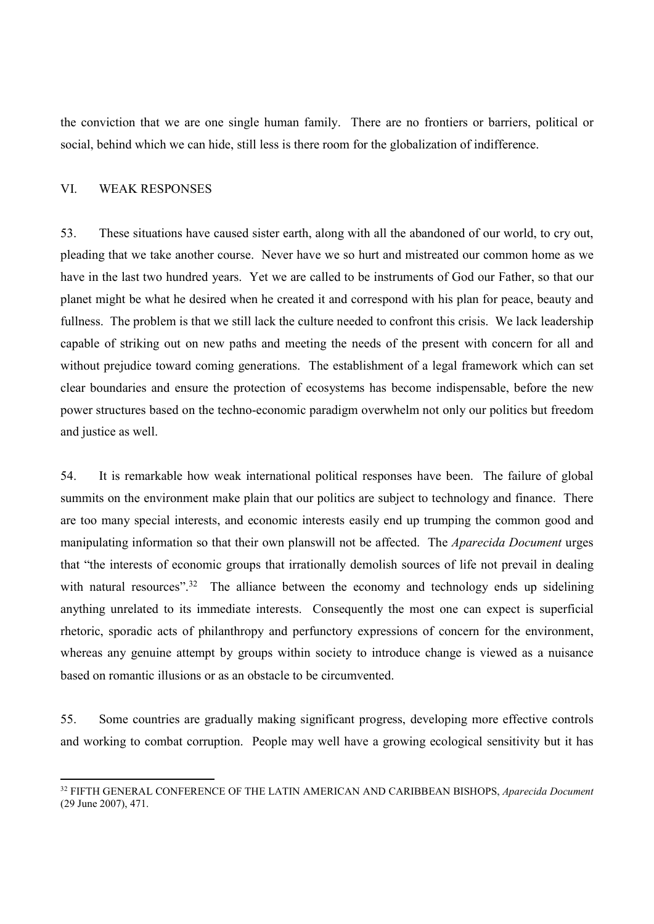the conviction that we are one single human family. There are no frontiers or barriers, political or social, behind which we can hide, still less is there room for the globalization of indifference.

# VI. WEAK RESPONSES

53. These situations have caused sister earth, along with all the abandoned of our world, to cry out, pleading that we take another course. Never have we so hurt and mistreated our common home as we have in the last two hundred years. Yet we are called to be instruments of God our Father, so that our planet might be what he desired when he created it and correspond with his plan for peace, beauty and fullness. The problem is that we still lack the culture needed to confront this crisis. We lack leadership capable of striking out on new paths and meeting the needs of the present with concern for all and without prejudice toward coming generations. The establishment of a legal framework which can set clear boundaries and ensure the protection of ecosystems has become indispensable, before the new power structures based on the techno-economic paradigm overwhelm not only our politics but freedom and justice as well.

54. It is remarkable how weak international political responses have been. The failure of global summits on the environment make plain that our politics are subject to technology and finance. There are too many special interests, and economic interests easily end up trumping the common good and manipulating information so that their own planswill not be affected. The *Aparecida Document* urges that "the interests of economic groups that irrationally demolish sources of life not prevail in dealing with natural resources".<sup>32</sup> The alliance between the economy and technology ends up sidelining anything unrelated to its immediate interests. Consequently the most one can expect is superficial rhetoric, sporadic acts of philanthropy and perfunctory expressions of concern for the environment, whereas any genuine attempt by groups within society to introduce change is viewed as a nuisance based on romantic illusions or as an obstacle to be circumvented.

55. Some countries are gradually making significant progress, developing more effective controls and working to combat corruption. People may well have a growing ecological sensitivity but it has

 <sup>32</sup> FIFTH GENERAL CONFERENCE OF THE LATIN AMERICAN AND CARIBBEAN BISHOPS, *Aparecida Document* (29 June 2007), 471.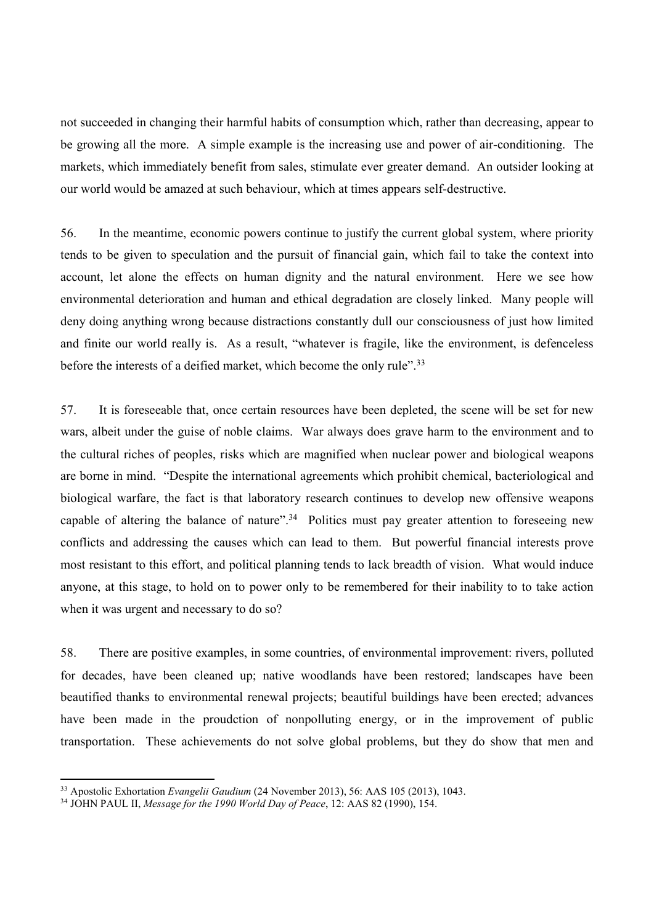not succeeded in changing their harmful habits of consumption which, rather than decreasing, appear to be growing all the more. A simple example is the increasing use and power of air-conditioning. The markets, which immediately benefit from sales, stimulate ever greater demand. An outsider looking at our world would be amazed at such behaviour, which at times appears self-destructive.

56. In the meantime, economic powers continue to justify the current global system, where priority tends to be given to speculation and the pursuit of financial gain, which fail to take the context into account, let alone the effects on human dignity and the natural environment. Here we see how environmental deterioration and human and ethical degradation are closely linked. Many people will deny doing anything wrong because distractions constantly dull our consciousness of just how limited and finite our world really is. As a result, "whatever is fragile, like the environment, is defenceless before the interests of a deified market, which become the only rule".<sup>33</sup>

57. It is foreseeable that, once certain resources have been depleted, the scene will be set for new wars, albeit under the guise of noble claims. War always does grave harm to the environment and to the cultural riches of peoples, risks which are magnified when nuclear power and biological weapons are borne in mind. "Despite the international agreements which prohibit chemical, bacteriological and biological warfare, the fact is that laboratory research continues to develop new offensive weapons capable of altering the balance of nature".<sup>34</sup> Politics must pay greater attention to foreseeing new conflicts and addressing the causes which can lead to them. But powerful financial interests prove most resistant to this effort, and political planning tends to lack breadth of vision. What would induce anyone, at this stage, to hold on to power only to be remembered for their inability to to take action when it was urgent and necessary to do so?

58. There are positive examples, in some countries, of environmental improvement: rivers, polluted for decades, have been cleaned up; native woodlands have been restored; landscapes have been beautified thanks to environmental renewal projects; beautiful buildings have been erected; advances have been made in the proudction of nonpolluting energy, or in the improvement of public transportation. These achievements do not solve global problems, but they do show that men and

 <sup>33</sup> Apostolic Exhortation *Evangelii Gaudium* (24 November 2013), 56: AAS 105 (2013), 1043.

<sup>34</sup> JOHN PAUL II, *Message for the 1990 World Day of Peace*, 12: AAS 82 (1990), 154.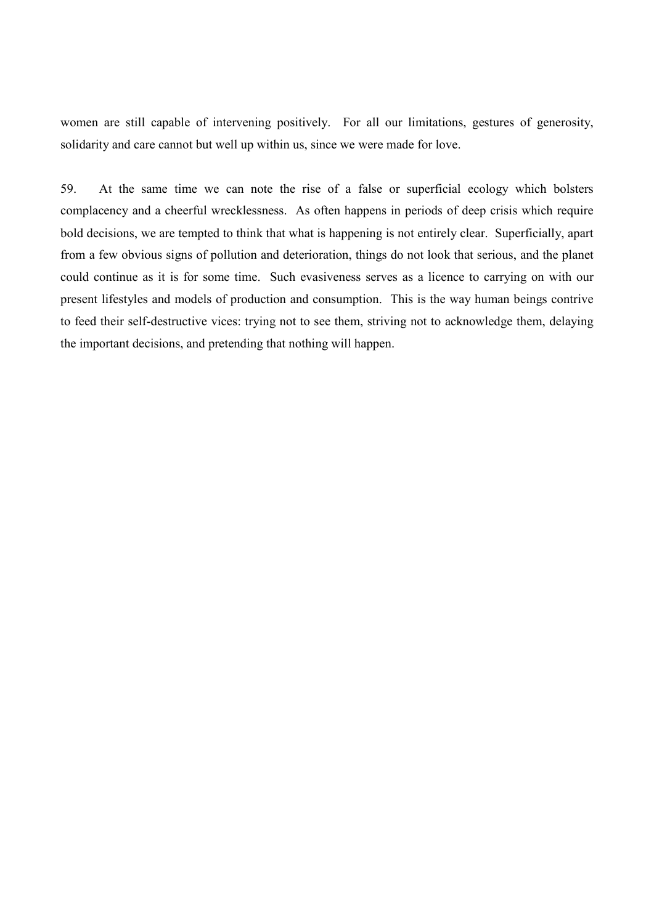women are still capable of intervening positively. For all our limitations, gestures of generosity, solidarity and care cannot but well up within us, since we were made for love.

59. At the same time we can note the rise of a false or superficial ecology which bolsters complacency and a cheerful wrecklessness. As often happens in periods of deep crisis which require bold decisions, we are tempted to think that what is happening is not entirely clear. Superficially, apart from a few obvious signs of pollution and deterioration, things do not look that serious, and the planet could continue as it is for some time. Such evasiveness serves as a licence to carrying on with our present lifestyles and models of production and consumption. This is the way human beings contrive to feed their self-destructive vices: trying not to see them, striving not to acknowledge them, delaying the important decisions, and pretending that nothing will happen.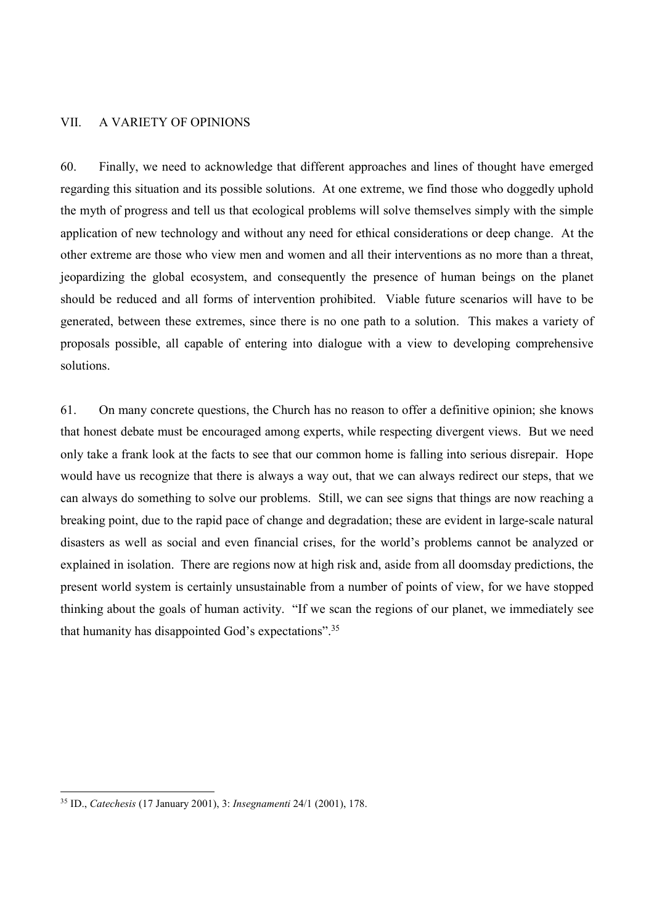#### VII. A VARIETY OF OPINIONS

60. Finally, we need to acknowledge that different approaches and lines of thought have emerged regarding this situation and its possible solutions. At one extreme, we find those who doggedly uphold the myth of progress and tell us that ecological problems will solve themselves simply with the simple application of new technology and without any need for ethical considerations or deep change. At the other extreme are those who view men and women and all their interventions as no more than a threat, jeopardizing the global ecosystem, and consequently the presence of human beings on the planet should be reduced and all forms of intervention prohibited. Viable future scenarios will have to be generated, between these extremes, since there is no one path to a solution. This makes a variety of proposals possible, all capable of entering into dialogue with a view to developing comprehensive solutions.

61. On many concrete questions, the Church has no reason to offer a definitive opinion; she knows that honest debate must be encouraged among experts, while respecting divergent views. But we need only take a frank look at the facts to see that our common home is falling into serious disrepair. Hope would have us recognize that there is always a way out, that we can always redirect our steps, that we can always do something to solve our problems. Still, we can see signs that things are now reaching a breaking point, due to the rapid pace of change and degradation; these are evident in large-scale natural disasters as well as social and even financial crises, for the world's problems cannot be analyzed or explained in isolation. There are regions now at high risk and, aside from all doomsday predictions, the present world system is certainly unsustainable from a number of points of view, for we have stopped thinking about the goals of human activity. "If we scan the regions of our planet, we immediately see that humanity has disappointed God's expectations".35

 <sup>35</sup> ID., *Catechesis* (17 January 2001), 3: *Insegnamenti* 24/1 (2001), 178.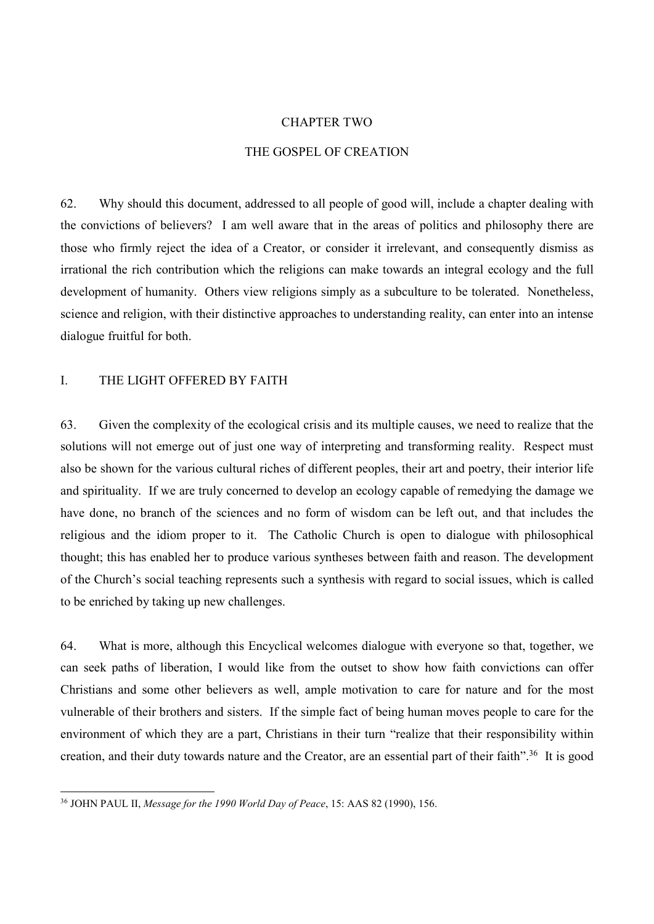#### CHAPTER TWO

### THE GOSPEL OF CREATION

62. Why should this document, addressed to all people of good will, include a chapter dealing with the convictions of believers? I am well aware that in the areas of politics and philosophy there are those who firmly reject the idea of a Creator, or consider it irrelevant, and consequently dismiss as irrational the rich contribution which the religions can make towards an integral ecology and the full development of humanity. Others view religions simply as a subculture to be tolerated. Nonetheless, science and religion, with their distinctive approaches to understanding reality, can enter into an intense dialogue fruitful for both.

## I. THE LIGHT OFFERED BY FAITH

63. Given the complexity of the ecological crisis and its multiple causes, we need to realize that the solutions will not emerge out of just one way of interpreting and transforming reality. Respect must also be shown for the various cultural riches of different peoples, their art and poetry, their interior life and spirituality. If we are truly concerned to develop an ecology capable of remedying the damage we have done, no branch of the sciences and no form of wisdom can be left out, and that includes the religious and the idiom proper to it. The Catholic Church is open to dialogue with philosophical thought; this has enabled her to produce various syntheses between faith and reason. The development of the Church's social teaching represents such a synthesis with regard to social issues, which is called to be enriched by taking up new challenges.

64. What is more, although this Encyclical welcomes dialogue with everyone so that, together, we can seek paths of liberation, I would like from the outset to show how faith convictions can offer Christians and some other believers as well, ample motivation to care for nature and for the most vulnerable of their brothers and sisters. If the simple fact of being human moves people to care for the environment of which they are a part, Christians in their turn "realize that their responsibility within creation, and their duty towards nature and the Creator, are an essential part of their faith".<sup>36</sup> It is good

 <sup>36</sup> JOHN PAUL II, *Message for the 1990 World Day of Peace*, 15: AAS 82 (1990), 156.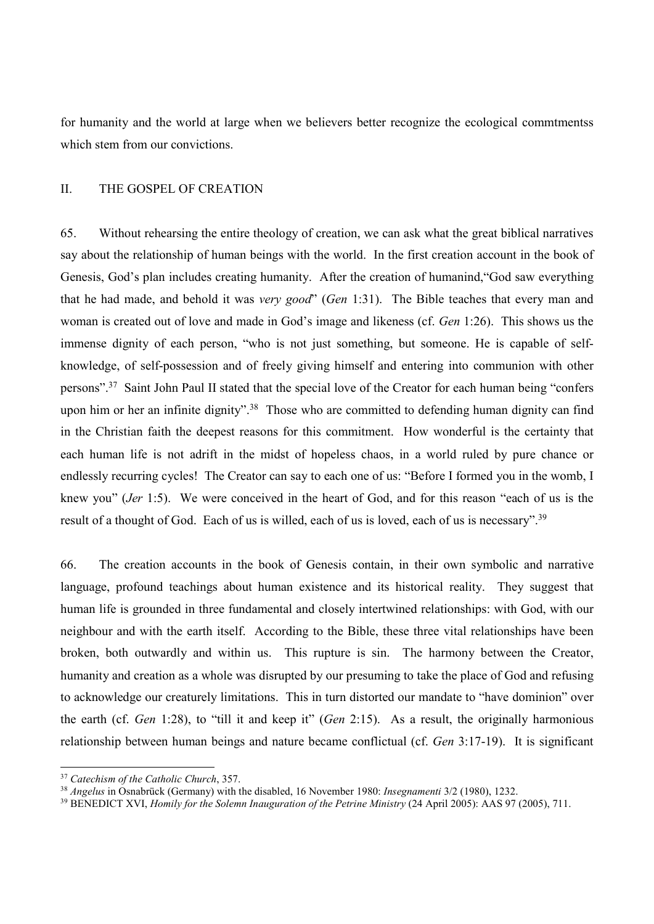for humanity and the world at large when we believers better recognize the ecological commtmentss which stem from our convictions.

# II. THE GOSPEL OF CREATION

65. Without rehearsing the entire theology of creation, we can ask what the great biblical narratives say about the relationship of human beings with the world. In the first creation account in the book of Genesis, God's plan includes creating humanity. After the creation of humanind,"God saw everything that he had made, and behold it was *very good*" (*Gen* 1:31). The Bible teaches that every man and woman is created out of love and made in God's image and likeness (cf. *Gen* 1:26). This shows us the immense dignity of each person, "who is not just something, but someone. He is capable of selfknowledge, of self-possession and of freely giving himself and entering into communion with other persons".37 Saint John Paul II stated that the special love of the Creator for each human being "confers upon him or her an infinite dignity".<sup>38</sup> Those who are committed to defending human dignity can find in the Christian faith the deepest reasons for this commitment. How wonderful is the certainty that each human life is not adrift in the midst of hopeless chaos, in a world ruled by pure chance or endlessly recurring cycles! The Creator can say to each one of us: "Before I formed you in the womb, I knew you" (*Jer* 1:5). We were conceived in the heart of God, and for this reason "each of us is the result of a thought of God. Each of us is willed, each of us is loved, each of us is necessary".39

66. The creation accounts in the book of Genesis contain, in their own symbolic and narrative language, profound teachings about human existence and its historical reality. They suggest that human life is grounded in three fundamental and closely intertwined relationships: with God, with our neighbour and with the earth itself. According to the Bible, these three vital relationships have been broken, both outwardly and within us. This rupture is sin. The harmony between the Creator, humanity and creation as a whole was disrupted by our presuming to take the place of God and refusing to acknowledge our creaturely limitations. This in turn distorted our mandate to "have dominion" over the earth (cf. *Gen* 1:28), to "till it and keep it" (*Gen* 2:15). As a result, the originally harmonious relationship between human beings and nature became conflictual (cf. *Gen* 3:17-19). It is significant

 <sup>37</sup> *Catechism of the Catholic Church*, 357.

<sup>38</sup> *Angelus* in Osnabrück (Germany) with the disabled, 16 November 1980: *Insegnamenti* 3/2 (1980), 1232.

<sup>&</sup>lt;sup>39</sup> BENEDICT XVI, *Homily for the Solemn Inauguration of the Petrine Ministry* (24 April 2005); AAS 97 (2005), 711.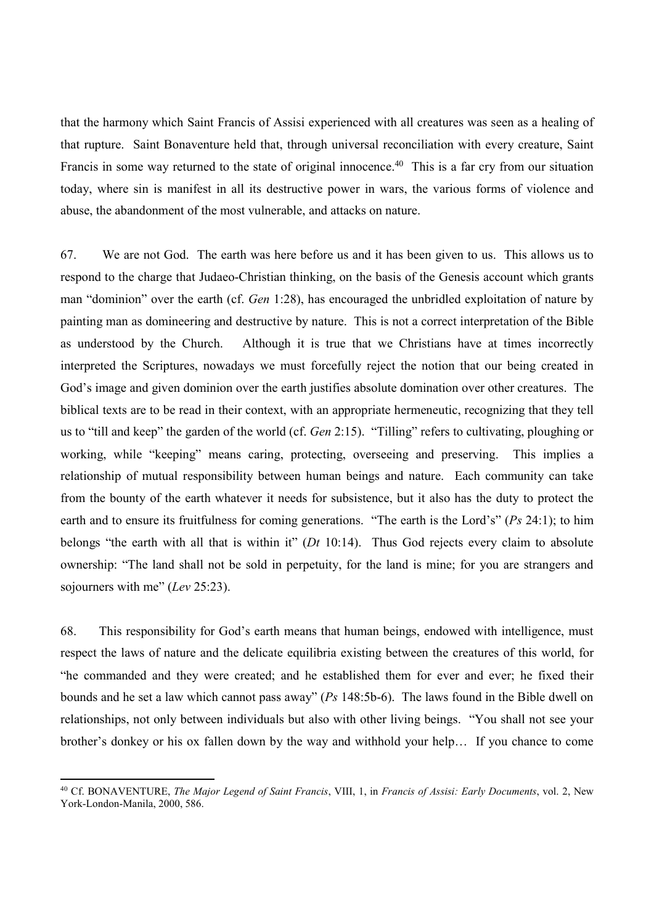that the harmony which Saint Francis of Assisi experienced with all creatures was seen as a healing of that rupture. Saint Bonaventure held that, through universal reconciliation with every creature, Saint Francis in some way returned to the state of original innocence.<sup>40</sup> This is a far cry from our situation today, where sin is manifest in all its destructive power in wars, the various forms of violence and abuse, the abandonment of the most vulnerable, and attacks on nature.

67. We are not God. The earth was here before us and it has been given to us. This allows us to respond to the charge that Judaeo-Christian thinking, on the basis of the Genesis account which grants man "dominion" over the earth (cf. *Gen* 1:28), has encouraged the unbridled exploitation of nature by painting man as domineering and destructive by nature. This is not a correct interpretation of the Bible as understood by the Church. Although it is true that we Christians have at times incorrectly interpreted the Scriptures, nowadays we must forcefully reject the notion that our being created in God's image and given dominion over the earth justifies absolute domination over other creatures. The biblical texts are to be read in their context, with an appropriate hermeneutic, recognizing that they tell us to "till and keep" the garden of the world (cf. *Gen* 2:15). "Tilling" refers to cultivating, ploughing or working, while "keeping" means caring, protecting, overseeing and preserving. This implies a relationship of mutual responsibility between human beings and nature. Each community can take from the bounty of the earth whatever it needs for subsistence, but it also has the duty to protect the earth and to ensure its fruitfulness for coming generations. "The earth is the Lord's" (*Ps* 24:1); to him belongs "the earth with all that is within it" (*Dt* 10:14). Thus God rejects every claim to absolute ownership: "The land shall not be sold in perpetuity, for the land is mine; for you are strangers and sojourners with me" (*Lev* 25:23).

68. This responsibility for God's earth means that human beings, endowed with intelligence, must respect the laws of nature and the delicate equilibria existing between the creatures of this world, for "he commanded and they were created; and he established them for ever and ever; he fixed their bounds and he set a law which cannot pass away" (*Ps* 148:5b-6). The laws found in the Bible dwell on relationships, not only between individuals but also with other living beings. "You shall not see your brother's donkey or his ox fallen down by the way and withhold your help… If you chance to come

 <sup>40</sup> Cf. BONAVENTURE, *The Major Legend of Saint Francis*, VIII, 1, in *Francis of Assisi: Early Documents*, vol. 2, New York-London-Manila, 2000, 586.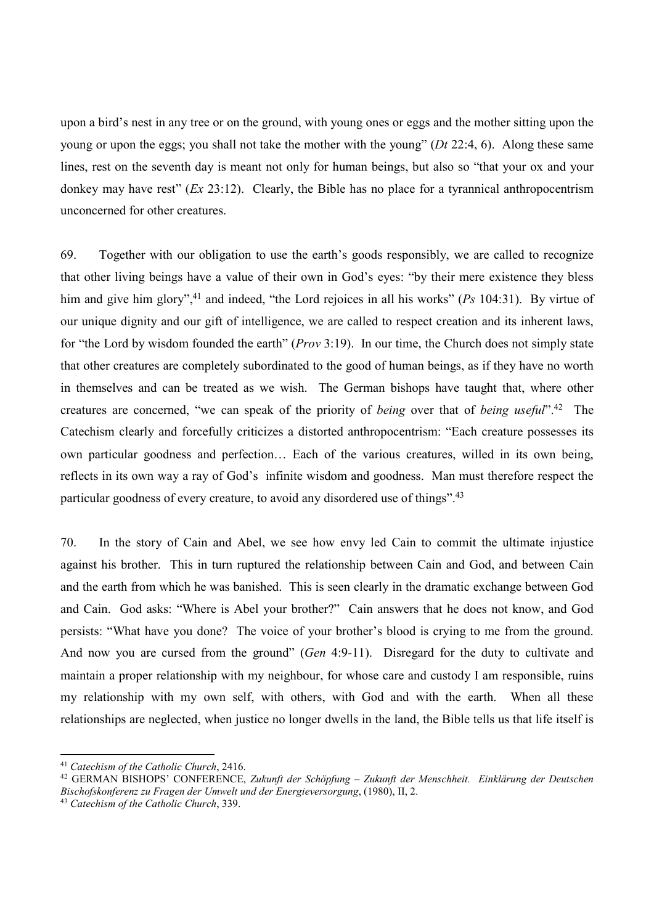upon a bird's nest in any tree or on the ground, with young ones or eggs and the mother sitting upon the young or upon the eggs; you shall not take the mother with the young" (*Dt* 22:4, 6). Along these same lines, rest on the seventh day is meant not only for human beings, but also so "that your ox and your donkey may have rest" (*Ex* 23:12). Clearly, the Bible has no place for a tyrannical anthropocentrism unconcerned for other creatures.

69. Together with our obligation to use the earth's goods responsibly, we are called to recognize that other living beings have a value of their own in God's eyes: "by their mere existence they bless him and give him glory",<sup>41</sup> and indeed, "the Lord rejoices in all his works" (*Ps* 104:31). By virtue of our unique dignity and our gift of intelligence, we are called to respect creation and its inherent laws, for "the Lord by wisdom founded the earth" (*Prov* 3:19). In our time, the Church does not simply state that other creatures are completely subordinated to the good of human beings, as if they have no worth in themselves and can be treated as we wish. The German bishops have taught that, where other creatures are concerned, "we can speak of the priority of *being* over that of *being useful*".42 The Catechism clearly and forcefully criticizes a distorted anthropocentrism: "Each creature possesses its own particular goodness and perfection… Each of the various creatures, willed in its own being, reflects in its own way a ray of God's infinite wisdom and goodness. Man must therefore respect the particular goodness of every creature, to avoid any disordered use of things".43

70. In the story of Cain and Abel, we see how envy led Cain to commit the ultimate injustice against his brother. This in turn ruptured the relationship between Cain and God, and between Cain and the earth from which he was banished. This is seen clearly in the dramatic exchange between God and Cain. God asks: "Where is Abel your brother?" Cain answers that he does not know, and God persists: "What have you done? The voice of your brother's blood is crying to me from the ground. And now you are cursed from the ground" (*Gen* 4:9-11). Disregard for the duty to cultivate and maintain a proper relationship with my neighbour, for whose care and custody I am responsible, ruins my relationship with my own self, with others, with God and with the earth. When all these relationships are neglected, when justice no longer dwells in the land, the Bible tells us that life itself is

 <sup>41</sup> *Catechism of the Catholic Church*, 2416.

<sup>42</sup> GERMAN BISHOPS' CONFERENCE, *Zukunft der Schöpfung – Zukunft der Menschheit. Einklärung der Deutschen Bischofskonferenz zu Fragen der Umwelt und der Energieversorgung*, (1980), II, 2.

<sup>43</sup> *Catechism of the Catholic Church*, 339.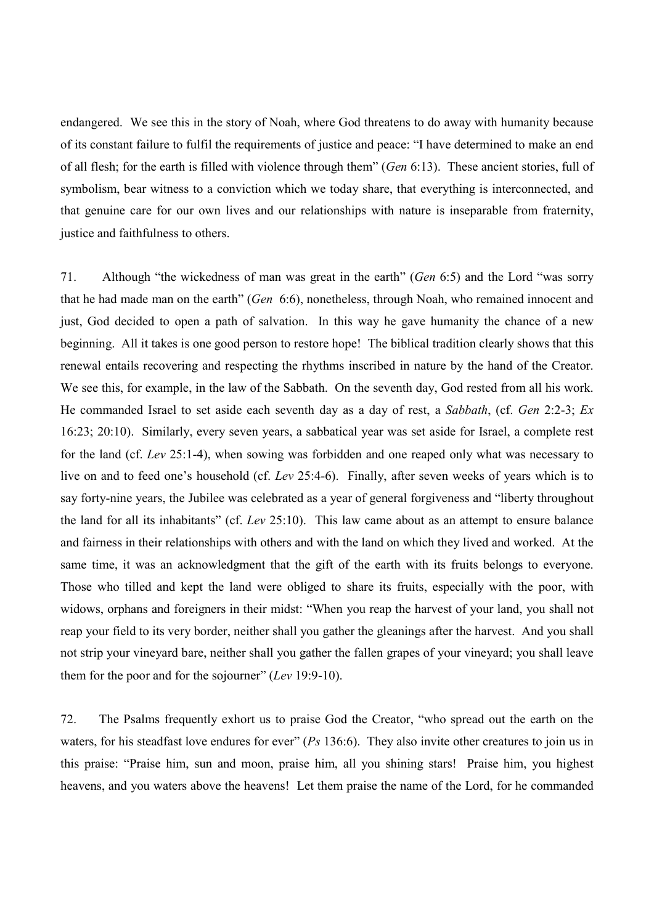endangered. We see this in the story of Noah, where God threatens to do away with humanity because of its constant failure to fulfil the requirements of justice and peace: "I have determined to make an end of all flesh; for the earth is filled with violence through them" (*Gen* 6:13). These ancient stories, full of symbolism, bear witness to a conviction which we today share, that everything is interconnected, and that genuine care for our own lives and our relationships with nature is inseparable from fraternity, justice and faithfulness to others.

71. Although "the wickedness of man was great in the earth" (*Gen* 6:5) and the Lord "was sorry that he had made man on the earth" (*Gen* 6:6), nonetheless, through Noah, who remained innocent and just, God decided to open a path of salvation. In this way he gave humanity the chance of a new beginning. All it takes is one good person to restore hope! The biblical tradition clearly shows that this renewal entails recovering and respecting the rhythms inscribed in nature by the hand of the Creator. We see this, for example, in the law of the Sabbath. On the seventh day, God rested from all his work. He commanded Israel to set aside each seventh day as a day of rest, a *Sabbath*, (cf. *Gen* 2:2-3; *Ex*  16:23; 20:10). Similarly, every seven years, a sabbatical year was set aside for Israel, a complete rest for the land (cf. *Lev* 25:1-4), when sowing was forbidden and one reaped only what was necessary to live on and to feed one's household (cf. *Lev* 25:4-6). Finally, after seven weeks of years which is to say forty-nine years, the Jubilee was celebrated as a year of general forgiveness and "liberty throughout the land for all its inhabitants" (cf. *Lev* 25:10). This law came about as an attempt to ensure balance and fairness in their relationships with others and with the land on which they lived and worked. At the same time, it was an acknowledgment that the gift of the earth with its fruits belongs to everyone. Those who tilled and kept the land were obliged to share its fruits, especially with the poor, with widows, orphans and foreigners in their midst: "When you reap the harvest of your land, you shall not reap your field to its very border, neither shall you gather the gleanings after the harvest. And you shall not strip your vineyard bare, neither shall you gather the fallen grapes of your vineyard; you shall leave them for the poor and for the sojourner" (*Lev* 19:9-10).

72. The Psalms frequently exhort us to praise God the Creator, "who spread out the earth on the waters, for his steadfast love endures for ever" (*Ps* 136:6). They also invite other creatures to join us in this praise: "Praise him, sun and moon, praise him, all you shining stars! Praise him, you highest heavens, and you waters above the heavens! Let them praise the name of the Lord, for he commanded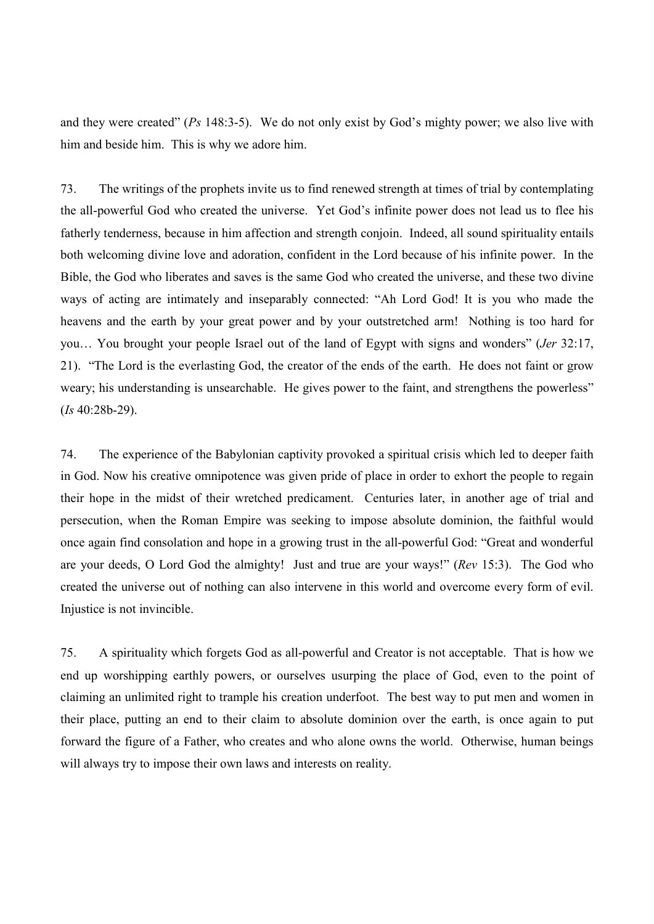and they were created" (*Ps* 148:3-5). We do not only exist by God's mighty power; we also live with him and beside him. This is why we adore him.

73. The writings of the prophets invite us to find renewed strength at times of trial by contemplating the all-powerful God who created the universe. Yet God's infinite power does not lead us to flee his fatherly tenderness, because in him affection and strength conjoin. Indeed, all sound spirituality entails both welcoming divine love and adoration, confident in the Lord because of his infinite power. In the Bible, the God who liberates and saves is the same God who created the universe, and these two divine ways of acting are intimately and inseparably connected: "Ah Lord God! It is you who made the heavens and the earth by your great power and by your outstretched arm! Nothing is too hard for you… You brought your people Israel out of the land of Egypt with signs and wonders" (*Jer* 32:17, 21). "The Lord is the everlasting God, the creator of the ends of the earth. He does not faint or grow weary; his understanding is unsearchable. He gives power to the faint, and strengthens the powerless" (*Is* 40:28b-29).

74. The experience of the Babylonian captivity provoked a spiritual crisis which led to deeper faith in God. Now his creative omnipotence was given pride of place in order to exhort the people to regain their hope in the midst of their wretched predicament. Centuries later, in another age of trial and persecution, when the Roman Empire was seeking to impose absolute dominion, the faithful would once again find consolation and hope in a growing trust in the all-powerful God: "Great and wonderful are your deeds, O Lord God the almighty! Just and true are your ways!" (*Rev* 15:3). The God who created the universe out of nothing can also intervene in this world and overcome every form of evil. Injustice is not invincible.

75. A spirituality which forgets God as all-powerful and Creator is not acceptable. That is how we end up worshipping earthly powers, or ourselves usurping the place of God, even to the point of claiming an unlimited right to trample his creation underfoot. The best way to put men and women in their place, putting an end to their claim to absolute dominion over the earth, is once again to put forward the figure of a Father, who creates and who alone owns the world. Otherwise, human beings will always try to impose their own laws and interests on reality.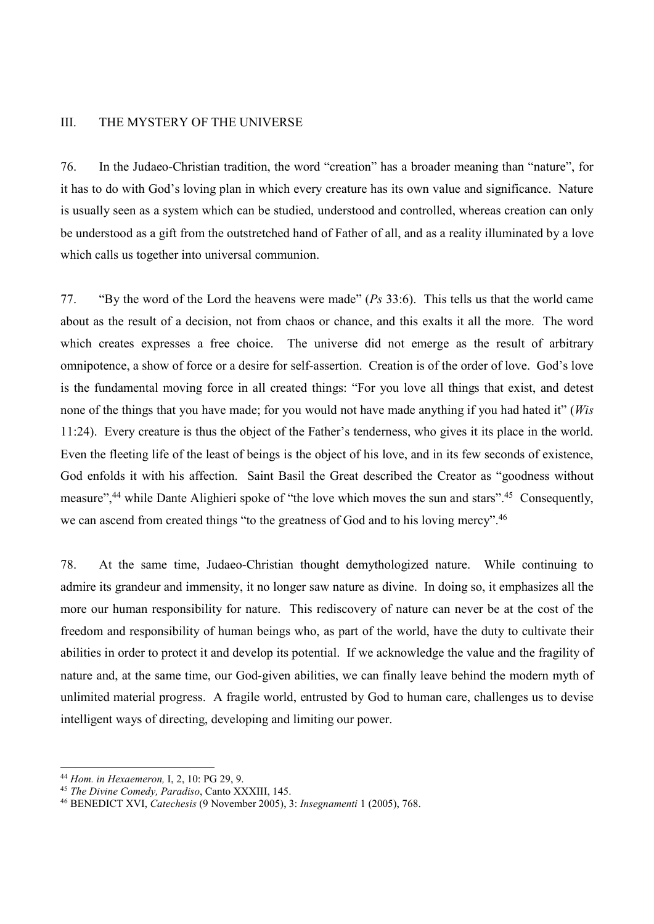#### III. THE MYSTERY OF THE UNIVERSE

76. In the Judaeo-Christian tradition, the word "creation" has a broader meaning than "nature", for it has to do with God's loving plan in which every creature has its own value and significance. Nature is usually seen as a system which can be studied, understood and controlled, whereas creation can only be understood as a gift from the outstretched hand of Father of all, and as a reality illuminated by a love which calls us together into universal communion.

77. "By the word of the Lord the heavens were made" (*Ps* 33:6). This tells us that the world came about as the result of a decision, not from chaos or chance, and this exalts it all the more. The word which creates expresses a free choice. The universe did not emerge as the result of arbitrary omnipotence, a show of force or a desire for self-assertion. Creation is of the order of love. God's love is the fundamental moving force in all created things: "For you love all things that exist, and detest none of the things that you have made; for you would not have made anything if you had hated it" (*Wis*  11:24). Every creature is thus the object of the Father's tenderness, who gives it its place in the world. Even the fleeting life of the least of beings is the object of his love, and in its few seconds of existence, God enfolds it with his affection. Saint Basil the Great described the Creator as "goodness without measure",<sup>44</sup> while Dante Alighieri spoke of "the love which moves the sun and stars",<sup>45</sup> Consequently, we can ascend from created things "to the greatness of God and to his loving mercy".<sup>46</sup>

78. At the same time, Judaeo-Christian thought demythologized nature. While continuing to admire its grandeur and immensity, it no longer saw nature as divine. In doing so, it emphasizes all the more our human responsibility for nature. This rediscovery of nature can never be at the cost of the freedom and responsibility of human beings who, as part of the world, have the duty to cultivate their abilities in order to protect it and develop its potential. If we acknowledge the value and the fragility of nature and, at the same time, our God-given abilities, we can finally leave behind the modern myth of unlimited material progress. A fragile world, entrusted by God to human care, challenges us to devise intelligent ways of directing, developing and limiting our power.

 <sup>44</sup> *Hom. in Hexaemeron,* I, 2, 10: PG 29, 9.

<sup>45</sup> *The Divine Comedy, Paradiso*, Canto XXXIII, 145.

<sup>46</sup> BENEDICT XVI, *Catechesis* (9 November 2005), 3: *Insegnamenti* 1 (2005), 768.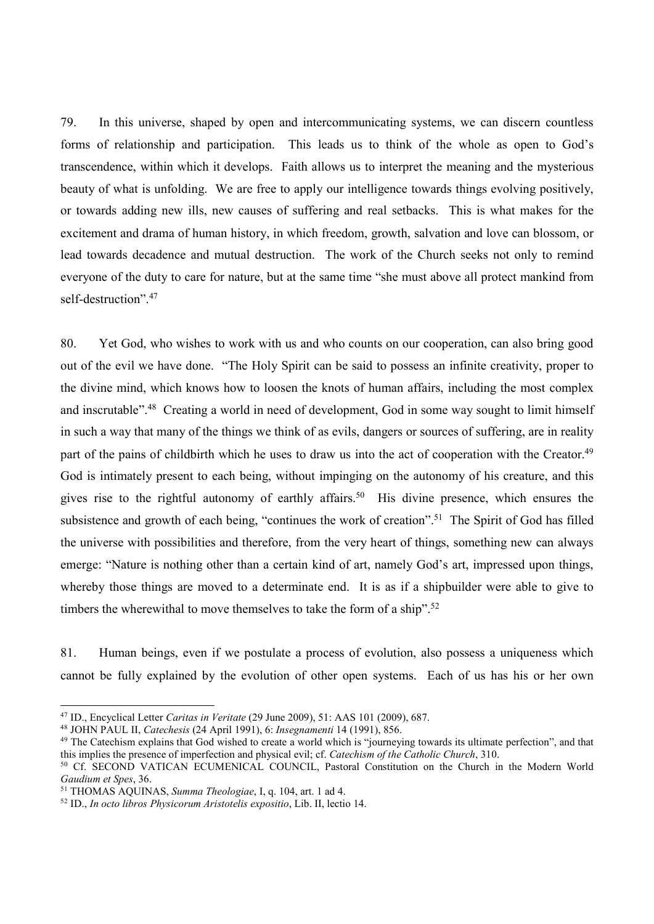79. In this universe, shaped by open and intercommunicating systems, we can discern countless forms of relationship and participation. This leads us to think of the whole as open to God's transcendence, within which it develops. Faith allows us to interpret the meaning and the mysterious beauty of what is unfolding. We are free to apply our intelligence towards things evolving positively, or towards adding new ills, new causes of suffering and real setbacks. This is what makes for the excitement and drama of human history, in which freedom, growth, salvation and love can blossom, or lead towards decadence and mutual destruction. The work of the Church seeks not only to remind everyone of the duty to care for nature, but at the same time "she must above all protect mankind from self-destruction".<sup>47</sup>

80. Yet God, who wishes to work with us and who counts on our cooperation, can also bring good out of the evil we have done. "The Holy Spirit can be said to possess an infinite creativity, proper to the divine mind, which knows how to loosen the knots of human affairs, including the most complex and inscrutable".<sup>48</sup> Creating a world in need of development, God in some way sought to limit himself in such a way that many of the things we think of as evils, dangers or sources of suffering, are in reality part of the pains of childbirth which he uses to draw us into the act of cooperation with the Creator.<sup>49</sup> God is intimately present to each being, without impinging on the autonomy of his creature, and this gives rise to the rightful autonomy of earthly affairs.<sup>50</sup> His divine presence, which ensures the subsistence and growth of each being, "continues the work of creation".<sup>51</sup> The Spirit of God has filled the universe with possibilities and therefore, from the very heart of things, something new can always emerge: "Nature is nothing other than a certain kind of art, namely God's art, impressed upon things, whereby those things are moved to a determinate end. It is as if a shipbuilder were able to give to timbers the wherewithal to move themselves to take the form of a ship".<sup>52</sup>

81. Human beings, even if we postulate a process of evolution, also possess a uniqueness which cannot be fully explained by the evolution of other open systems. Each of us has his or her own

 <sup>47</sup> ID., Encyclical Letter *Caritas in Veritate* (29 June 2009), 51: AAS 101 (2009), 687.

<sup>48</sup> JOHN PAUL II, *Catechesis* (24 April 1991), 6: *Insegnamenti* 14 (1991), 856.

<sup>&</sup>lt;sup>49</sup> The Catechism explains that God wished to create a world which is "journeying towards its ultimate perfection", and that this implies the presence of imperfection and physical evil; cf. *Catechism of the Catholic Church*, 310.

<sup>50</sup> Cf. SECOND VATICAN ECUMENICAL COUNCIL, Pastoral Constitution on the Church in the Modern World *Gaudium et Spes*, 36.

<sup>51</sup> THOMAS AQUINAS, *Summa Theologiae*, I, q. 104, art. 1 ad 4.

<sup>52</sup> ID., *In octo libros Physicorum Aristotelis expositio*, Lib. II, lectio 14.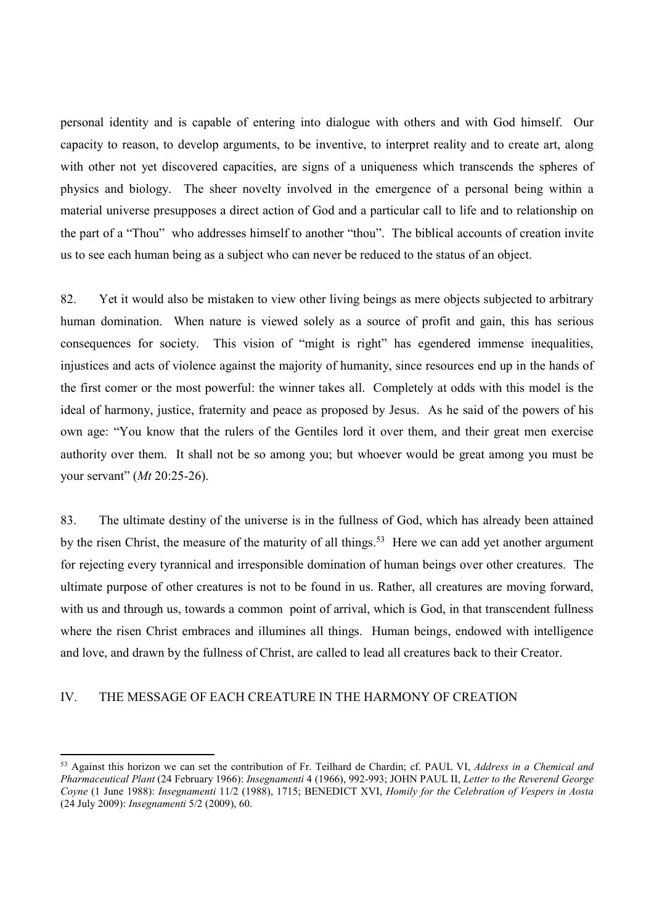personal identity and is capable of entering into dialogue with others and with God himself. Our capacity to reason, to develop arguments, to be inventive, to interpret reality and to create art, along with other not yet discovered capacities, are signs of a uniqueness which transcends the spheres of physics and biology. The sheer novelty involved in the emergence of a personal being within a material universe presupposes a direct action of God and a particular call to life and to relationship on the part of a "Thou" who addresses himself to another "thou". The biblical accounts of creation invite us to see each human being as a subject who can never be reduced to the status of an object.

82. Yet it would also be mistaken to view other living beings as mere objects subjected to arbitrary human domination. When nature is viewed solely as a source of profit and gain, this has serious consequences for society. This vision of "might is right" has egendered immense inequalities, injustices and acts of violence against the majority of humanity, since resources end up in the hands of the first comer or the most powerful: the winner takes all. Completely at odds with this model is the ideal of harmony, justice, fraternity and peace as proposed by Jesus. As he said of the powers of his own age: "You know that the rulers of the Gentiles lord it over them, and their great men exercise authority over them. It shall not be so among you; but whoever would be great among you must be your servant" (*Mt* 20:25-26).

83. The ultimate destiny of the universe is in the fullness of God, which has already been attained by the risen Christ, the measure of the maturity of all things.<sup>53</sup> Here we can add yet another argument for rejecting every tyrannical and irresponsible domination of human beings over other creatures. The ultimate purpose of other creatures is not to be found in us. Rather, all creatures are moving forward, with us and through us, towards a common point of arrival, which is God, in that transcendent fullness where the risen Christ embraces and illumines all things. Human beings, endowed with intelligence and love, and drawn by the fullness of Christ, are called to lead all creatures back to their Creator.

### IV. THE MESSAGE OF EACH CREATURE IN THE HARMONY OF CREATION

 <sup>53</sup> Against this horizon we can set the contribution of Fr. Teilhard de Chardin; cf. PAUL VI, *Address in a Chemical and Pharmaceutical Plant* (24 February 1966): *Insegnamenti* 4 (1966), 992-993; JOHN PAUL II, *Letter to the Reverend George Coyne* (1 June 1988): *Insegnamenti* 11/2 (1988), 1715; BENEDICT XVI, *Homily for the Celebration of Vespers in Aosta*  (24 July 2009): *Insegnamenti* 5/2 (2009), 60.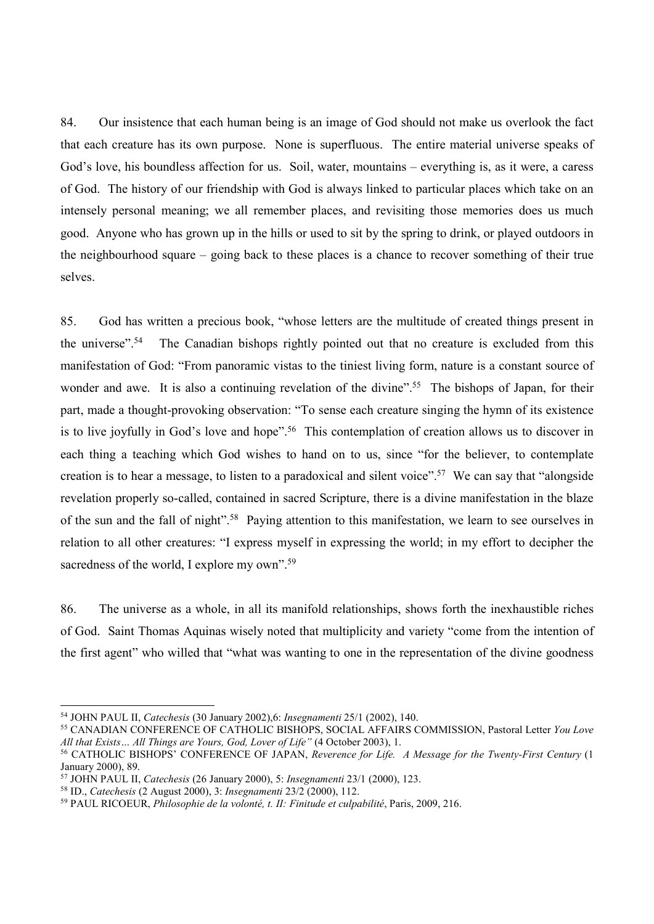84. Our insistence that each human being is an image of God should not make us overlook the fact that each creature has its own purpose. None is superfluous. The entire material universe speaks of God's love, his boundless affection for us. Soil, water, mountains – everything is, as it were, a caress of God. The history of our friendship with God is always linked to particular places which take on an intensely personal meaning; we all remember places, and revisiting those memories does us much good. Anyone who has grown up in the hills or used to sit by the spring to drink, or played outdoors in the neighbourhood square – going back to these places is a chance to recover something of their true selves.

85. God has written a precious book, "whose letters are the multitude of created things present in the universe".54 The Canadian bishops rightly pointed out that no creature is excluded from this manifestation of God: "From panoramic vistas to the tiniest living form, nature is a constant source of wonder and awe. It is also a continuing revelation of the divine".<sup>55</sup> The bishops of Japan, for their part, made a thought-provoking observation: "To sense each creature singing the hymn of its existence is to live joyfully in God's love and hope".<sup>56</sup> This contemplation of creation allows us to discover in each thing a teaching which God wishes to hand on to us, since "for the believer, to contemplate creation is to hear a message, to listen to a paradoxical and silent voice".57 We can say that "alongside revelation properly so-called, contained in sacred Scripture, there is a divine manifestation in the blaze of the sun and the fall of night".58 Paying attention to this manifestation, we learn to see ourselves in relation to all other creatures: "I express myself in expressing the world; in my effort to decipher the sacredness of the world, I explore my own".<sup>59</sup>

86. The universe as a whole, in all its manifold relationships, shows forth the inexhaustible riches of God. Saint Thomas Aquinas wisely noted that multiplicity and variety "come from the intention of the first agent" who willed that "what was wanting to one in the representation of the divine goodness

 <sup>54</sup> JOHN PAUL II, *Catechesis* (30 January 2002),6: *Insegnamenti* 25/1 (2002), 140.

<sup>55</sup> CANADIAN CONFERENCE OF CATHOLIC BISHOPS, SOCIAL AFFAIRS COMMISSION, Pastoral Letter *You Love All that Exists… All Things are Yours, God, Lover of Life"* (4 October 2003), 1.

<sup>56</sup> CATHOLIC BISHOPS' CONFERENCE OF JAPAN, *Reverence for Life. A Message for the Twenty-First Century* (1 January 2000), 89.

<sup>57</sup> JOHN PAUL II, *Catechesis* (26 January 2000), 5: *Insegnamenti* 23/1 (2000), 123.

<sup>58</sup> ID., *Catechesis* (2 August 2000), 3: *Insegnamenti* 23/2 (2000), 112.

<sup>59</sup> PAUL RICOEUR, *Philosophie de la volonté, t. II: Finitude et culpabilité*, Paris, 2009, 216.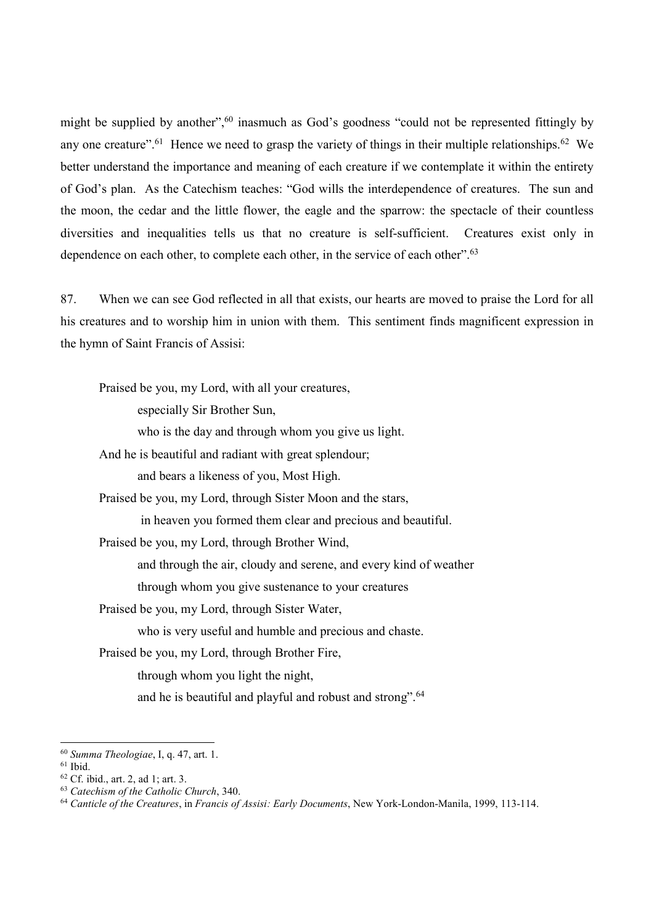might be supplied by another",<sup>60</sup> inasmuch as God's goodness "could not be represented fittingly by any one creature".<sup>61</sup> Hence we need to grasp the variety of things in their multiple relationships.<sup>62</sup> We better understand the importance and meaning of each creature if we contemplate it within the entirety of God's plan. As the Catechism teaches: "God wills the interdependence of creatures. The sun and the moon, the cedar and the little flower, the eagle and the sparrow: the spectacle of their countless diversities and inequalities tells us that no creature is self-sufficient. Creatures exist only in dependence on each other, to complete each other, in the service of each other".<sup>63</sup>

87. When we can see God reflected in all that exists, our hearts are moved to praise the Lord for all his creatures and to worship him in union with them. This sentiment finds magnificent expression in the hymn of Saint Francis of Assisi:

Praised be you, my Lord, with all your creatures,

especially Sir Brother Sun,

who is the day and through whom you give us light.

And he is beautiful and radiant with great splendour;

and bears a likeness of you, Most High.

Praised be you, my Lord, through Sister Moon and the stars,

in heaven you formed them clear and precious and beautiful.

Praised be you, my Lord, through Brother Wind,

and through the air, cloudy and serene, and every kind of weather

through whom you give sustenance to your creatures

Praised be you, my Lord, through Sister Water,

who is very useful and humble and precious and chaste.

Praised be you, my Lord, through Brother Fire,

through whom you light the night,

and he is beautiful and playful and robust and strong".<sup>64</sup>

 <sup>60</sup> *Summa Theologiae*, I, q. 47, art. 1.

 $61$  Ibid.

<sup>62</sup> Cf. ibid., art. 2, ad 1; art. 3.

<sup>63</sup> *Catechism of the Catholic Church*, 340.

<sup>64</sup> *Canticle of the Creatures*, in *Francis of Assisi: Early Documents*, New York-London-Manila, 1999, 113-114.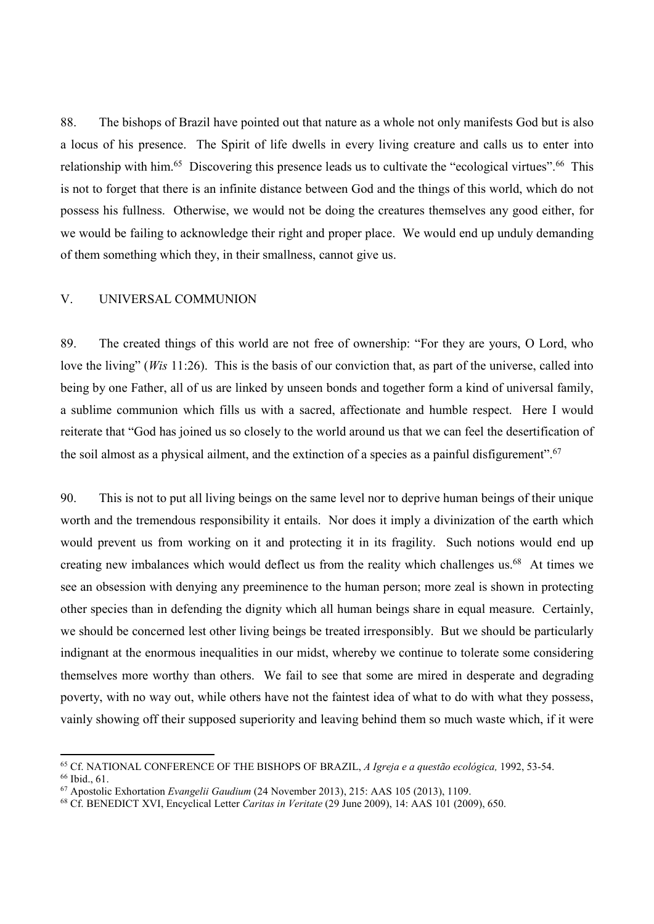88. The bishops of Brazil have pointed out that nature as a whole not only manifests God but is also a locus of his presence. The Spirit of life dwells in every living creature and calls us to enter into relationship with him.<sup>65</sup> Discovering this presence leads us to cultivate the "ecological virtues".<sup>66</sup> This is not to forget that there is an infinite distance between God and the things of this world, which do not possess his fullness. Otherwise, we would not be doing the creatures themselves any good either, for we would be failing to acknowledge their right and proper place. We would end up unduly demanding of them something which they, in their smallness, cannot give us.

# V. UNIVERSAL COMMUNION

89. The created things of this world are not free of ownership: "For they are yours, O Lord, who love the living" (*Wis* 11:26). This is the basis of our conviction that, as part of the universe, called into being by one Father, all of us are linked by unseen bonds and together form a kind of universal family, a sublime communion which fills us with a sacred, affectionate and humble respect. Here I would reiterate that "God has joined us so closely to the world around us that we can feel the desertification of the soil almost as a physical ailment, and the extinction of a species as a painful disfigurement".67

90. This is not to put all living beings on the same level nor to deprive human beings of their unique worth and the tremendous responsibility it entails. Nor does it imply a divinization of the earth which would prevent us from working on it and protecting it in its fragility. Such notions would end up creating new imbalances which would deflect us from the reality which challenges us.68 At times we see an obsession with denying any preeminence to the human person; more zeal is shown in protecting other species than in defending the dignity which all human beings share in equal measure. Certainly, we should be concerned lest other living beings be treated irresponsibly. But we should be particularly indignant at the enormous inequalities in our midst, whereby we continue to tolerate some considering themselves more worthy than others. We fail to see that some are mired in desperate and degrading poverty, with no way out, while others have not the faintest idea of what to do with what they possess, vainly showing off their supposed superiority and leaving behind them so much waste which, if it were

 <sup>65</sup> Cf. NATIONAL CONFERENCE OF THE BISHOPS OF BRAZIL, *A Igreja e a questão ecológica,* 1992, 53-54. <sup>66</sup> Ibid., 61.

<sup>67</sup> Apostolic Exhortation *Evangelii Gaudium* (24 November 2013), 215: AAS 105 (2013), 1109.

<sup>68</sup> Cf. BENEDICT XVI, Encyclical Letter *Caritas in Veritate* (29 June 2009), 14: AAS 101 (2009), 650.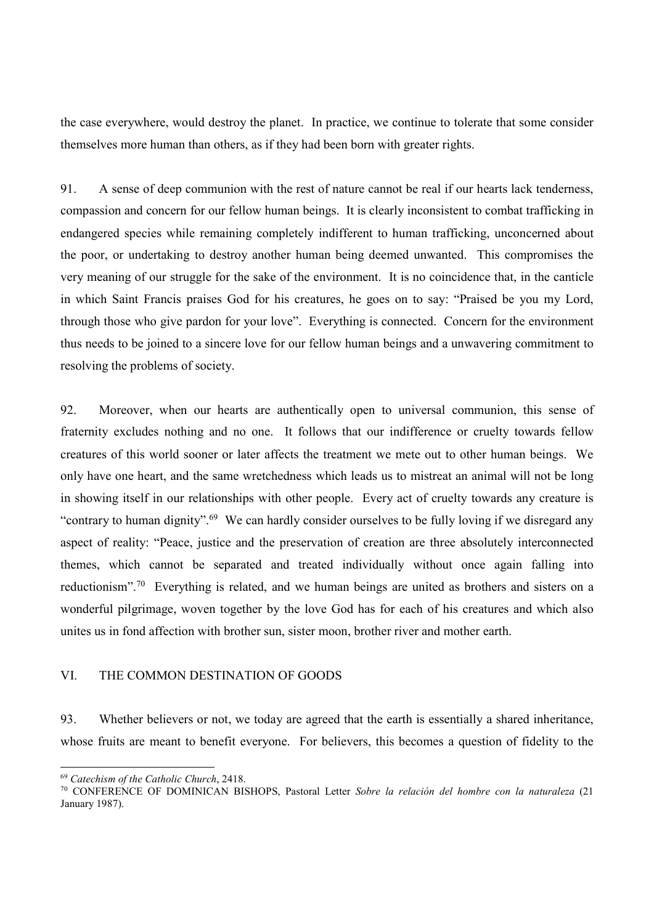the case everywhere, would destroy the planet. In practice, we continue to tolerate that some consider themselves more human than others, as if they had been born with greater rights.

91. A sense of deep communion with the rest of nature cannot be real if our hearts lack tenderness, compassion and concern for our fellow human beings. It is clearly inconsistent to combat trafficking in endangered species while remaining completely indifferent to human trafficking, unconcerned about the poor, or undertaking to destroy another human being deemed unwanted. This compromises the very meaning of our struggle for the sake of the environment. It is no coincidence that, in the canticle in which Saint Francis praises God for his creatures, he goes on to say: "Praised be you my Lord, through those who give pardon for your love". Everything is connected. Concern for the environment thus needs to be joined to a sincere love for our fellow human beings and a unwavering commitment to resolving the problems of society.

92. Moreover, when our hearts are authentically open to universal communion, this sense of fraternity excludes nothing and no one. It follows that our indifference or cruelty towards fellow creatures of this world sooner or later affects the treatment we mete out to other human beings. We only have one heart, and the same wretchedness which leads us to mistreat an animal will not be long in showing itself in our relationships with other people. Every act of cruelty towards any creature is "contrary to human dignity".<sup>69</sup> We can hardly consider ourselves to be fully loving if we disregard any aspect of reality: "Peace, justice and the preservation of creation are three absolutely interconnected themes, which cannot be separated and treated individually without once again falling into reductionism".70 Everything is related, and we human beings are united as brothers and sisters on a wonderful pilgrimage, woven together by the love God has for each of his creatures and which also unites us in fond affection with brother sun, sister moon, brother river and mother earth.

# VI. THE COMMON DESTINATION OF GOODS

93. Whether believers or not, we today are agreed that the earth is essentially a shared inheritance, whose fruits are meant to benefit everyone. For believers, this becomes a question of fidelity to the

 <sup>69</sup> *Catechism of the Catholic Church*, 2418.

<sup>70</sup> CONFERENCE OF DOMINICAN BISHOPS, Pastoral Letter *Sobre la relación del hombre con la naturaleza* (21 January 1987).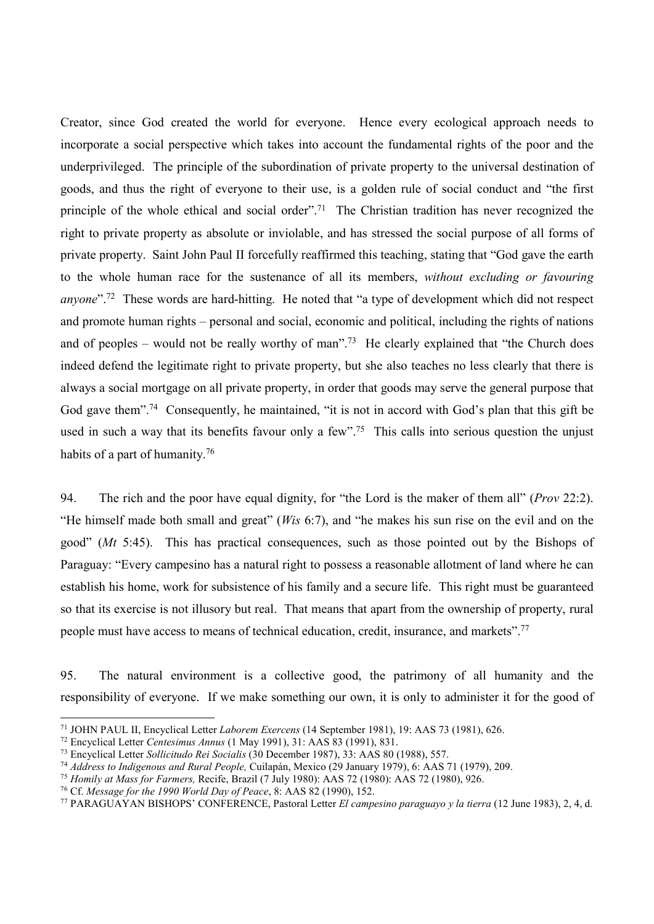Creator, since God created the world for everyone. Hence every ecological approach needs to incorporate a social perspective which takes into account the fundamental rights of the poor and the underprivileged. The principle of the subordination of private property to the universal destination of goods, and thus the right of everyone to their use, is a golden rule of social conduct and "the first principle of the whole ethical and social order".<sup>71</sup> The Christian tradition has never recognized the right to private property as absolute or inviolable, and has stressed the social purpose of all forms of private property. Saint John Paul II forcefully reaffirmed this teaching, stating that "God gave the earth to the whole human race for the sustenance of all its members, *without excluding or favouring anyone*".72 These words are hard-hitting. He noted that "a type of development which did not respect and promote human rights – personal and social, economic and political, including the rights of nations and of peoples – would not be really worthy of man".<sup>73</sup> He clearly explained that "the Church does" indeed defend the legitimate right to private property, but she also teaches no less clearly that there is always a social mortgage on all private property, in order that goods may serve the general purpose that God gave them".<sup>74</sup> Consequently, he maintained, "it is not in accord with God's plan that this gift be used in such a way that its benefits favour only a few".<sup>75</sup> This calls into serious question the unjust habits of a part of humanity.<sup>76</sup>

94. The rich and the poor have equal dignity, for "the Lord is the maker of them all" (*Prov* 22:2). "He himself made both small and great" (*Wis* 6:7), and "he makes his sun rise on the evil and on the good" (*Mt* 5:45). This has practical consequences, such as those pointed out by the Bishops of Paraguay: "Every campesino has a natural right to possess a reasonable allotment of land where he can establish his home, work for subsistence of his family and a secure life. This right must be guaranteed so that its exercise is not illusory but real. That means that apart from the ownership of property, rural people must have access to means of technical education, credit, insurance, and markets".77

95. The natural environment is a collective good, the patrimony of all humanity and the responsibility of everyone. If we make something our own, it is only to administer it for the good of

 <sup>71</sup> JOHN PAUL II, Encyclical Letter *Laborem Exercens* (14 September 1981), 19: AAS 73 (1981), 626.

<sup>72</sup> Encyclical Letter *Centesimus Annus* (1 May 1991), 31: AAS 83 (1991), 831.

<sup>73</sup> Encyclical Letter *Sollicitudo Rei Socialis* (30 December 1987), 33: AAS 80 (1988), 557.

<sup>74</sup> *Address to Indigenous and Rural People,* Cuilapán, Mexico (29 January 1979), 6: AAS 71 (1979), 209.

<sup>75</sup> *Homily at Mass for Farmers,* Recife, Brazil (7 July 1980): AAS 72 (1980): AAS 72 (1980), 926.

<sup>76</sup> Cf. *Message for the 1990 World Day of Peace*, 8: AAS 82 (1990), 152.

<sup>77</sup> PARAGUAYAN BISHOPS' CONFERENCE, Pastoral Letter *El campesino paraguayo y la tierra* (12 June 1983), 2, 4, d.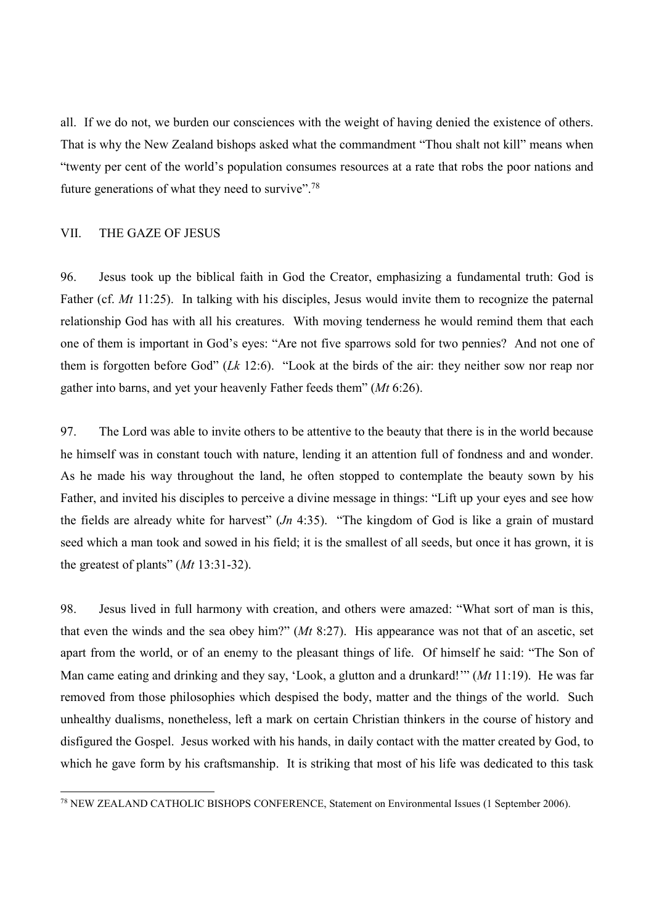all. If we do not, we burden our consciences with the weight of having denied the existence of others. That is why the New Zealand bishops asked what the commandment "Thou shalt not kill" means when "twenty per cent of the world's population consumes resources at a rate that robs the poor nations and future generations of what they need to survive".78

## VII. THE GAZE OF JESUS

96. Jesus took up the biblical faith in God the Creator, emphasizing a fundamental truth: God is Father (cf. *Mt* 11:25). In talking with his disciples, Jesus would invite them to recognize the paternal relationship God has with all his creatures. With moving tenderness he would remind them that each one of them is important in God's eyes: "Are not five sparrows sold for two pennies? And not one of them is forgotten before God" (*Lk* 12:6). "Look at the birds of the air: they neither sow nor reap nor gather into barns, and yet your heavenly Father feeds them" (*Mt* 6:26).

97. The Lord was able to invite others to be attentive to the beauty that there is in the world because he himself was in constant touch with nature, lending it an attention full of fondness and and wonder. As he made his way throughout the land, he often stopped to contemplate the beauty sown by his Father, and invited his disciples to perceive a divine message in things: "Lift up your eyes and see how the fields are already white for harvest" (*Jn* 4:35). "The kingdom of God is like a grain of mustard seed which a man took and sowed in his field; it is the smallest of all seeds, but once it has grown, it is the greatest of plants" (*Mt* 13:31-32).

98. Jesus lived in full harmony with creation, and others were amazed: "What sort of man is this, that even the winds and the sea obey him?" (*Mt* 8:27). His appearance was not that of an ascetic, set apart from the world, or of an enemy to the pleasant things of life. Of himself he said: "The Son of Man came eating and drinking and they say, 'Look, a glutton and a drunkard!'" (*Mt* 11:19). He was far removed from those philosophies which despised the body, matter and the things of the world. Such unhealthy dualisms, nonetheless, left a mark on certain Christian thinkers in the course of history and disfigured the Gospel. Jesus worked with his hands, in daily contact with the matter created by God, to which he gave form by his craftsmanship. It is striking that most of his life was dedicated to this task

 <sup>78</sup> NEW ZEALAND CATHOLIC BISHOPS CONFERENCE, Statement on Environmental Issues (1 September 2006).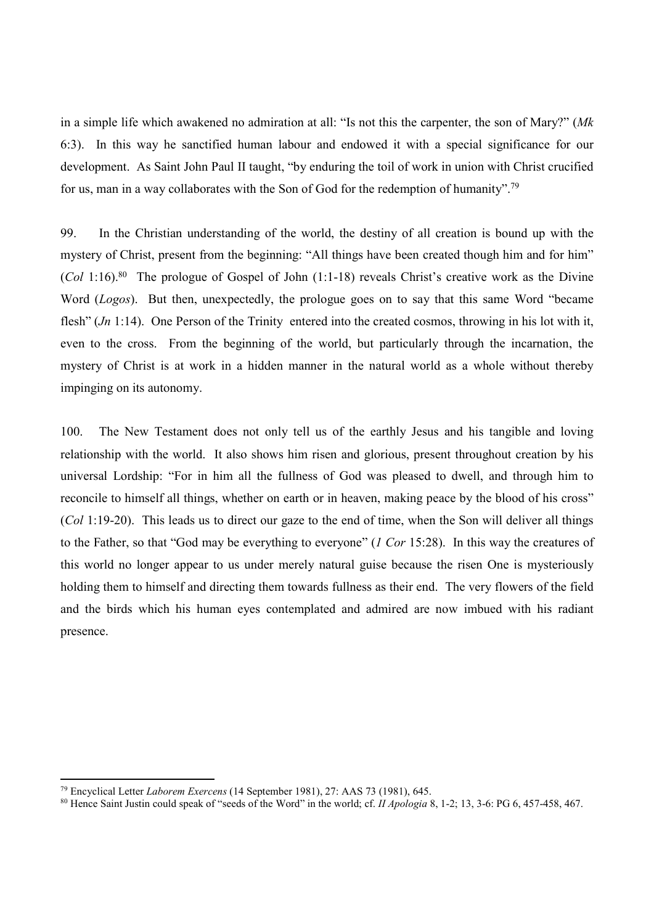in a simple life which awakened no admiration at all: "Is not this the carpenter, the son of Mary?" (*Mk*  6:3). In this way he sanctified human labour and endowed it with a special significance for our development. As Saint John Paul II taught, "by enduring the toil of work in union with Christ crucified for us, man in a way collaborates with the Son of God for the redemption of humanity".<sup>79</sup>

99. In the Christian understanding of the world, the destiny of all creation is bound up with the mystery of Christ, present from the beginning: "All things have been created though him and for him" (*Col* 1:16).80 The prologue of Gospel of John (1:1-18) reveals Christ's creative work as the Divine Word (*Logos*). But then, unexpectedly, the prologue goes on to say that this same Word "became flesh" (*Jn* 1:14). One Person of the Trinity entered into the created cosmos, throwing in his lot with it, even to the cross. From the beginning of the world, but particularly through the incarnation, the mystery of Christ is at work in a hidden manner in the natural world as a whole without thereby impinging on its autonomy.

100. The New Testament does not only tell us of the earthly Jesus and his tangible and loving relationship with the world. It also shows him risen and glorious, present throughout creation by his universal Lordship: "For in him all the fullness of God was pleased to dwell, and through him to reconcile to himself all things, whether on earth or in heaven, making peace by the blood of his cross" (*Col* 1:19-20). This leads us to direct our gaze to the end of time, when the Son will deliver all things to the Father, so that "God may be everything to everyone" (*1 Cor* 15:28). In this way the creatures of this world no longer appear to us under merely natural guise because the risen One is mysteriously holding them to himself and directing them towards fullness as their end. The very flowers of the field and the birds which his human eyes contemplated and admired are now imbued with his radiant presence.

 <sup>79</sup> Encyclical Letter *Laborem Exercens* (14 September 1981), 27: AAS 73 (1981), 645.

<sup>80</sup> Hence Saint Justin could speak of "seeds of the Word" in the world; cf. *II Apologia* 8, 1-2; 13, 3-6: PG 6, 457-458, 467.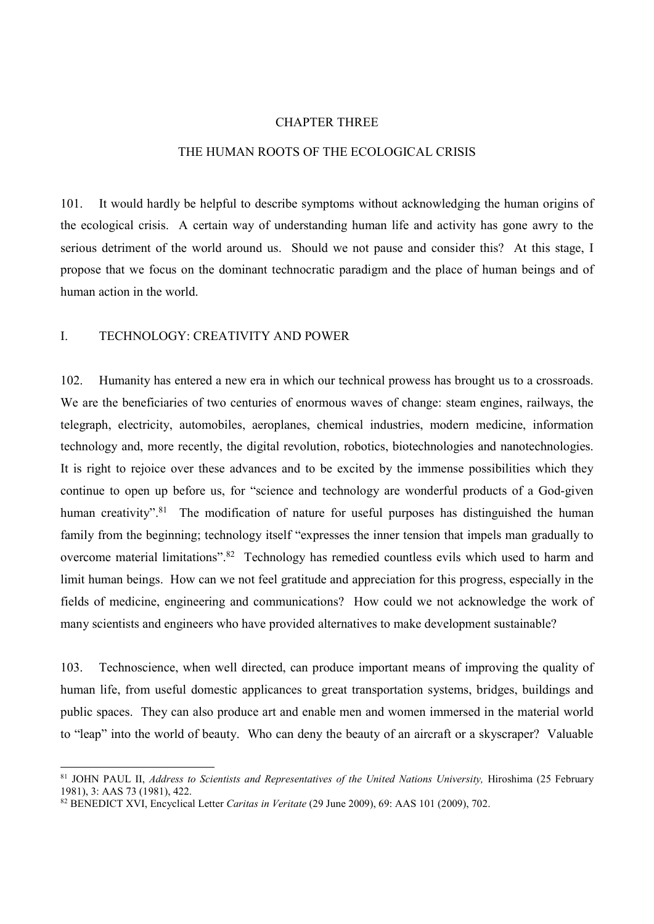#### CHAPTER THREE

# THE HUMAN ROOTS OF THE ECOLOGICAL CRISIS

101. It would hardly be helpful to describe symptoms without acknowledging the human origins of the ecological crisis. A certain way of understanding human life and activity has gone awry to the serious detriment of the world around us. Should we not pause and consider this? At this stage, I propose that we focus on the dominant technocratic paradigm and the place of human beings and of human action in the world.

#### I. TECHNOLOGY: CREATIVITY AND POWER

102. Humanity has entered a new era in which our technical prowess has brought us to a crossroads. We are the beneficiaries of two centuries of enormous waves of change: steam engines, railways, the telegraph, electricity, automobiles, aeroplanes, chemical industries, modern medicine, information technology and, more recently, the digital revolution, robotics, biotechnologies and nanotechnologies. It is right to rejoice over these advances and to be excited by the immense possibilities which they continue to open up before us, for "science and technology are wonderful products of a God-given human creativity".<sup>81</sup> The modification of nature for useful purposes has distinguished the human family from the beginning; technology itself "expresses the inner tension that impels man gradually to overcome material limitations".<sup>82</sup> Technology has remedied countless evils which used to harm and limit human beings. How can we not feel gratitude and appreciation for this progress, especially in the fields of medicine, engineering and communications? How could we not acknowledge the work of many scientists and engineers who have provided alternatives to make development sustainable?

103. Technoscience, when well directed, can produce important means of improving the quality of human life, from useful domestic applicances to great transportation systems, bridges, buildings and public spaces. They can also produce art and enable men and women immersed in the material world to "leap" into the world of beauty. Who can deny the beauty of an aircraft or a skyscraper? Valuable

 <sup>81</sup> JOHN PAUL II, *Address to Scientists and Representatives of the United Nations University,* Hiroshima (25 February 1981), 3: AAS 73 (1981), 422.

<sup>82</sup> BENEDICT XVI, Encyclical Letter *Caritas in Veritate* (29 June 2009), 69: AAS 101 (2009), 702.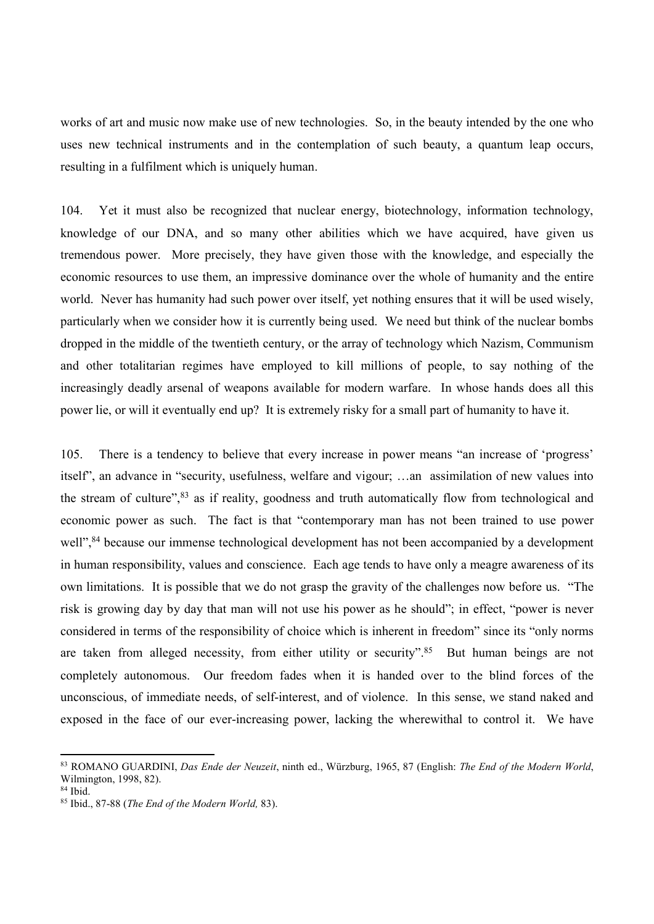works of art and music now make use of new technologies. So, in the beauty intended by the one who uses new technical instruments and in the contemplation of such beauty, a quantum leap occurs, resulting in a fulfilment which is uniquely human.

104. Yet it must also be recognized that nuclear energy, biotechnology, information technology, knowledge of our DNA, and so many other abilities which we have acquired, have given us tremendous power. More precisely, they have given those with the knowledge, and especially the economic resources to use them, an impressive dominance over the whole of humanity and the entire world. Never has humanity had such power over itself, yet nothing ensures that it will be used wisely, particularly when we consider how it is currently being used. We need but think of the nuclear bombs dropped in the middle of the twentieth century, or the array of technology which Nazism, Communism and other totalitarian regimes have employed to kill millions of people, to say nothing of the increasingly deadly arsenal of weapons available for modern warfare. In whose hands does all this power lie, or will it eventually end up? It is extremely risky for a small part of humanity to have it.

105. There is a tendency to believe that every increase in power means "an increase of 'progress' itself", an advance in "security, usefulness, welfare and vigour; …an assimilation of new values into the stream of culture",<sup>83</sup> as if reality, goodness and truth automatically flow from technological and economic power as such. The fact is that "contemporary man has not been trained to use power well".<sup>84</sup> because our immense technological development has not been accompanied by a development in human responsibility, values and conscience. Each age tends to have only a meagre awareness of its own limitations. It is possible that we do not grasp the gravity of the challenges now before us. "The risk is growing day by day that man will not use his power as he should"; in effect, "power is never considered in terms of the responsibility of choice which is inherent in freedom" since its "only norms are taken from alleged necessity, from either utility or security".<sup>85</sup> But human beings are not completely autonomous. Our freedom fades when it is handed over to the blind forces of the unconscious, of immediate needs, of self-interest, and of violence. In this sense, we stand naked and exposed in the face of our ever-increasing power, lacking the wherewithal to control it. We have

 <sup>83</sup> ROMANO GUARDINI, *Das Ende der Neuzeit*, ninth ed., Würzburg, 1965, 87 (English: *The End of the Modern World*, Wilmington, 1998, 82).

<sup>84</sup> Ibid.

<sup>85</sup> Ibid., 87-88 (*The End of the Modern World,* 83).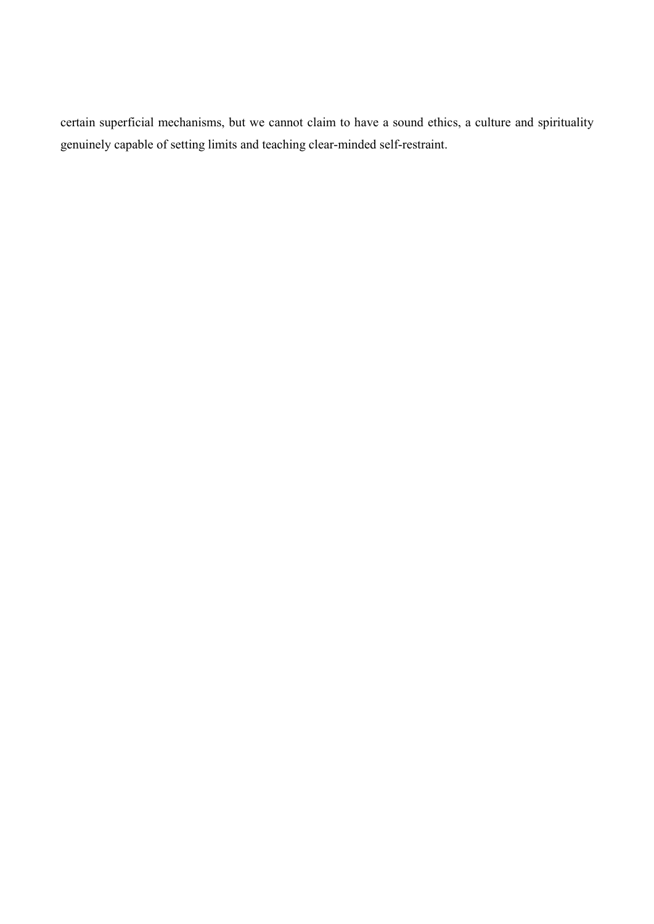certain superficial mechanisms, but we cannot claim to have a sound ethics, a culture and spirituality genuinely capable of setting limits and teaching clear-minded self-restraint.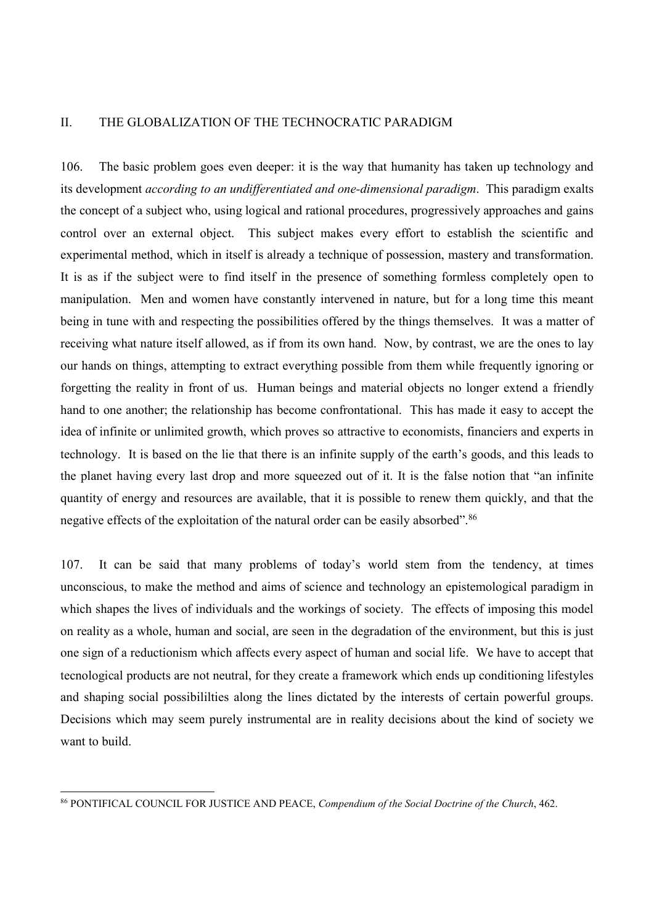# II. THE GLOBALIZATION OF THE TECHNOCRATIC PARADIGM

106. The basic problem goes even deeper: it is the way that humanity has taken up technology and its development *according to an undifferentiated and one-dimensional paradigm*. This paradigm exalts the concept of a subject who, using logical and rational procedures, progressively approaches and gains control over an external object. This subject makes every effort to establish the scientific and experimental method, which in itself is already a technique of possession, mastery and transformation. It is as if the subject were to find itself in the presence of something formless completely open to manipulation. Men and women have constantly intervened in nature, but for a long time this meant being in tune with and respecting the possibilities offered by the things themselves. It was a matter of receiving what nature itself allowed, as if from its own hand. Now, by contrast, we are the ones to lay our hands on things, attempting to extract everything possible from them while frequently ignoring or forgetting the reality in front of us. Human beings and material objects no longer extend a friendly hand to one another; the relationship has become confrontational. This has made it easy to accept the idea of infinite or unlimited growth, which proves so attractive to economists, financiers and experts in technology. It is based on the lie that there is an infinite supply of the earth's goods, and this leads to the planet having every last drop and more squeezed out of it. It is the false notion that "an infinite quantity of energy and resources are available, that it is possible to renew them quickly, and that the negative effects of the exploitation of the natural order can be easily absorbed".<sup>86</sup>

107. It can be said that many problems of today's world stem from the tendency, at times unconscious, to make the method and aims of science and technology an epistemological paradigm in which shapes the lives of individuals and the workings of society. The effects of imposing this model on reality as a whole, human and social, are seen in the degradation of the environment, but this is just one sign of a reductionism which affects every aspect of human and social life. We have to accept that tecnological products are not neutral, for they create a framework which ends up conditioning lifestyles and shaping social possibililties along the lines dictated by the interests of certain powerful groups. Decisions which may seem purely instrumental are in reality decisions about the kind of society we want to build.

 <sup>86</sup> PONTIFICAL COUNCIL FOR JUSTICE AND PEACE, *Compendium of the Social Doctrine of the Church*, 462.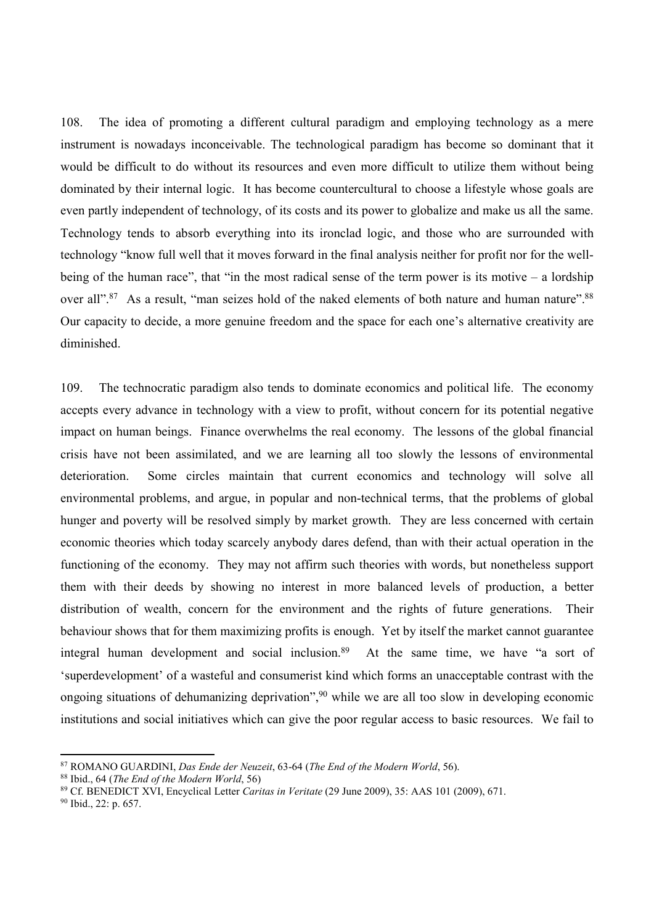108. The idea of promoting a different cultural paradigm and employing technology as a mere instrument is nowadays inconceivable. The technological paradigm has become so dominant that it would be difficult to do without its resources and even more difficult to utilize them without being dominated by their internal logic. It has become countercultural to choose a lifestyle whose goals are even partly independent of technology, of its costs and its power to globalize and make us all the same. Technology tends to absorb everything into its ironclad logic, and those who are surrounded with technology "know full well that it moves forward in the final analysis neither for profit nor for the wellbeing of the human race", that "in the most radical sense of the term power is its motive – a lordship over all".<sup>87</sup> As a result, "man seizes hold of the naked elements of both nature and human nature".<sup>88</sup> Our capacity to decide, a more genuine freedom and the space for each one's alternative creativity are diminished.

109. The technocratic paradigm also tends to dominate economics and political life. The economy accepts every advance in technology with a view to profit, without concern for its potential negative impact on human beings. Finance overwhelms the real economy. The lessons of the global financial crisis have not been assimilated, and we are learning all too slowly the lessons of environmental deterioration. Some circles maintain that current economics and technology will solve all environmental problems, and argue, in popular and non-technical terms, that the problems of global hunger and poverty will be resolved simply by market growth. They are less concerned with certain economic theories which today scarcely anybody dares defend, than with their actual operation in the functioning of the economy. They may not affirm such theories with words, but nonetheless support them with their deeds by showing no interest in more balanced levels of production, a better distribution of wealth, concern for the environment and the rights of future generations. Their behaviour shows that for them maximizing profits is enough. Yet by itself the market cannot guarantee integral human development and social inclusion.<sup>89</sup> At the same time, we have "a sort of 'superdevelopment' of a wasteful and consumerist kind which forms an unacceptable contrast with the ongoing situations of dehumanizing deprivation",<sup>90</sup> while we are all too slow in developing economic institutions and social initiatives which can give the poor regular access to basic resources. We fail to

 <sup>87</sup> ROMANO GUARDINI, *Das Ende der Neuzeit*, 63-64 (*The End of the Modern World*, 56).

<sup>88</sup> Ibid., 64 (*The End of the Modern World*, 56)

<sup>89</sup> Cf. BENEDICT XVI, Encyclical Letter *Caritas in Veritate* (29 June 2009), 35: AAS 101 (2009), 671.

<sup>90</sup> Ibid., 22: p. 657.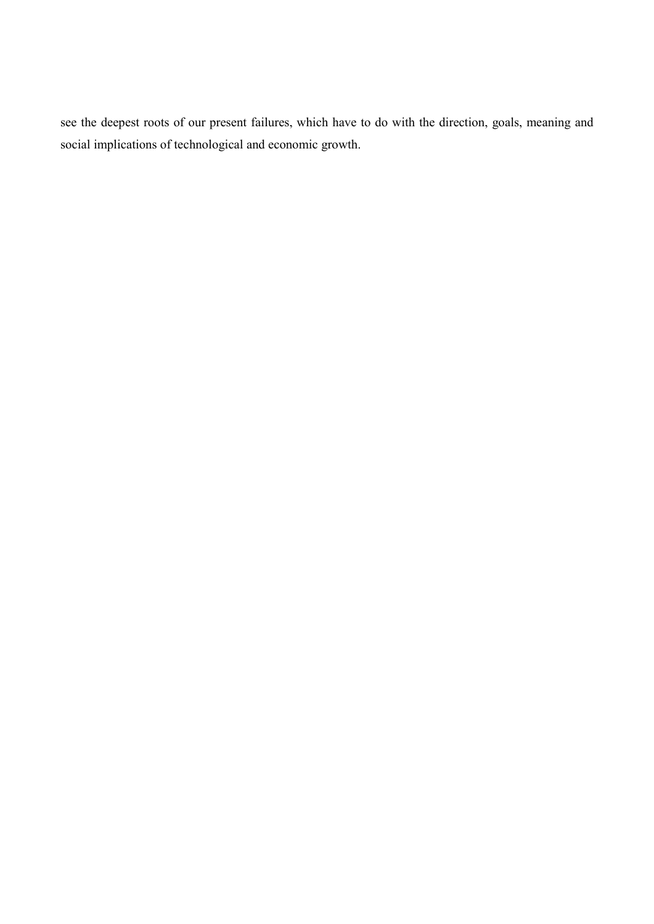see the deepest roots of our present failures, which have to do with the direction, goals, meaning and social implications of technological and economic growth.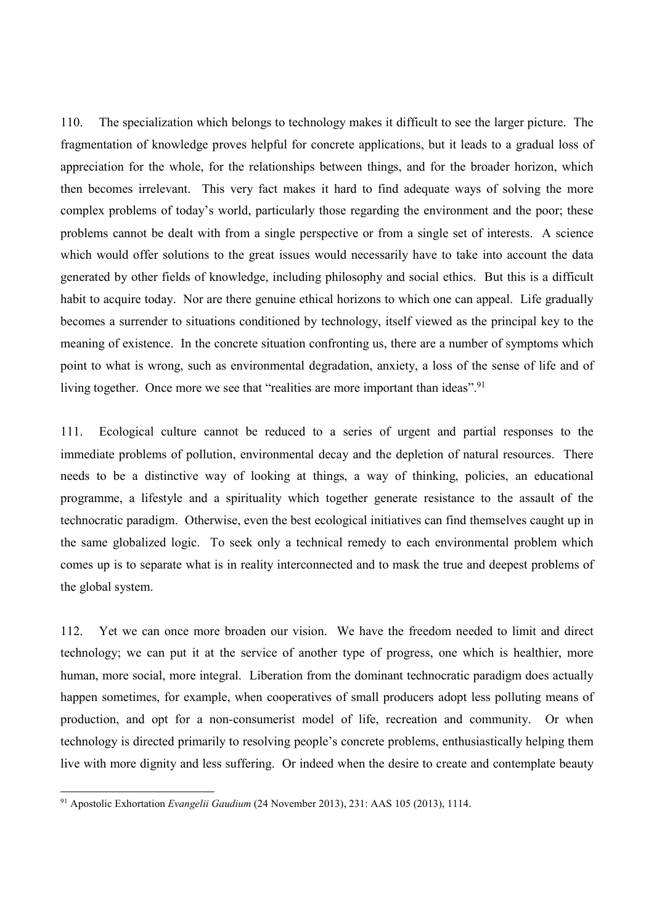110. The specialization which belongs to technology makes it difficult to see the larger picture. The fragmentation of knowledge proves helpful for concrete applications, but it leads to a gradual loss of appreciation for the whole, for the relationships between things, and for the broader horizon, which then becomes irrelevant. This very fact makes it hard to find adequate ways of solving the more complex problems of today's world, particularly those regarding the environment and the poor; these problems cannot be dealt with from a single perspective or from a single set of interests. A science which would offer solutions to the great issues would necessarily have to take into account the data generated by other fields of knowledge, including philosophy and social ethics. But this is a difficult habit to acquire today. Nor are there genuine ethical horizons to which one can appeal. Life gradually becomes a surrender to situations conditioned by technology, itself viewed as the principal key to the meaning of existence. In the concrete situation confronting us, there are a number of symptoms which point to what is wrong, such as environmental degradation, anxiety, a loss of the sense of life and of living together. Once more we see that "realities are more important than ideas".<sup>91</sup>

111. Ecological culture cannot be reduced to a series of urgent and partial responses to the immediate problems of pollution, environmental decay and the depletion of natural resources. There needs to be a distinctive way of looking at things, a way of thinking, policies, an educational programme, a lifestyle and a spirituality which together generate resistance to the assault of the technocratic paradigm. Otherwise, even the best ecological initiatives can find themselves caught up in the same globalized logic. To seek only a technical remedy to each environmental problem which comes up is to separate what is in reality interconnected and to mask the true and deepest problems of the global system.

112. Yet we can once more broaden our vision. We have the freedom needed to limit and direct technology; we can put it at the service of another type of progress, one which is healthier, more human, more social, more integral. Liberation from the dominant technocratic paradigm does actually happen sometimes, for example, when cooperatives of small producers adopt less polluting means of production, and opt for a non-consumerist model of life, recreation and community. Or when technology is directed primarily to resolving people's concrete problems, enthusiastically helping them live with more dignity and less suffering. Or indeed when the desire to create and contemplate beauty

 <sup>91</sup> Apostolic Exhortation *Evangelii Gaudium* (24 November 2013), 231: AAS 105 (2013), 1114.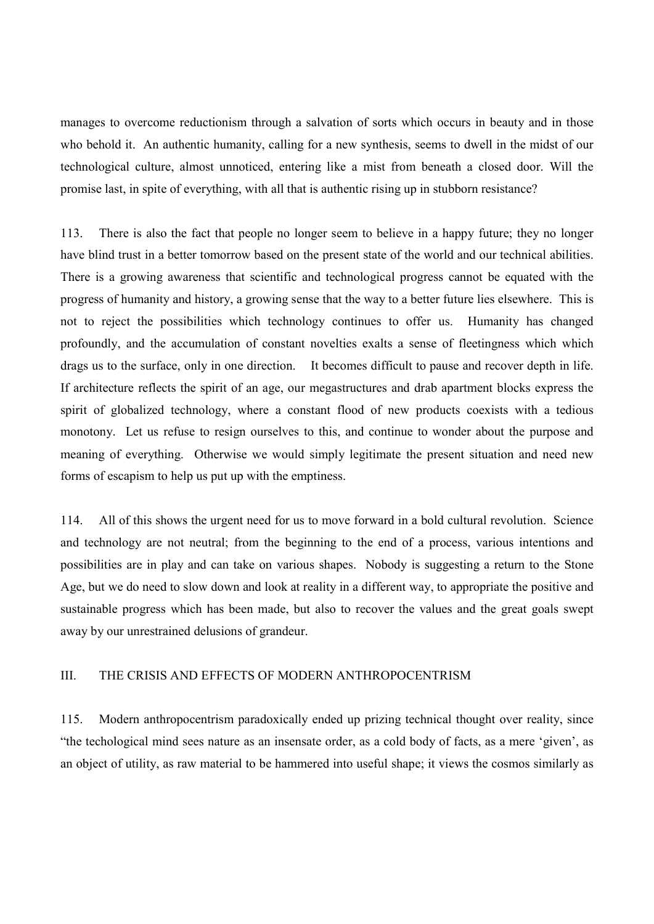manages to overcome reductionism through a salvation of sorts which occurs in beauty and in those who behold it. An authentic humanity, calling for a new synthesis, seems to dwell in the midst of our technological culture, almost unnoticed, entering like a mist from beneath a closed door. Will the promise last, in spite of everything, with all that is authentic rising up in stubborn resistance?

113. There is also the fact that people no longer seem to believe in a happy future; they no longer have blind trust in a better tomorrow based on the present state of the world and our technical abilities. There is a growing awareness that scientific and technological progress cannot be equated with the progress of humanity and history, a growing sense that the way to a better future lies elsewhere. This is not to reject the possibilities which technology continues to offer us. Humanity has changed profoundly, and the accumulation of constant novelties exalts a sense of fleetingness which which drags us to the surface, only in one direction. It becomes difficult to pause and recover depth in life. If architecture reflects the spirit of an age, our megastructures and drab apartment blocks express the spirit of globalized technology, where a constant flood of new products coexists with a tedious monotony. Let us refuse to resign ourselves to this, and continue to wonder about the purpose and meaning of everything. Otherwise we would simply legitimate the present situation and need new forms of escapism to help us put up with the emptiness.

114. All of this shows the urgent need for us to move forward in a bold cultural revolution. Science and technology are not neutral; from the beginning to the end of a process, various intentions and possibilities are in play and can take on various shapes. Nobody is suggesting a return to the Stone Age, but we do need to slow down and look at reality in a different way, to appropriate the positive and sustainable progress which has been made, but also to recover the values and the great goals swept away by our unrestrained delusions of grandeur.

## III. THE CRISIS AND EFFECTS OF MODERN ANTHROPOCENTRISM

115. Modern anthropocentrism paradoxically ended up prizing technical thought over reality, since "the techological mind sees nature as an insensate order, as a cold body of facts, as a mere 'given', as an object of utility, as raw material to be hammered into useful shape; it views the cosmos similarly as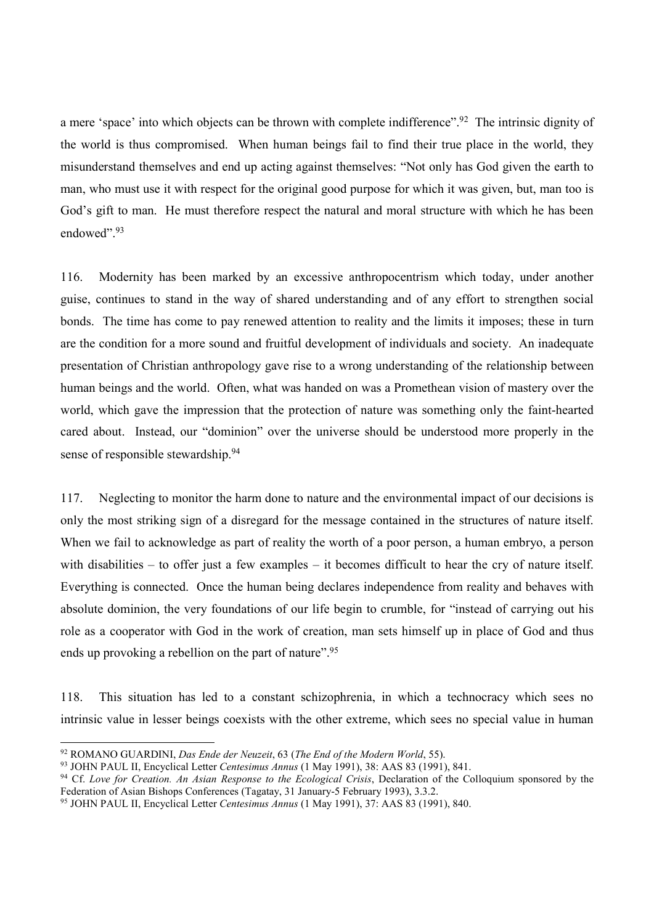a mere 'space' into which objects can be thrown with complete indifference".92 The intrinsic dignity of the world is thus compromised. When human beings fail to find their true place in the world, they misunderstand themselves and end up acting against themselves: "Not only has God given the earth to man, who must use it with respect for the original good purpose for which it was given, but, man too is God's gift to man. He must therefore respect the natural and moral structure with which he has been endowed".<sup>93</sup>

116. Modernity has been marked by an excessive anthropocentrism which today, under another guise, continues to stand in the way of shared understanding and of any effort to strengthen social bonds. The time has come to pay renewed attention to reality and the limits it imposes; these in turn are the condition for a more sound and fruitful development of individuals and society. An inadequate presentation of Christian anthropology gave rise to a wrong understanding of the relationship between human beings and the world. Often, what was handed on was a Promethean vision of mastery over the world, which gave the impression that the protection of nature was something only the faint-hearted cared about. Instead, our "dominion" over the universe should be understood more properly in the sense of responsible stewardship.<sup>94</sup>

117. Neglecting to monitor the harm done to nature and the environmental impact of our decisions is only the most striking sign of a disregard for the message contained in the structures of nature itself. When we fail to acknowledge as part of reality the worth of a poor person, a human embryo, a person with disabilities – to offer just a few examples – it becomes difficult to hear the cry of nature itself. Everything is connected. Once the human being declares independence from reality and behaves with absolute dominion, the very foundations of our life begin to crumble, for "instead of carrying out his role as a cooperator with God in the work of creation, man sets himself up in place of God and thus ends up provoking a rebellion on the part of nature".<sup>95</sup>

118. This situation has led to a constant schizophrenia, in which a technocracy which sees no intrinsic value in lesser beings coexists with the other extreme, which sees no special value in human

 <sup>92</sup> ROMANO GUARDINI, *Das Ende der Neuzeit*, 63 (*The End of the Modern World*, 55).

<sup>93</sup> JOHN PAUL II, Encyclical Letter *Centesimus Annus* (1 May 1991), 38: AAS 83 (1991), 841.

<sup>94</sup> Cf. *Love for Creation. An Asian Response to the Ecological Crisis*, Declaration of the Colloquium sponsored by the Federation of Asian Bishops Conferences (Tagatay, 31 January-5 February 1993), 3.3.2.

<sup>95</sup> JOHN PAUL II, Encyclical Letter *Centesimus Annus* (1 May 1991), 37: AAS 83 (1991), 840.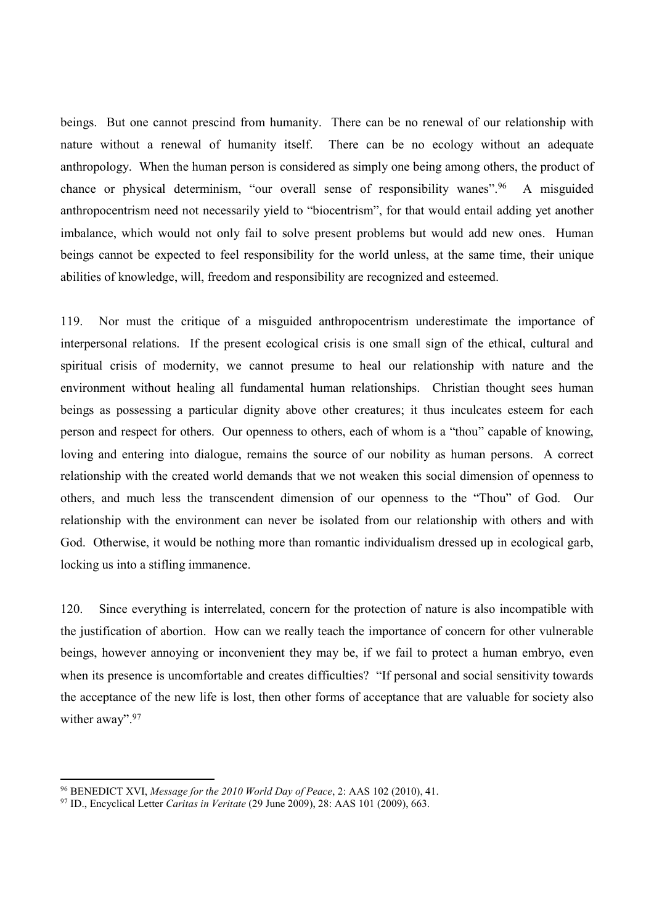beings. But one cannot prescind from humanity. There can be no renewal of our relationship with nature without a renewal of humanity itself. There can be no ecology without an adequate anthropology. When the human person is considered as simply one being among others, the product of chance or physical determinism, "our overall sense of responsibility wanes".96 A misguided anthropocentrism need not necessarily yield to "biocentrism", for that would entail adding yet another imbalance, which would not only fail to solve present problems but would add new ones. Human beings cannot be expected to feel responsibility for the world unless, at the same time, their unique abilities of knowledge, will, freedom and responsibility are recognized and esteemed.

119. Nor must the critique of a misguided anthropocentrism underestimate the importance of interpersonal relations. If the present ecological crisis is one small sign of the ethical, cultural and spiritual crisis of modernity, we cannot presume to heal our relationship with nature and the environment without healing all fundamental human relationships. Christian thought sees human beings as possessing a particular dignity above other creatures; it thus inculcates esteem for each person and respect for others. Our openness to others, each of whom is a "thou" capable of knowing, loving and entering into dialogue, remains the source of our nobility as human persons. A correct relationship with the created world demands that we not weaken this social dimension of openness to others, and much less the transcendent dimension of our openness to the "Thou" of God. Our relationship with the environment can never be isolated from our relationship with others and with God. Otherwise, it would be nothing more than romantic individualism dressed up in ecological garb, locking us into a stifling immanence.

120. Since everything is interrelated, concern for the protection of nature is also incompatible with the justification of abortion. How can we really teach the importance of concern for other vulnerable beings, however annoying or inconvenient they may be, if we fail to protect a human embryo, even when its presence is uncomfortable and creates difficulties? "If personal and social sensitivity towards the acceptance of the new life is lost, then other forms of acceptance that are valuable for society also wither away".<sup>97</sup>

 <sup>96</sup> BENEDICT XVI, *Message for the 2010 World Day of Peace*, 2: AAS 102 (2010), 41.

<sup>97</sup> ID., Encyclical Letter *Caritas in Veritate* (29 June 2009), 28: AAS 101 (2009), 663.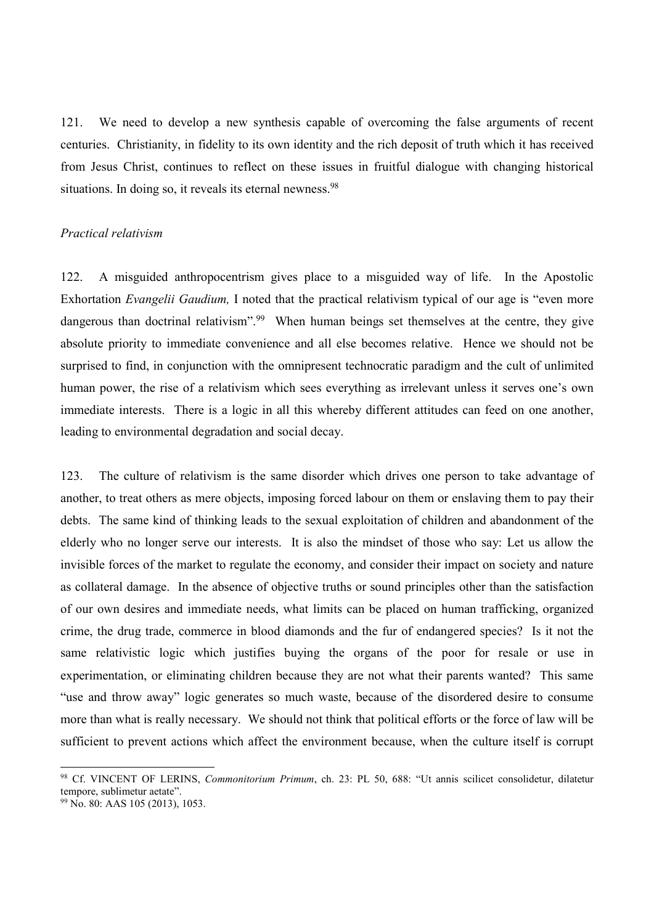121. We need to develop a new synthesis capable of overcoming the false arguments of recent centuries. Christianity, in fidelity to its own identity and the rich deposit of truth which it has received from Jesus Christ, continues to reflect on these issues in fruitful dialogue with changing historical situations. In doing so, it reveals its eternal newness.<sup>98</sup>

# *Practical relativism*

122. A misguided anthropocentrism gives place to a misguided way of life. In the Apostolic Exhortation *Evangelii Gaudium,* I noted that the practical relativism typical of our age is "even more dangerous than doctrinal relativism".<sup>99</sup> When human beings set themselves at the centre, they give absolute priority to immediate convenience and all else becomes relative. Hence we should not be surprised to find, in conjunction with the omnipresent technocratic paradigm and the cult of unlimited human power, the rise of a relativism which sees everything as irrelevant unless it serves one's own immediate interests. There is a logic in all this whereby different attitudes can feed on one another, leading to environmental degradation and social decay.

123. The culture of relativism is the same disorder which drives one person to take advantage of another, to treat others as mere objects, imposing forced labour on them or enslaving them to pay their debts. The same kind of thinking leads to the sexual exploitation of children and abandonment of the elderly who no longer serve our interests. It is also the mindset of those who say: Let us allow the invisible forces of the market to regulate the economy, and consider their impact on society and nature as collateral damage. In the absence of objective truths or sound principles other than the satisfaction of our own desires and immediate needs, what limits can be placed on human trafficking, organized crime, the drug trade, commerce in blood diamonds and the fur of endangered species? Is it not the same relativistic logic which justifies buying the organs of the poor for resale or use in experimentation, or eliminating children because they are not what their parents wanted? This same "use and throw away" logic generates so much waste, because of the disordered desire to consume more than what is really necessary. We should not think that political efforts or the force of law will be sufficient to prevent actions which affect the environment because, when the culture itself is corrupt

 <sup>98</sup> Cf. VINCENT OF LERINS, *Commonitorium Primum*, ch. 23: PL 50, 688: "Ut annis scilicet consolidetur, dilatetur tempore, sublimetur aetate".

<sup>99</sup> No. 80: AAS 105 (2013), 1053.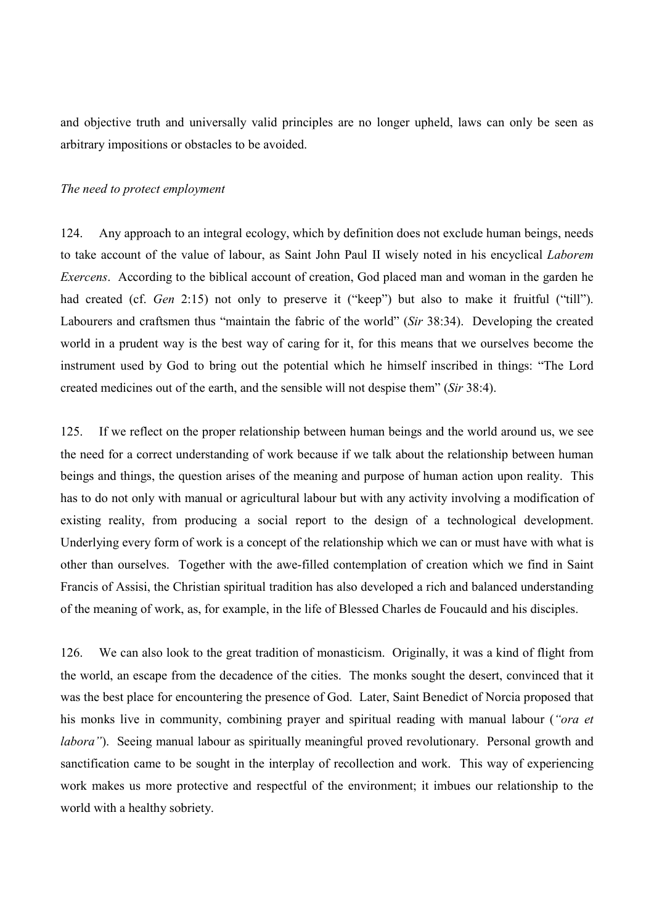and objective truth and universally valid principles are no longer upheld, laws can only be seen as arbitrary impositions or obstacles to be avoided.

## *The need to protect employment*

124. Any approach to an integral ecology, which by definition does not exclude human beings, needs to take account of the value of labour, as Saint John Paul II wisely noted in his encyclical *Laborem Exercens*. According to the biblical account of creation, God placed man and woman in the garden he had created (cf. *Gen* 2:15) not only to preserve it ("keep") but also to make it fruitful ("till"). Labourers and craftsmen thus "maintain the fabric of the world" (*Sir* 38:34). Developing the created world in a prudent way is the best way of caring for it, for this means that we ourselves become the instrument used by God to bring out the potential which he himself inscribed in things: "The Lord created medicines out of the earth, and the sensible will not despise them" (*Sir* 38:4).

125. If we reflect on the proper relationship between human beings and the world around us, we see the need for a correct understanding of work because if we talk about the relationship between human beings and things, the question arises of the meaning and purpose of human action upon reality. This has to do not only with manual or agricultural labour but with any activity involving a modification of existing reality, from producing a social report to the design of a technological development. Underlying every form of work is a concept of the relationship which we can or must have with what is other than ourselves. Together with the awe-filled contemplation of creation which we find in Saint Francis of Assisi, the Christian spiritual tradition has also developed a rich and balanced understanding of the meaning of work, as, for example, in the life of Blessed Charles de Foucauld and his disciples.

126. We can also look to the great tradition of monasticism. Originally, it was a kind of flight from the world, an escape from the decadence of the cities. The monks sought the desert, convinced that it was the best place for encountering the presence of God. Later, Saint Benedict of Norcia proposed that his monks live in community, combining prayer and spiritual reading with manual labour (*"ora et labora*"). Seeing manual labour as spiritually meaningful proved revolutionary. Personal growth and sanctification came to be sought in the interplay of recollection and work. This way of experiencing work makes us more protective and respectful of the environment; it imbues our relationship to the world with a healthy sobriety.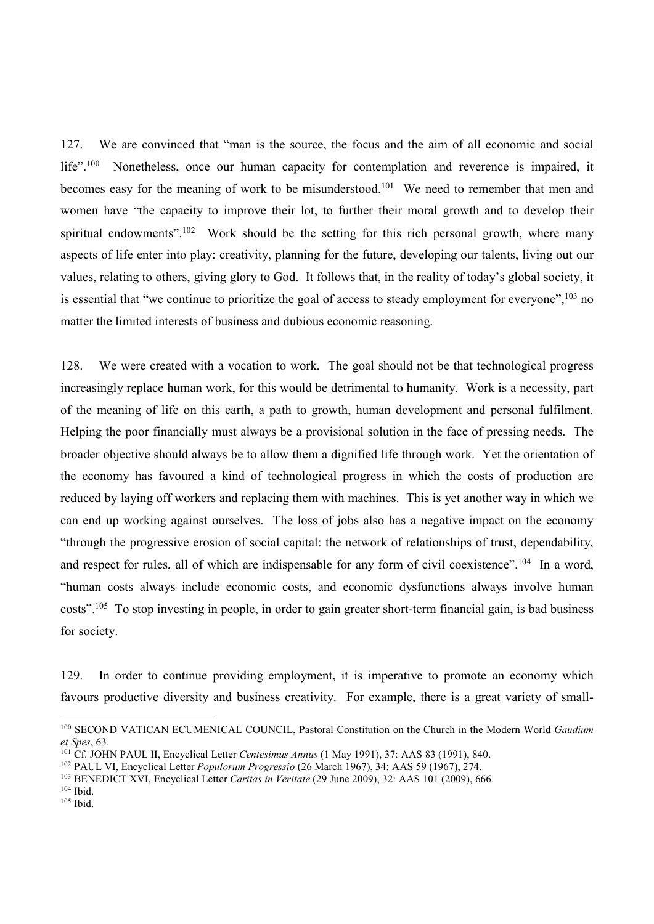127. We are convinced that "man is the source, the focus and the aim of all economic and social life".<sup>100</sup> Nonetheless, once our human capacity for contemplation and reverence is impaired, it becomes easy for the meaning of work to be misunderstood.<sup>101</sup> We need to remember that men and women have "the capacity to improve their lot, to further their moral growth and to develop their spiritual endowments".<sup>102</sup> Work should be the setting for this rich personal growth, where many aspects of life enter into play: creativity, planning for the future, developing our talents, living out our values, relating to others, giving glory to God. It follows that, in the reality of today's global society, it is essential that "we continue to prioritize the goal of access to steady employment for everyone",<sup>103</sup> no matter the limited interests of business and dubious economic reasoning.

128. We were created with a vocation to work. The goal should not be that technological progress increasingly replace human work, for this would be detrimental to humanity. Work is a necessity, part of the meaning of life on this earth, a path to growth, human development and personal fulfilment. Helping the poor financially must always be a provisional solution in the face of pressing needs. The broader objective should always be to allow them a dignified life through work. Yet the orientation of the economy has favoured a kind of technological progress in which the costs of production are reduced by laying off workers and replacing them with machines. This is yet another way in which we can end up working against ourselves. The loss of jobs also has a negative impact on the economy "through the progressive erosion of social capital: the network of relationships of trust, dependability, and respect for rules, all of which are indispensable for any form of civil coexistence".<sup>104</sup> In a word, "human costs always include economic costs, and economic dysfunctions always involve human costs".105 To stop investing in people, in order to gain greater short-term financial gain, is bad business for society.

129. In order to continue providing employment, it is imperative to promote an economy which favours productive diversity and business creativity. For example, there is a great variety of small-

 <sup>100</sup> SECOND VATICAN ECUMENICAL COUNCIL, Pastoral Constitution on the Church in the Modern World *Gaudium et Spes*, 63.

<sup>101</sup> Cf. JOHN PAUL II, Encyclical Letter *Centesimus Annus* (1 May 1991), 37: AAS 83 (1991), 840.

<sup>102</sup> PAUL VI, Encyclical Letter *Populorum Progressio* (26 March 1967), 34: AAS 59 (1967), 274.

<sup>103</sup> BENEDICT XVI, Encyclical Letter *Caritas in Veritate* (29 June 2009), 32: AAS 101 (2009), 666.

<sup>104</sup> Ibid.

<sup>105</sup> Ibid.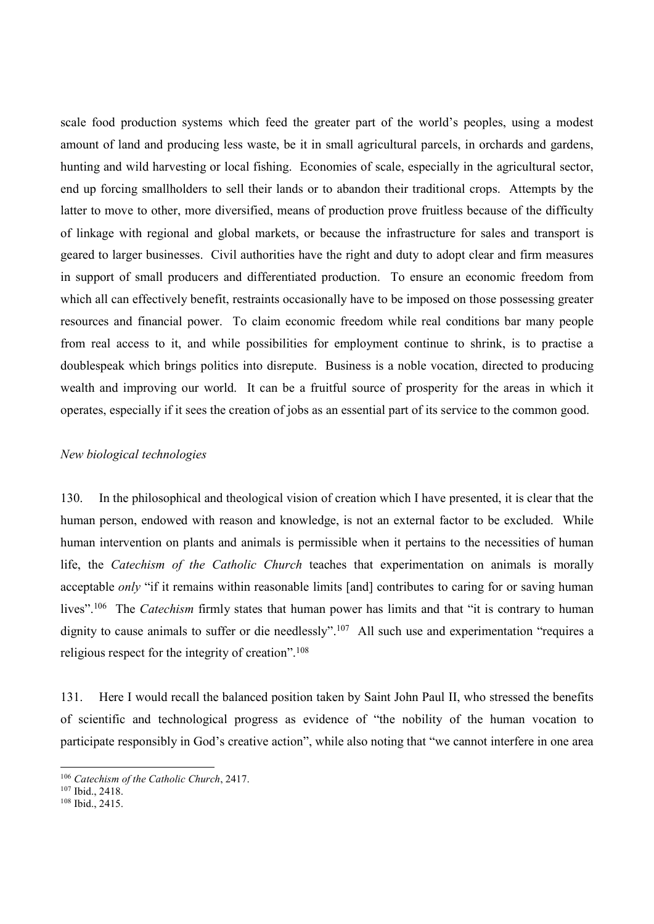scale food production systems which feed the greater part of the world's peoples, using a modest amount of land and producing less waste, be it in small agricultural parcels, in orchards and gardens, hunting and wild harvesting or local fishing. Economies of scale, especially in the agricultural sector, end up forcing smallholders to sell their lands or to abandon their traditional crops. Attempts by the latter to move to other, more diversified, means of production prove fruitless because of the difficulty of linkage with regional and global markets, or because the infrastructure for sales and transport is geared to larger businesses. Civil authorities have the right and duty to adopt clear and firm measures in support of small producers and differentiated production. To ensure an economic freedom from which all can effectively benefit, restraints occasionally have to be imposed on those possessing greater resources and financial power. To claim economic freedom while real conditions bar many people from real access to it, and while possibilities for employment continue to shrink, is to practise a doublespeak which brings politics into disrepute. Business is a noble vocation, directed to producing wealth and improving our world. It can be a fruitful source of prosperity for the areas in which it operates, especially if it sees the creation of jobs as an essential part of its service to the common good.

## *New biological technologies*

130. In the philosophical and theological vision of creation which I have presented, it is clear that the human person, endowed with reason and knowledge, is not an external factor to be excluded. While human intervention on plants and animals is permissible when it pertains to the necessities of human life, the *Catechism of the Catholic Church* teaches that experimentation on animals is morally acceptable *only* "if it remains within reasonable limits [and] contributes to caring for or saving human lives".<sup>106</sup> The *Catechism* firmly states that human power has limits and that "it is contrary to human dignity to cause animals to suffer or die needlessly".<sup>107</sup> All such use and experimentation "requires a religious respect for the integrity of creation".108

131. Here I would recall the balanced position taken by Saint John Paul II, who stressed the benefits of scientific and technological progress as evidence of "the nobility of the human vocation to participate responsibly in God's creative action", while also noting that "we cannot interfere in one area

 <sup>106</sup> *Catechism of the Catholic Church*, 2417.

<sup>107</sup> Ibid., 2418.

<sup>108</sup> Ibid., 2415.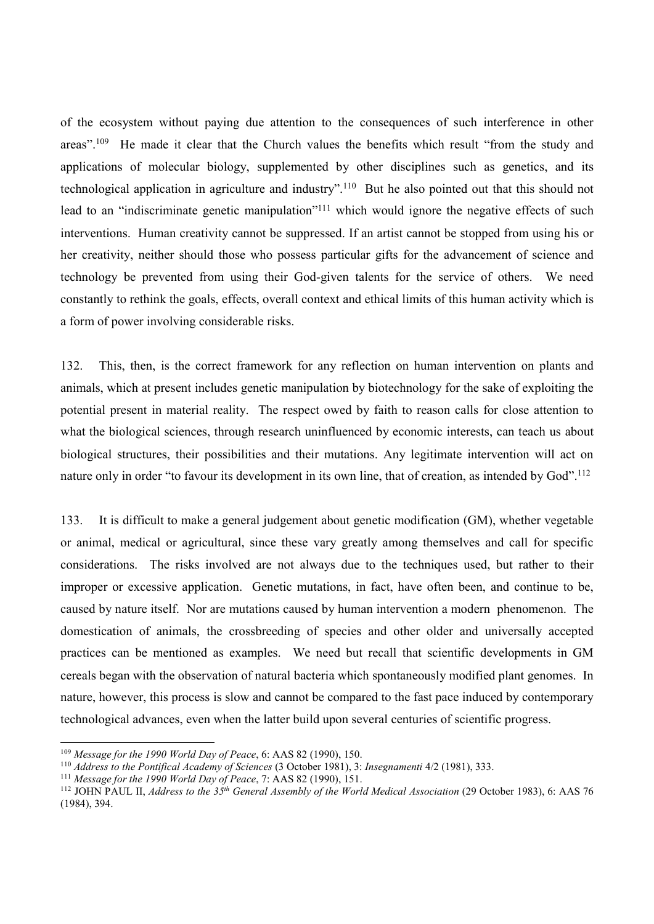of the ecosystem without paying due attention to the consequences of such interference in other areas".<sup>109</sup> He made it clear that the Church values the benefits which result "from the study and applications of molecular biology, supplemented by other disciplines such as genetics, and its technological application in agriculture and industry".110 But he also pointed out that this should not lead to an "indiscriminate genetic manipulation"<sup>111</sup> which would ignore the negative effects of such interventions. Human creativity cannot be suppressed. If an artist cannot be stopped from using his or her creativity, neither should those who possess particular gifts for the advancement of science and technology be prevented from using their God-given talents for the service of others. We need constantly to rethink the goals, effects, overall context and ethical limits of this human activity which is a form of power involving considerable risks.

132. This, then, is the correct framework for any reflection on human intervention on plants and animals, which at present includes genetic manipulation by biotechnology for the sake of exploiting the potential present in material reality. The respect owed by faith to reason calls for close attention to what the biological sciences, through research uninfluenced by economic interests, can teach us about biological structures, their possibilities and their mutations. Any legitimate intervention will act on nature only in order "to favour its development in its own line, that of creation, as intended by God".<sup>112</sup>

133. It is difficult to make a general judgement about genetic modification (GM), whether vegetable or animal, medical or agricultural, since these vary greatly among themselves and call for specific considerations. The risks involved are not always due to the techniques used, but rather to their improper or excessive application. Genetic mutations, in fact, have often been, and continue to be, caused by nature itself. Nor are mutations caused by human intervention a modern phenomenon. The domestication of animals, the crossbreeding of species and other older and universally accepted practices can be mentioned as examples. We need but recall that scientific developments in GM cereals began with the observation of natural bacteria which spontaneously modified plant genomes. In nature, however, this process is slow and cannot be compared to the fast pace induced by contemporary technological advances, even when the latter build upon several centuries of scientific progress.

 <sup>109</sup> *Message for the 1990 World Day of Peace*, 6: AAS 82 (1990), 150.

<sup>110</sup> *Address to the Pontifical Academy of Sciences* (3 October 1981), 3: *Insegnamenti* 4/2 (1981), 333.

<sup>111</sup> *Message for the 1990 World Day of Peace*, 7: AAS 82 (1990), 151.

<sup>112</sup> JOHN PAUL II, *Address to the 35th General Assembly of the World Medical Association* (29 October 1983), 6: AAS 76 (1984), 394.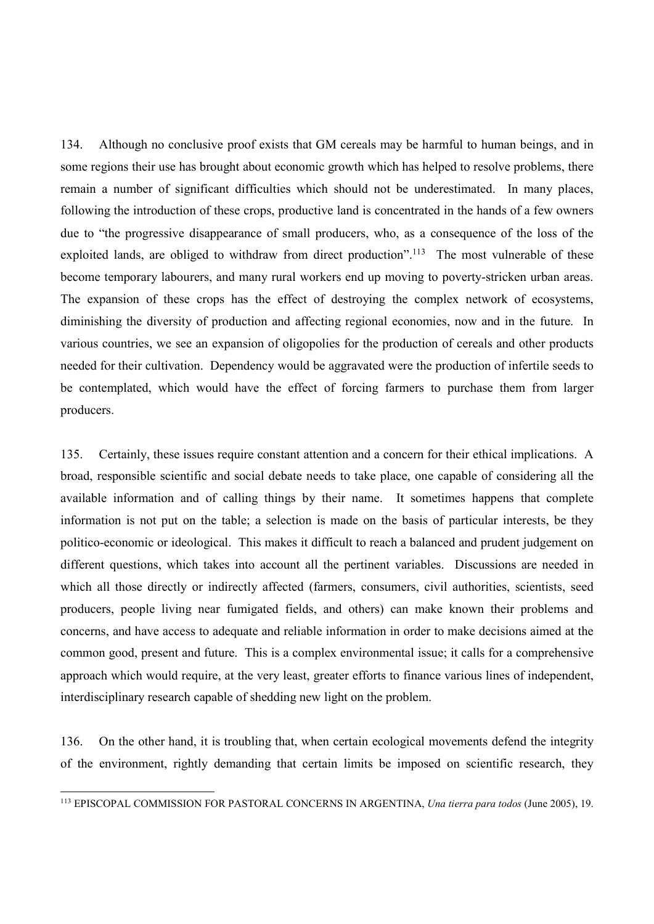134. Although no conclusive proof exists that GM cereals may be harmful to human beings, and in some regions their use has brought about economic growth which has helped to resolve problems, there remain a number of significant difficulties which should not be underestimated. In many places, following the introduction of these crops, productive land is concentrated in the hands of a few owners due to "the progressive disappearance of small producers, who, as a consequence of the loss of the exploited lands, are obliged to withdraw from direct production".<sup>113</sup> The most vulnerable of these become temporary labourers, and many rural workers end up moving to poverty-stricken urban areas. The expansion of these crops has the effect of destroying the complex network of ecosystems, diminishing the diversity of production and affecting regional economies, now and in the future. In various countries, we see an expansion of oligopolies for the production of cereals and other products needed for their cultivation. Dependency would be aggravated were the production of infertile seeds to be contemplated, which would have the effect of forcing farmers to purchase them from larger producers.

135. Certainly, these issues require constant attention and a concern for their ethical implications. A broad, responsible scientific and social debate needs to take place, one capable of considering all the available information and of calling things by their name. It sometimes happens that complete information is not put on the table; a selection is made on the basis of particular interests, be they politico-economic or ideological. This makes it difficult to reach a balanced and prudent judgement on different questions, which takes into account all the pertinent variables. Discussions are needed in which all those directly or indirectly affected (farmers, consumers, civil authorities, scientists, seed producers, people living near fumigated fields, and others) can make known their problems and concerns, and have access to adequate and reliable information in order to make decisions aimed at the common good, present and future. This is a complex environmental issue; it calls for a comprehensive approach which would require, at the very least, greater efforts to finance various lines of independent, interdisciplinary research capable of shedding new light on the problem.

136. On the other hand, it is troubling that, when certain ecological movements defend the integrity of the environment, rightly demanding that certain limits be imposed on scientific research, they

 <sup>113</sup> EPISCOPAL COMMISSION FOR PASTORAL CONCERNS IN ARGENTINA, *Una tierra para todos* (June 2005), 19.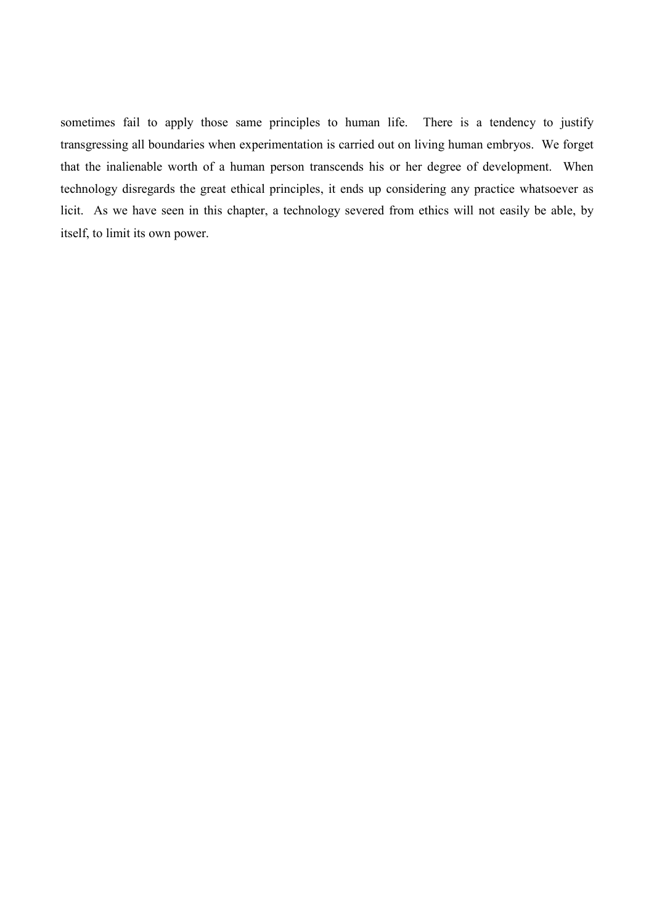sometimes fail to apply those same principles to human life. There is a tendency to justify transgressing all boundaries when experimentation is carried out on living human embryos. We forget that the inalienable worth of a human person transcends his or her degree of development. When technology disregards the great ethical principles, it ends up considering any practice whatsoever as licit. As we have seen in this chapter, a technology severed from ethics will not easily be able, by itself, to limit its own power.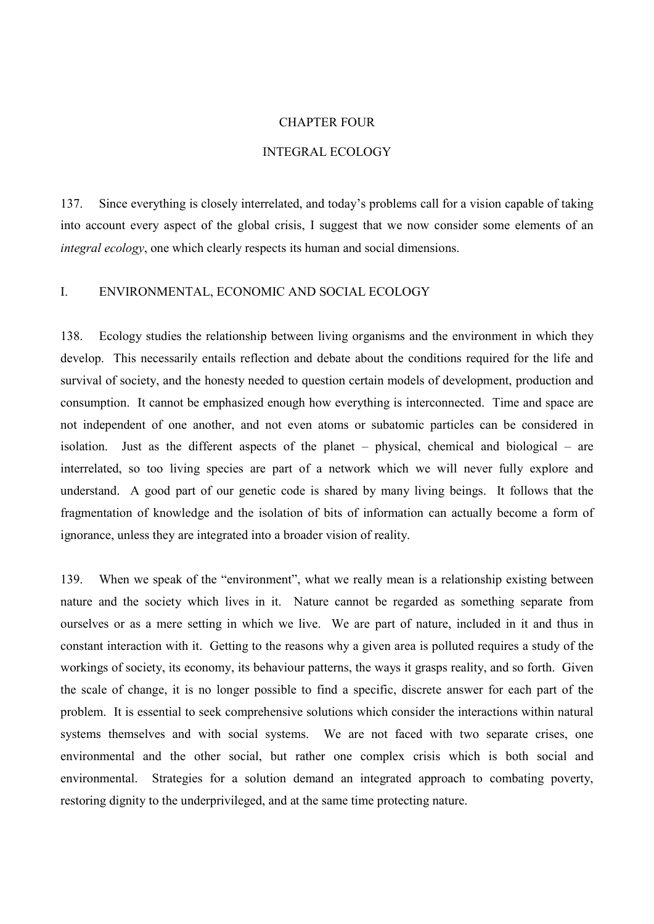## CHAPTER FOUR

## INTEGRAL ECOLOGY

137. Since everything is closely interrelated, and today's problems call for a vision capable of taking into account every aspect of the global crisis, I suggest that we now consider some elements of an *integral ecology*, one which clearly respects its human and social dimensions.

### I. ENVIRONMENTAL, ECONOMIC AND SOCIAL ECOLOGY

138. Ecology studies the relationship between living organisms and the environment in which they develop. This necessarily entails reflection and debate about the conditions required for the life and survival of society, and the honesty needed to question certain models of development, production and consumption. It cannot be emphasized enough how everything is interconnected. Time and space are not independent of one another, and not even atoms or subatomic particles can be considered in isolation. Just as the different aspects of the planet – physical, chemical and biological – are interrelated, so too living species are part of a network which we will never fully explore and understand. A good part of our genetic code is shared by many living beings. It follows that the fragmentation of knowledge and the isolation of bits of information can actually become a form of ignorance, unless they are integrated into a broader vision of reality.

139. When we speak of the "environment", what we really mean is a relationship existing between nature and the society which lives in it. Nature cannot be regarded as something separate from ourselves or as a mere setting in which we live. We are part of nature, included in it and thus in constant interaction with it. Getting to the reasons why a given area is polluted requires a study of the workings of society, its economy, its behaviour patterns, the ways it grasps reality, and so forth. Given the scale of change, it is no longer possible to find a specific, discrete answer for each part of the problem. It is essential to seek comprehensive solutions which consider the interactions within natural systems themselves and with social systems. We are not faced with two separate crises, one environmental and the other social, but rather one complex crisis which is both social and environmental. Strategies for a solution demand an integrated approach to combating poverty, restoring dignity to the underprivileged, and at the same time protecting nature.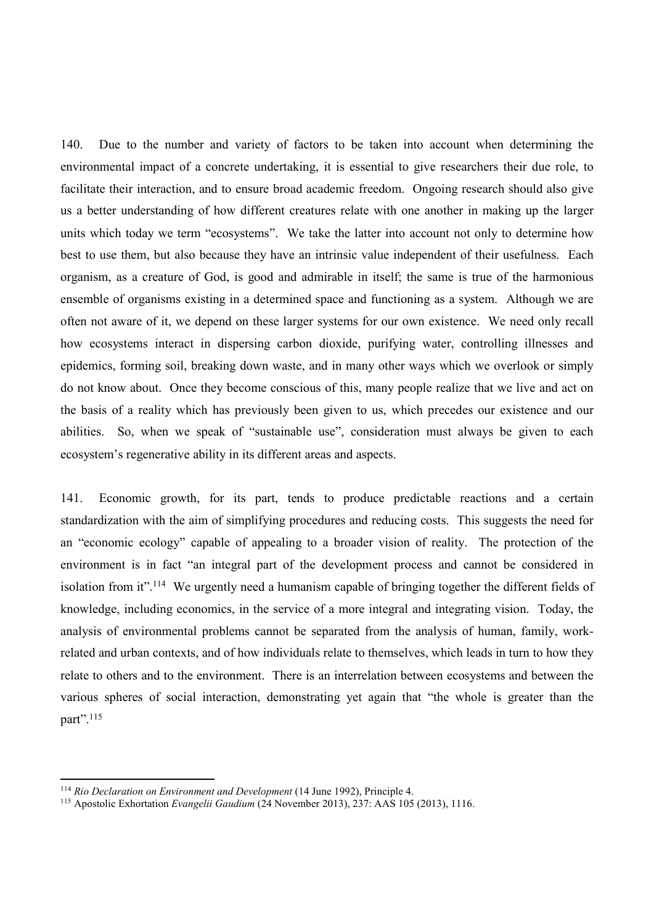140. Due to the number and variety of factors to be taken into account when determining the environmental impact of a concrete undertaking, it is essential to give researchers their due role, to facilitate their interaction, and to ensure broad academic freedom. Ongoing research should also give us a better understanding of how different creatures relate with one another in making up the larger units which today we term "ecosystems". We take the latter into account not only to determine how best to use them, but also because they have an intrinsic value independent of their usefulness. Each organism, as a creature of God, is good and admirable in itself; the same is true of the harmonious ensemble of organisms existing in a determined space and functioning as a system. Although we are often not aware of it, we depend on these larger systems for our own existence. We need only recall how ecosystems interact in dispersing carbon dioxide, purifying water, controlling illnesses and epidemics, forming soil, breaking down waste, and in many other ways which we overlook or simply do not know about. Once they become conscious of this, many people realize that we live and act on the basis of a reality which has previously been given to us, which precedes our existence and our abilities. So, when we speak of "sustainable use", consideration must always be given to each ecosystem's regenerative ability in its different areas and aspects.

141. Economic growth, for its part, tends to produce predictable reactions and a certain standardization with the aim of simplifying procedures and reducing costs. This suggests the need for an "economic ecology" capable of appealing to a broader vision of reality. The protection of the environment is in fact "an integral part of the development process and cannot be considered in isolation from it".114 We urgently need a humanism capable of bringing together the different fields of knowledge, including economics, in the service of a more integral and integrating vision. Today, the analysis of environmental problems cannot be separated from the analysis of human, family, workrelated and urban contexts, and of how individuals relate to themselves, which leads in turn to how they relate to others and to the environment. There is an interrelation between ecosystems and between the various spheres of social interaction, demonstrating yet again that "the whole is greater than the part".<sup>115</sup>

 <sup>114</sup> *Rio Declaration on Environment and Development* (14 June 1992), Principle 4.

<sup>115</sup> Apostolic Exhortation *Evangelii Gaudium* (24 November 2013), 237: AAS 105 (2013), 1116.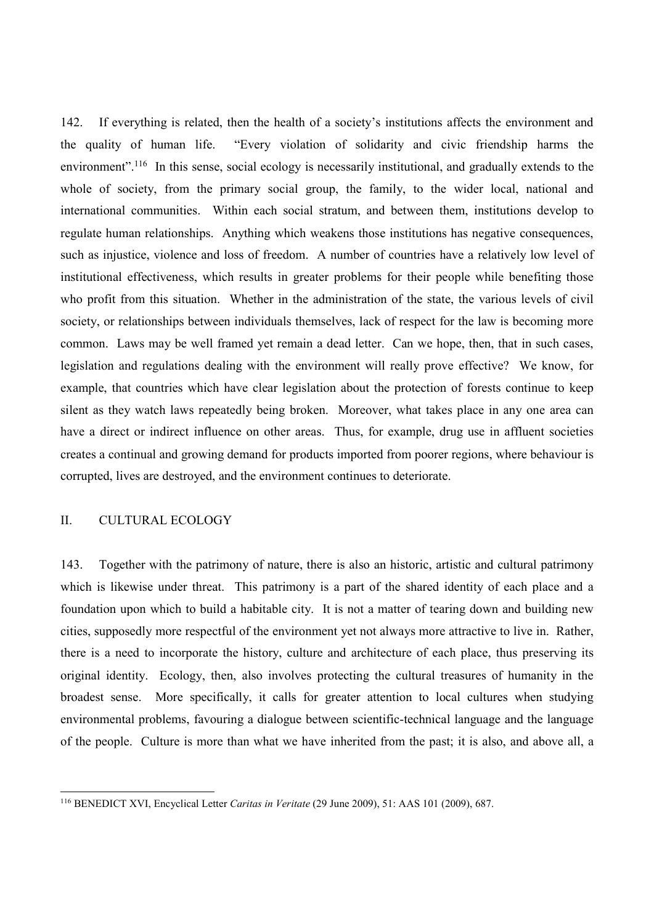142. If everything is related, then the health of a society's institutions affects the environment and the quality of human life. "Every violation of solidarity and civic friendship harms the environment".<sup>116</sup> In this sense, social ecology is necessarily institutional, and gradually extends to the whole of society, from the primary social group, the family, to the wider local, national and international communities. Within each social stratum, and between them, institutions develop to regulate human relationships. Anything which weakens those institutions has negative consequences, such as injustice, violence and loss of freedom. A number of countries have a relatively low level of institutional effectiveness, which results in greater problems for their people while benefiting those who profit from this situation. Whether in the administration of the state, the various levels of civil society, or relationships between individuals themselves, lack of respect for the law is becoming more common. Laws may be well framed yet remain a dead letter. Can we hope, then, that in such cases, legislation and regulations dealing with the environment will really prove effective? We know, for example, that countries which have clear legislation about the protection of forests continue to keep silent as they watch laws repeatedly being broken. Moreover, what takes place in any one area can have a direct or indirect influence on other areas. Thus, for example, drug use in affluent societies creates a continual and growing demand for products imported from poorer regions, where behaviour is corrupted, lives are destroyed, and the environment continues to deteriorate.

## II. CULTURAL ECOLOGY

143. Together with the patrimony of nature, there is also an historic, artistic and cultural patrimony which is likewise under threat. This patrimony is a part of the shared identity of each place and a foundation upon which to build a habitable city. It is not a matter of tearing down and building new cities, supposedly more respectful of the environment yet not always more attractive to live in. Rather, there is a need to incorporate the history, culture and architecture of each place, thus preserving its original identity. Ecology, then, also involves protecting the cultural treasures of humanity in the broadest sense. More specifically, it calls for greater attention to local cultures when studying environmental problems, favouring a dialogue between scientific-technical language and the language of the people. Culture is more than what we have inherited from the past; it is also, and above all, a

 <sup>116</sup> BENEDICT XVI, Encyclical Letter *Caritas in Veritate* (29 June 2009), 51: AAS 101 (2009), 687.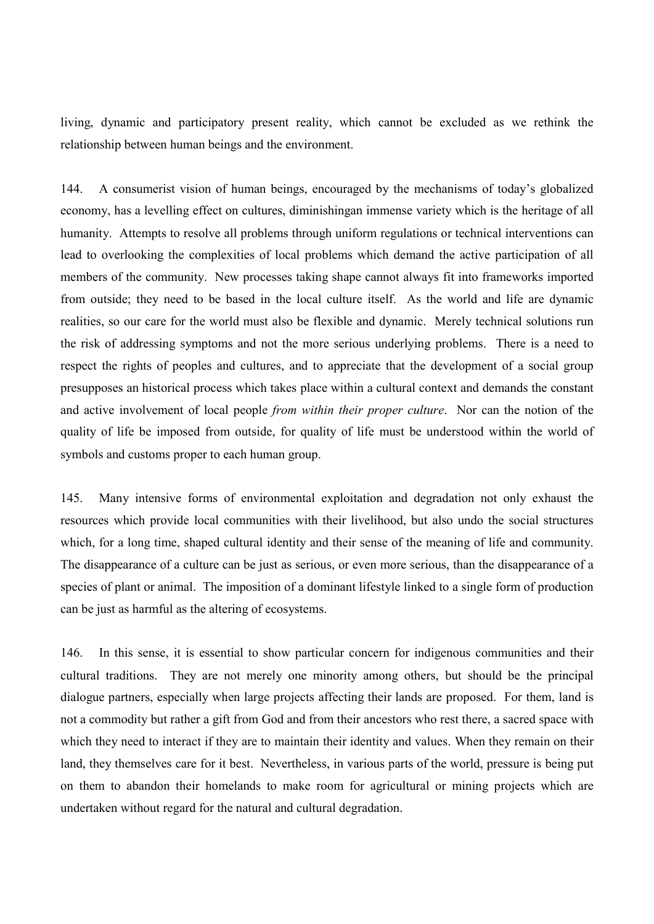living, dynamic and participatory present reality, which cannot be excluded as we rethink the relationship between human beings and the environment.

144. A consumerist vision of human beings, encouraged by the mechanisms of today's globalized economy, has a levelling effect on cultures, diminishingan immense variety which is the heritage of all humanity. Attempts to resolve all problems through uniform regulations or technical interventions can lead to overlooking the complexities of local problems which demand the active participation of all members of the community. New processes taking shape cannot always fit into frameworks imported from outside; they need to be based in the local culture itself. As the world and life are dynamic realities, so our care for the world must also be flexible and dynamic. Merely technical solutions run the risk of addressing symptoms and not the more serious underlying problems. There is a need to respect the rights of peoples and cultures, and to appreciate that the development of a social group presupposes an historical process which takes place within a cultural context and demands the constant and active involvement of local people *from within their proper culture*. Nor can the notion of the quality of life be imposed from outside, for quality of life must be understood within the world of symbols and customs proper to each human group.

145. Many intensive forms of environmental exploitation and degradation not only exhaust the resources which provide local communities with their livelihood, but also undo the social structures which, for a long time, shaped cultural identity and their sense of the meaning of life and community. The disappearance of a culture can be just as serious, or even more serious, than the disappearance of a species of plant or animal. The imposition of a dominant lifestyle linked to a single form of production can be just as harmful as the altering of ecosystems.

146. In this sense, it is essential to show particular concern for indigenous communities and their cultural traditions. They are not merely one minority among others, but should be the principal dialogue partners, especially when large projects affecting their lands are proposed. For them, land is not a commodity but rather a gift from God and from their ancestors who rest there, a sacred space with which they need to interact if they are to maintain their identity and values. When they remain on their land, they themselves care for it best. Nevertheless, in various parts of the world, pressure is being put on them to abandon their homelands to make room for agricultural or mining projects which are undertaken without regard for the natural and cultural degradation.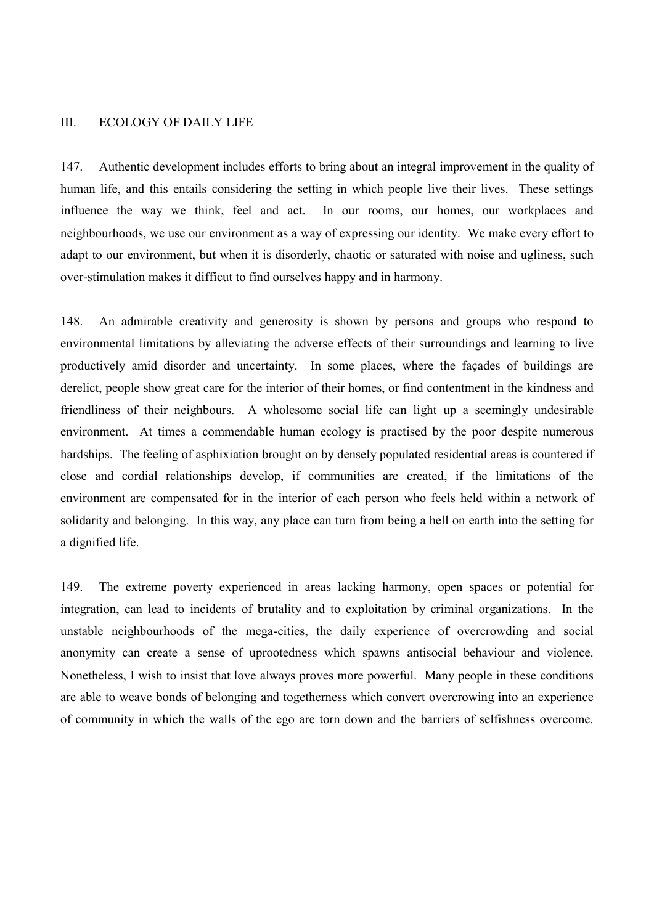#### III. ECOLOGY OF DAILY LIFE

147. Authentic development includes efforts to bring about an integral improvement in the quality of human life, and this entails considering the setting in which people live their lives. These settings influence the way we think, feel and act. In our rooms, our homes, our workplaces and neighbourhoods, we use our environment as a way of expressing our identity. We make every effort to adapt to our environment, but when it is disorderly, chaotic or saturated with noise and ugliness, such over-stimulation makes it difficut to find ourselves happy and in harmony.

148. An admirable creativity and generosity is shown by persons and groups who respond to environmental limitations by alleviating the adverse effects of their surroundings and learning to live productively amid disorder and uncertainty. In some places, where the façades of buildings are derelict, people show great care for the interior of their homes, or find contentment in the kindness and friendliness of their neighbours. A wholesome social life can light up a seemingly undesirable environment. At times a commendable human ecology is practised by the poor despite numerous hardships. The feeling of asphixiation brought on by densely populated residential areas is countered if close and cordial relationships develop, if communities are created, if the limitations of the environment are compensated for in the interior of each person who feels held within a network of solidarity and belonging. In this way, any place can turn from being a hell on earth into the setting for a dignified life.

149. The extreme poverty experienced in areas lacking harmony, open spaces or potential for integration, can lead to incidents of brutality and to exploitation by criminal organizations. In the unstable neighbourhoods of the mega-cities, the daily experience of overcrowding and social anonymity can create a sense of uprootedness which spawns antisocial behaviour and violence. Nonetheless, I wish to insist that love always proves more powerful. Many people in these conditions are able to weave bonds of belonging and togetherness which convert overcrowing into an experience of community in which the walls of the ego are torn down and the barriers of selfishness overcome.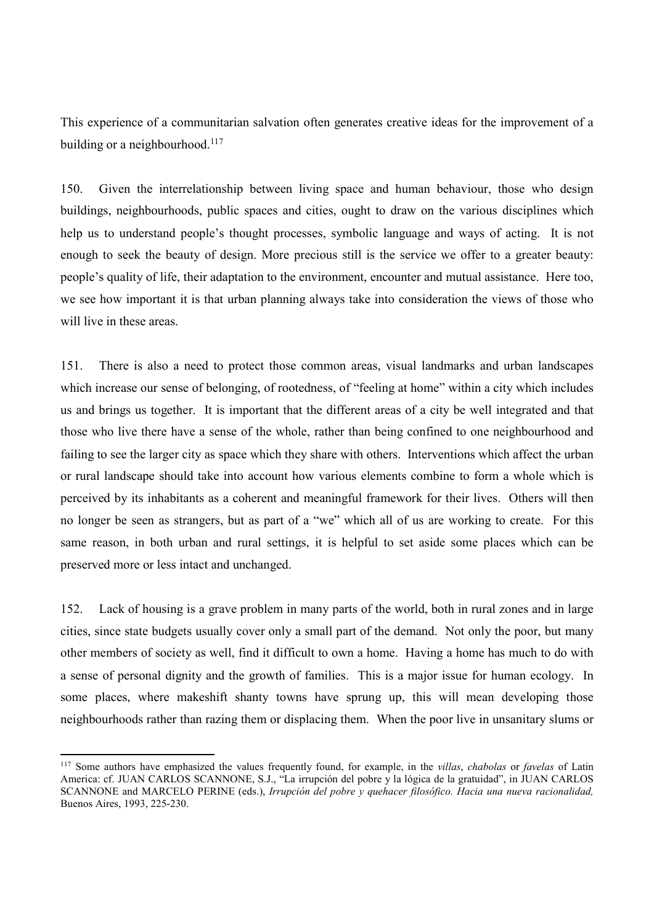This experience of a communitarian salvation often generates creative ideas for the improvement of a building or a neighbourhood.<sup>117</sup>

150. Given the interrelationship between living space and human behaviour, those who design buildings, neighbourhoods, public spaces and cities, ought to draw on the various disciplines which help us to understand people's thought processes, symbolic language and ways of acting. It is not enough to seek the beauty of design. More precious still is the service we offer to a greater beauty: people's quality of life, their adaptation to the environment, encounter and mutual assistance. Here too, we see how important it is that urban planning always take into consideration the views of those who will live in these areas.

151. There is also a need to protect those common areas, visual landmarks and urban landscapes which increase our sense of belonging, of rootedness, of "feeling at home" within a city which includes us and brings us together. It is important that the different areas of a city be well integrated and that those who live there have a sense of the whole, rather than being confined to one neighbourhood and failing to see the larger city as space which they share with others. Interventions which affect the urban or rural landscape should take into account how various elements combine to form a whole which is perceived by its inhabitants as a coherent and meaningful framework for their lives. Others will then no longer be seen as strangers, but as part of a "we" which all of us are working to create. For this same reason, in both urban and rural settings, it is helpful to set aside some places which can be preserved more or less intact and unchanged.

152. Lack of housing is a grave problem in many parts of the world, both in rural zones and in large cities, since state budgets usually cover only a small part of the demand. Not only the poor, but many other members of society as well, find it difficult to own a home. Having a home has much to do with a sense of personal dignity and the growth of families. This is a major issue for human ecology. In some places, where makeshift shanty towns have sprung up, this will mean developing those neighbourhoods rather than razing them or displacing them. When the poor live in unsanitary slums or

 <sup>117</sup> Some authors have emphasized the values frequently found, for example, in the *villas*, *chabolas* or *favelas* of Latin America: cf. JUAN CARLOS SCANNONE, S.J., "La irrupción del pobre y la lógica de la gratuidad", in JUAN CARLOS SCANNONE and MARCELO PERINE (eds.), *Irrupción del pobre y quehacer filosófico. Hacia una nueva racionalidad,*  Buenos Aires, 1993, 225-230.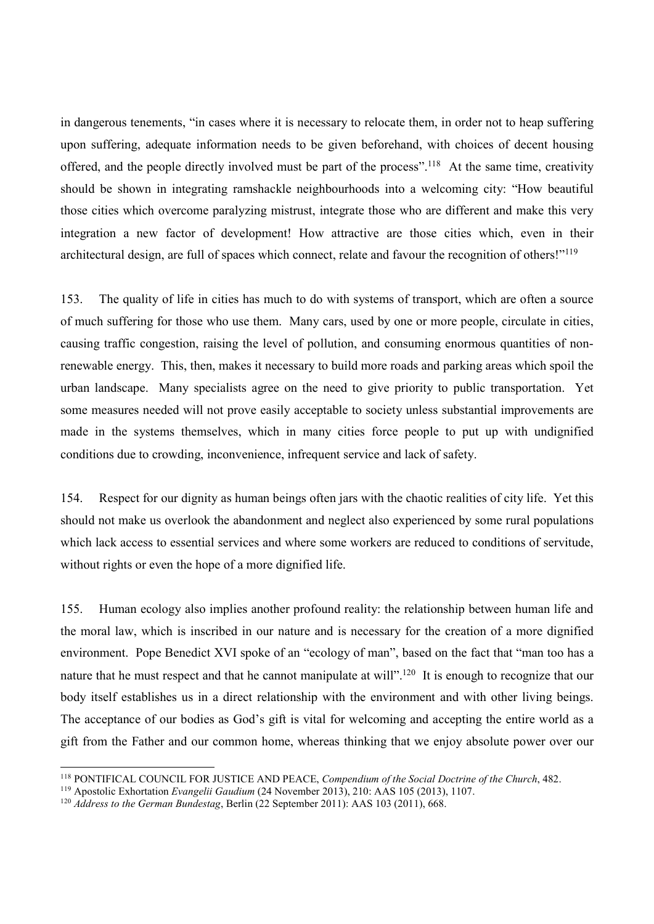in dangerous tenements, "in cases where it is necessary to relocate them, in order not to heap suffering upon suffering, adequate information needs to be given beforehand, with choices of decent housing offered, and the people directly involved must be part of the process".118 At the same time, creativity should be shown in integrating ramshackle neighbourhoods into a welcoming city: "How beautiful those cities which overcome paralyzing mistrust, integrate those who are different and make this very integration a new factor of development! How attractive are those cities which, even in their architectural design, are full of spaces which connect, relate and favour the recognition of others!"119

153. The quality of life in cities has much to do with systems of transport, which are often a source of much suffering for those who use them. Many cars, used by one or more people, circulate in cities, causing traffic congestion, raising the level of pollution, and consuming enormous quantities of nonrenewable energy. This, then, makes it necessary to build more roads and parking areas which spoil the urban landscape. Many specialists agree on the need to give priority to public transportation. Yet some measures needed will not prove easily acceptable to society unless substantial improvements are made in the systems themselves, which in many cities force people to put up with undignified conditions due to crowding, inconvenience, infrequent service and lack of safety.

154. Respect for our dignity as human beings often jars with the chaotic realities of city life. Yet this should not make us overlook the abandonment and neglect also experienced by some rural populations which lack access to essential services and where some workers are reduced to conditions of servitude, without rights or even the hope of a more dignified life.

155. Human ecology also implies another profound reality: the relationship between human life and the moral law, which is inscribed in our nature and is necessary for the creation of a more dignified environment. Pope Benedict XVI spoke of an "ecology of man", based on the fact that "man too has a nature that he must respect and that he cannot manipulate at will".<sup>120</sup> It is enough to recognize that our body itself establishes us in a direct relationship with the environment and with other living beings. The acceptance of our bodies as God's gift is vital for welcoming and accepting the entire world as a gift from the Father and our common home, whereas thinking that we enjoy absolute power over our

 <sup>118</sup> PONTIFICAL COUNCIL FOR JUSTICE AND PEACE, *Compendium of the Social Doctrine of the Church*, 482.

<sup>119</sup> Apostolic Exhortation *Evangelii Gaudium* (24 November 2013), 210: AAS 105 (2013), 1107.

<sup>120</sup> *Address to the German Bundestag*, Berlin (22 September 2011): AAS 103 (2011), 668.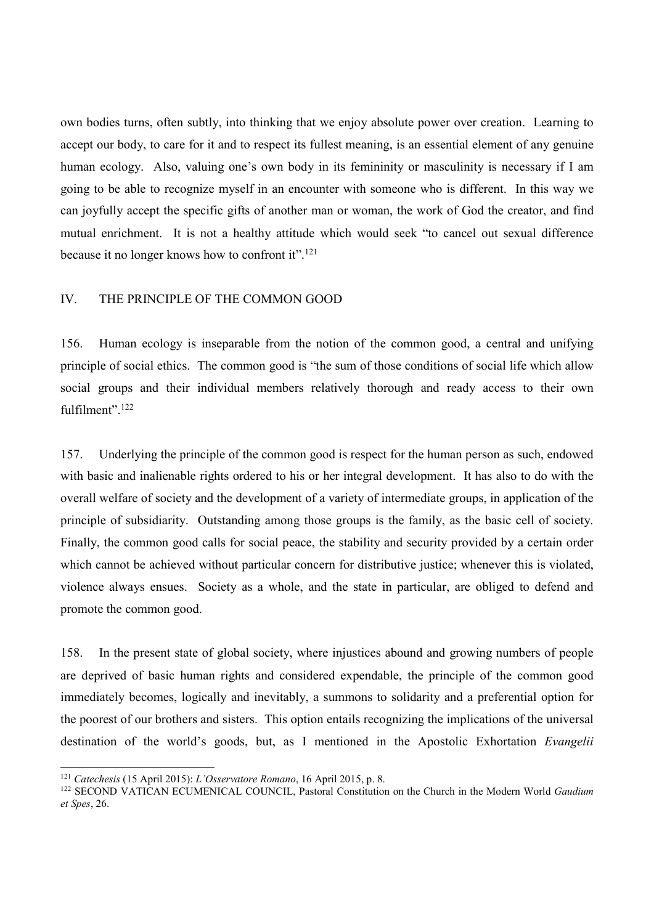own bodies turns, often subtly, into thinking that we enjoy absolute power over creation. Learning to accept our body, to care for it and to respect its fullest meaning, is an essential element of any genuine human ecology. Also, valuing one's own body in its femininity or masculinity is necessary if I am going to be able to recognize myself in an encounter with someone who is different. In this way we can joyfully accept the specific gifts of another man or woman, the work of God the creator, and find mutual enrichment. It is not a healthy attitude which would seek "to cancel out sexual difference because it no longer knows how to confront it".121

### IV. THE PRINCIPLE OF THE COMMON GOOD

156. Human ecology is inseparable from the notion of the common good, a central and unifying principle of social ethics. The common good is "the sum of those conditions of social life which allow social groups and their individual members relatively thorough and ready access to their own fulfilment"<sup>122</sup>

157. Underlying the principle of the common good is respect for the human person as such, endowed with basic and inalienable rights ordered to his or her integral development. It has also to do with the overall welfare of society and the development of a variety of intermediate groups, in application of the principle of subsidiarity. Outstanding among those groups is the family, as the basic cell of society. Finally, the common good calls for social peace, the stability and security provided by a certain order which cannot be achieved without particular concern for distributive justice; whenever this is violated, violence always ensues. Society as a whole, and the state in particular, are obliged to defend and promote the common good.

158. In the present state of global society, where injustices abound and growing numbers of people are deprived of basic human rights and considered expendable, the principle of the common good immediately becomes, logically and inevitably, a summons to solidarity and a preferential option for the poorest of our brothers and sisters. This option entails recognizing the implications of the universal destination of the world's goods, but, as I mentioned in the Apostolic Exhortation *Evangelii* 

 <sup>121</sup> *Catechesis* (15 April 2015): *L'Osservatore Romano*, 16 April 2015, p. 8.

<sup>122</sup> SECOND VATICAN ECUMENICAL COUNCIL, Pastoral Constitution on the Church in the Modern World *Gaudium et Spes*, 26.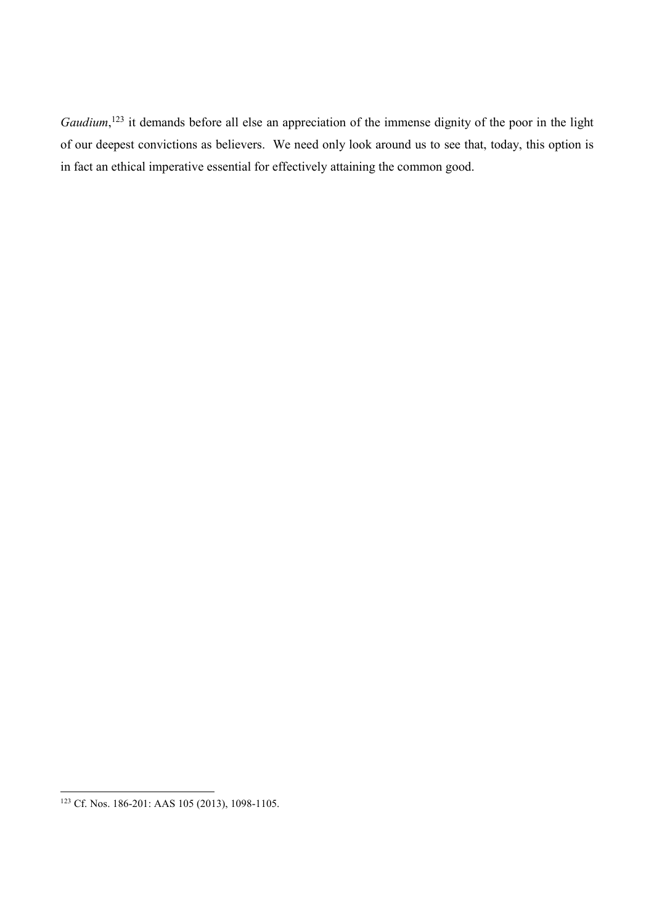Gaudium,<sup>123</sup> it demands before all else an appreciation of the immense dignity of the poor in the light of our deepest convictions as believers. We need only look around us to see that, today, this option is in fact an ethical imperative essential for effectively attaining the common good.

 <sup>123</sup> Cf. Nos. 186-201: AAS 105 (2013), 1098-1105.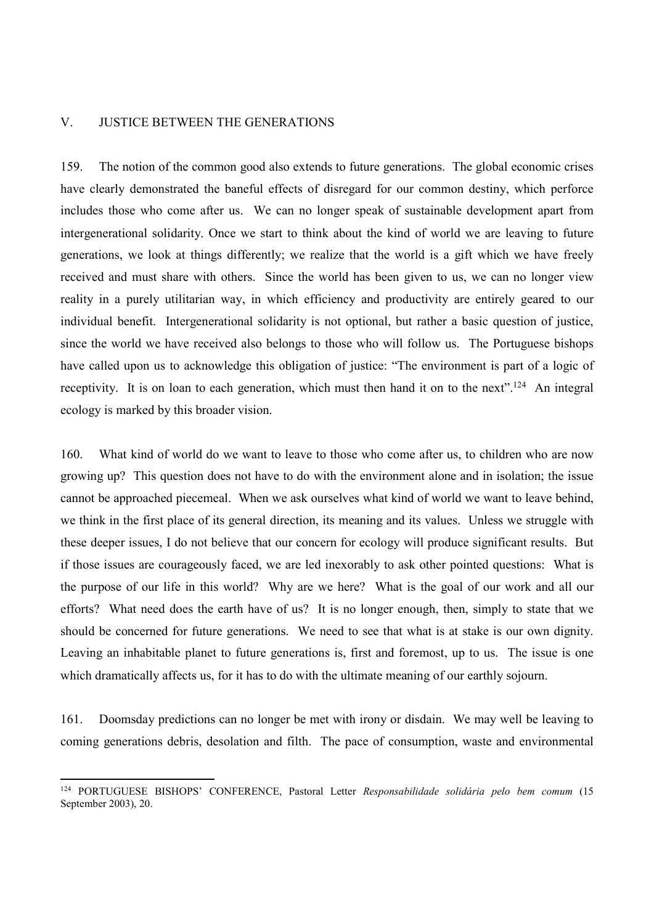# V. JUSTICE BETWEEN THE GENERATIONS

159. The notion of the common good also extends to future generations. The global economic crises have clearly demonstrated the baneful effects of disregard for our common destiny, which perforce includes those who come after us. We can no longer speak of sustainable development apart from intergenerational solidarity. Once we start to think about the kind of world we are leaving to future generations, we look at things differently; we realize that the world is a gift which we have freely received and must share with others. Since the world has been given to us, we can no longer view reality in a purely utilitarian way, in which efficiency and productivity are entirely geared to our individual benefit. Intergenerational solidarity is not optional, but rather a basic question of justice, since the world we have received also belongs to those who will follow us. The Portuguese bishops have called upon us to acknowledge this obligation of justice: "The environment is part of a logic of receptivity. It is on loan to each generation, which must then hand it on to the next".<sup>124</sup> An integral ecology is marked by this broader vision.

160. What kind of world do we want to leave to those who come after us, to children who are now growing up? This question does not have to do with the environment alone and in isolation; the issue cannot be approached piecemeal. When we ask ourselves what kind of world we want to leave behind, we think in the first place of its general direction, its meaning and its values. Unless we struggle with these deeper issues, I do not believe that our concern for ecology will produce significant results. But if those issues are courageously faced, we are led inexorably to ask other pointed questions: What is the purpose of our life in this world? Why are we here? What is the goal of our work and all our efforts? What need does the earth have of us? It is no longer enough, then, simply to state that we should be concerned for future generations. We need to see that what is at stake is our own dignity. Leaving an inhabitable planet to future generations is, first and foremost, up to us. The issue is one which dramatically affects us, for it has to do with the ultimate meaning of our earthly sojourn.

161. Doomsday predictions can no longer be met with irony or disdain. We may well be leaving to coming generations debris, desolation and filth. The pace of consumption, waste and environmental

 <sup>124</sup> PORTUGUESE BISHOPS' CONFERENCE, Pastoral Letter *Responsabilidade solidária pelo bem comum* (15 September 2003), 20.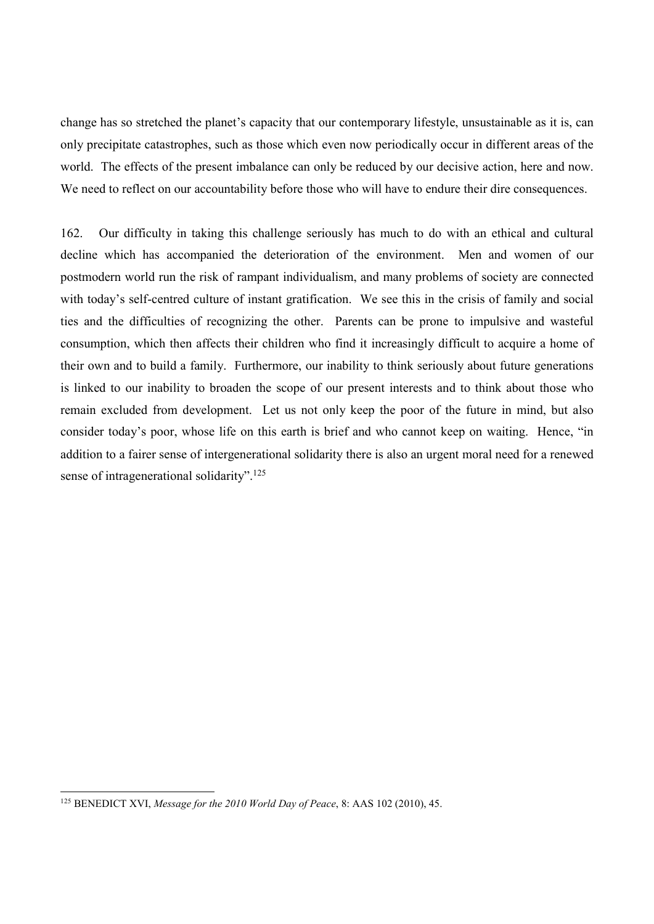change has so stretched the planet's capacity that our contemporary lifestyle, unsustainable as it is, can only precipitate catastrophes, such as those which even now periodically occur in different areas of the world. The effects of the present imbalance can only be reduced by our decisive action, here and now. We need to reflect on our accountability before those who will have to endure their dire consequences.

162. Our difficulty in taking this challenge seriously has much to do with an ethical and cultural decline which has accompanied the deterioration of the environment. Men and women of our postmodern world run the risk of rampant individualism, and many problems of society are connected with today's self-centred culture of instant gratification. We see this in the crisis of family and social ties and the difficulties of recognizing the other. Parents can be prone to impulsive and wasteful consumption, which then affects their children who find it increasingly difficult to acquire a home of their own and to build a family. Furthermore, our inability to think seriously about future generations is linked to our inability to broaden the scope of our present interests and to think about those who remain excluded from development. Let us not only keep the poor of the future in mind, but also consider today's poor, whose life on this earth is brief and who cannot keep on waiting. Hence, "in addition to a fairer sense of intergenerational solidarity there is also an urgent moral need for a renewed sense of intragenerational solidarity".<sup>125</sup>

 <sup>125</sup> BENEDICT XVI, *Message for the 2010 World Day of Peace*, 8: AAS 102 (2010), 45.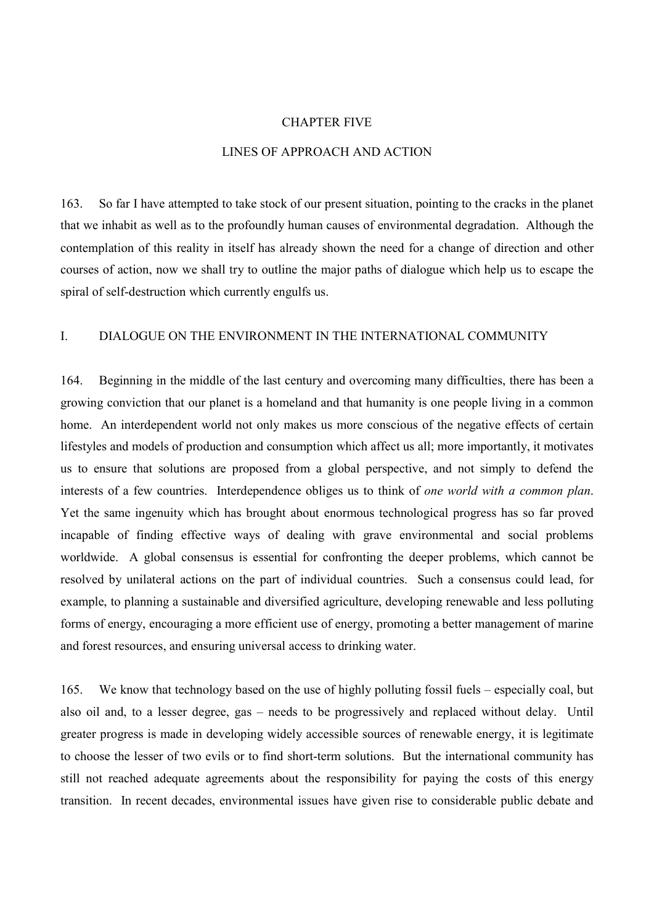#### CHAPTER FIVE

## LINES OF APPROACH AND ACTION

163. So far I have attempted to take stock of our present situation, pointing to the cracks in the planet that we inhabit as well as to the profoundly human causes of environmental degradation. Although the contemplation of this reality in itself has already shown the need for a change of direction and other courses of action, now we shall try to outline the major paths of dialogue which help us to escape the spiral of self-destruction which currently engulfs us.

#### I. DIALOGUE ON THE ENVIRONMENT IN THE INTERNATIONAL COMMUNITY

164. Beginning in the middle of the last century and overcoming many difficulties, there has been a growing conviction that our planet is a homeland and that humanity is one people living in a common home. An interdependent world not only makes us more conscious of the negative effects of certain lifestyles and models of production and consumption which affect us all; more importantly, it motivates us to ensure that solutions are proposed from a global perspective, and not simply to defend the interests of a few countries. Interdependence obliges us to think of *one world with a common plan*. Yet the same ingenuity which has brought about enormous technological progress has so far proved incapable of finding effective ways of dealing with grave environmental and social problems worldwide. A global consensus is essential for confronting the deeper problems, which cannot be resolved by unilateral actions on the part of individual countries. Such a consensus could lead, for example, to planning a sustainable and diversified agriculture, developing renewable and less polluting forms of energy, encouraging a more efficient use of energy, promoting a better management of marine and forest resources, and ensuring universal access to drinking water.

165. We know that technology based on the use of highly polluting fossil fuels – especially coal, but also oil and, to a lesser degree, gas – needs to be progressively and replaced without delay. Until greater progress is made in developing widely accessible sources of renewable energy, it is legitimate to choose the lesser of two evils or to find short-term solutions. But the international community has still not reached adequate agreements about the responsibility for paying the costs of this energy transition. In recent decades, environmental issues have given rise to considerable public debate and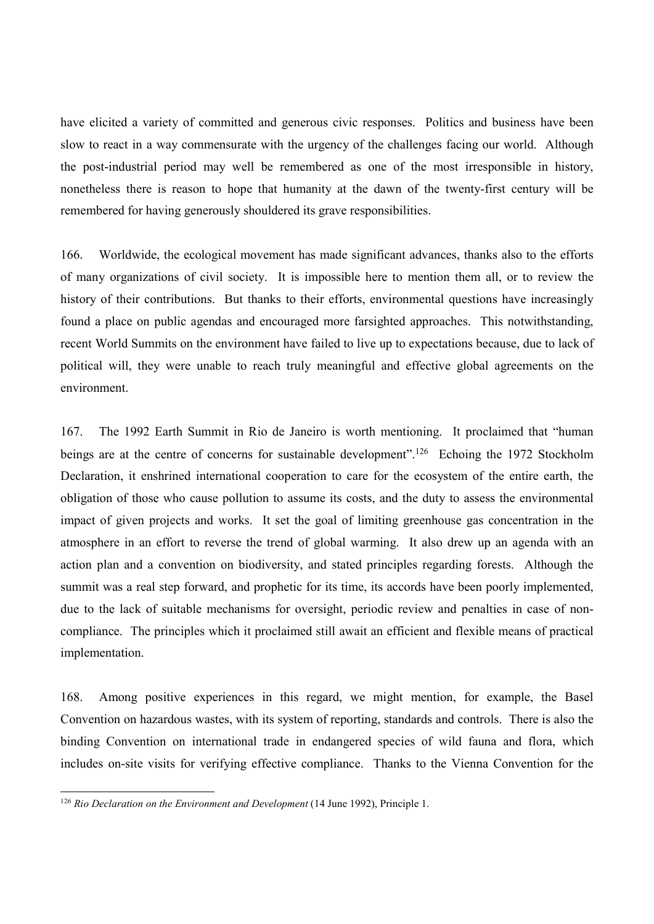have elicited a variety of committed and generous civic responses. Politics and business have been slow to react in a way commensurate with the urgency of the challenges facing our world. Although the post-industrial period may well be remembered as one of the most irresponsible in history, nonetheless there is reason to hope that humanity at the dawn of the twenty-first century will be remembered for having generously shouldered its grave responsibilities.

166. Worldwide, the ecological movement has made significant advances, thanks also to the efforts of many organizations of civil society. It is impossible here to mention them all, or to review the history of their contributions. But thanks to their efforts, environmental questions have increasingly found a place on public agendas and encouraged more farsighted approaches. This notwithstanding, recent World Summits on the environment have failed to live up to expectations because, due to lack of political will, they were unable to reach truly meaningful and effective global agreements on the environment.

167. The 1992 Earth Summit in Rio de Janeiro is worth mentioning. It proclaimed that "human beings are at the centre of concerns for sustainable development".<sup>126</sup> Echoing the 1972 Stockholm Declaration, it enshrined international cooperation to care for the ecosystem of the entire earth, the obligation of those who cause pollution to assume its costs, and the duty to assess the environmental impact of given projects and works. It set the goal of limiting greenhouse gas concentration in the atmosphere in an effort to reverse the trend of global warming. It also drew up an agenda with an action plan and a convention on biodiversity, and stated principles regarding forests. Although the summit was a real step forward, and prophetic for its time, its accords have been poorly implemented, due to the lack of suitable mechanisms for oversight, periodic review and penalties in case of noncompliance. The principles which it proclaimed still await an efficient and flexible means of practical implementation.

168. Among positive experiences in this regard, we might mention, for example, the Basel Convention on hazardous wastes, with its system of reporting, standards and controls. There is also the binding Convention on international trade in endangered species of wild fauna and flora, which includes on-site visits for verifying effective compliance. Thanks to the Vienna Convention for the

 <sup>126</sup> *Rio Declaration on the Environment and Development* (14 June 1992), Principle 1.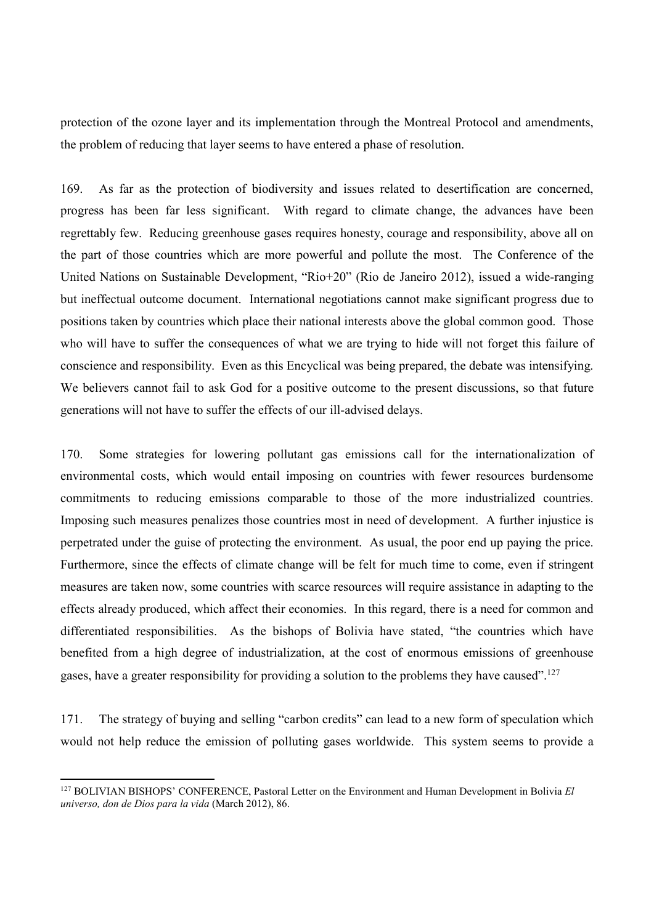protection of the ozone layer and its implementation through the Montreal Protocol and amendments, the problem of reducing that layer seems to have entered a phase of resolution.

169. As far as the protection of biodiversity and issues related to desertification are concerned, progress has been far less significant. With regard to climate change, the advances have been regrettably few. Reducing greenhouse gases requires honesty, courage and responsibility, above all on the part of those countries which are more powerful and pollute the most. The Conference of the United Nations on Sustainable Development, "Rio+20" (Rio de Janeiro 2012), issued a wide-ranging but ineffectual outcome document. International negotiations cannot make significant progress due to positions taken by countries which place their national interests above the global common good. Those who will have to suffer the consequences of what we are trying to hide will not forget this failure of conscience and responsibility. Even as this Encyclical was being prepared, the debate was intensifying. We believers cannot fail to ask God for a positive outcome to the present discussions, so that future generations will not have to suffer the effects of our ill-advised delays.

170. Some strategies for lowering pollutant gas emissions call for the internationalization of environmental costs, which would entail imposing on countries with fewer resources burdensome commitments to reducing emissions comparable to those of the more industrialized countries. Imposing such measures penalizes those countries most in need of development. A further injustice is perpetrated under the guise of protecting the environment. As usual, the poor end up paying the price. Furthermore, since the effects of climate change will be felt for much time to come, even if stringent measures are taken now, some countries with scarce resources will require assistance in adapting to the effects already produced, which affect their economies. In this regard, there is a need for common and differentiated responsibilities. As the bishops of Bolivia have stated, "the countries which have benefited from a high degree of industrialization, at the cost of enormous emissions of greenhouse gases, have a greater responsibility for providing a solution to the problems they have caused".127

171. The strategy of buying and selling "carbon credits" can lead to a new form of speculation which would not help reduce the emission of polluting gases worldwide. This system seems to provide a

 <sup>127</sup> BOLIVIAN BISHOPS' CONFERENCE, Pastoral Letter on the Environment and Human Development in Bolivia *El universo, don de Dios para la vida* (March 2012), 86.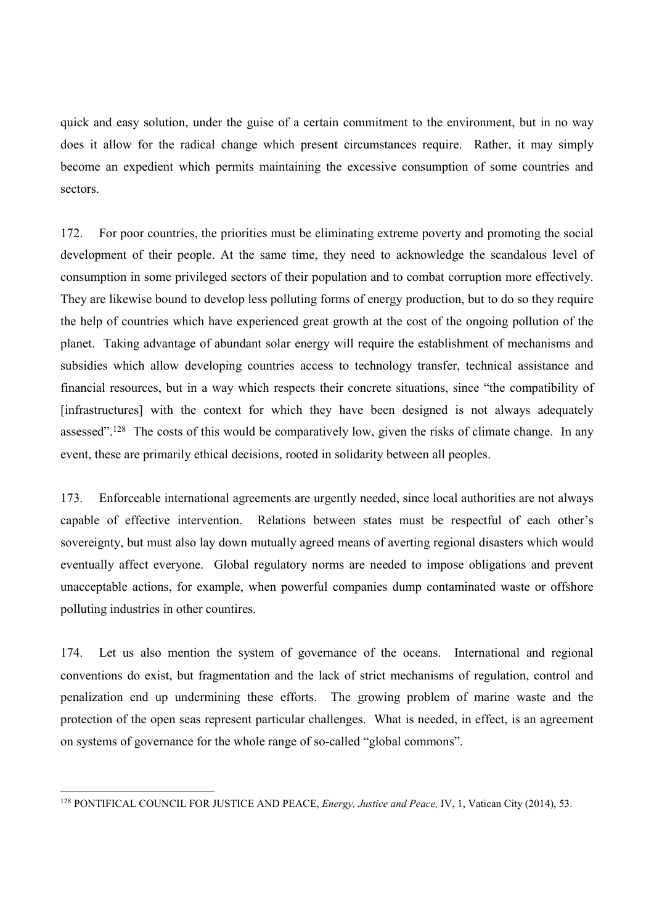quick and easy solution, under the guise of a certain commitment to the environment, but in no way does it allow for the radical change which present circumstances require. Rather, it may simply become an expedient which permits maintaining the excessive consumption of some countries and sectors.

172. For poor countries, the priorities must be eliminating extreme poverty and promoting the social development of their people. At the same time, they need to acknowledge the scandalous level of consumption in some privileged sectors of their population and to combat corruption more effectively. They are likewise bound to develop less polluting forms of energy production, but to do so they require the help of countries which have experienced great growth at the cost of the ongoing pollution of the planet. Taking advantage of abundant solar energy will require the establishment of mechanisms and subsidies which allow developing countries access to technology transfer, technical assistance and financial resources, but in a way which respects their concrete situations, since "the compatibility of [infrastructures] with the context for which they have been designed is not always adequately assessed".128 The costs of this would be comparatively low, given the risks of climate change. In any event, these are primarily ethical decisions, rooted in solidarity between all peoples.

173. Enforceable international agreements are urgently needed, since local authorities are not always capable of effective intervention. Relations between states must be respectful of each other's sovereignty, but must also lay down mutually agreed means of averting regional disasters which would eventually affect everyone. Global regulatory norms are needed to impose obligations and prevent unacceptable actions, for example, when powerful companies dump contaminated waste or offshore polluting industries in other countires.

174. Let us also mention the system of governance of the oceans. International and regional conventions do exist, but fragmentation and the lack of strict mechanisms of regulation, control and penalization end up undermining these efforts. The growing problem of marine waste and the protection of the open seas represent particular challenges. What is needed, in effect, is an agreement on systems of governance for the whole range of so-called "global commons".

 <sup>128</sup> PONTIFICAL COUNCIL FOR JUSTICE AND PEACE, *Energy, Justice and Peace,* IV, 1, Vatican City (2014), 53.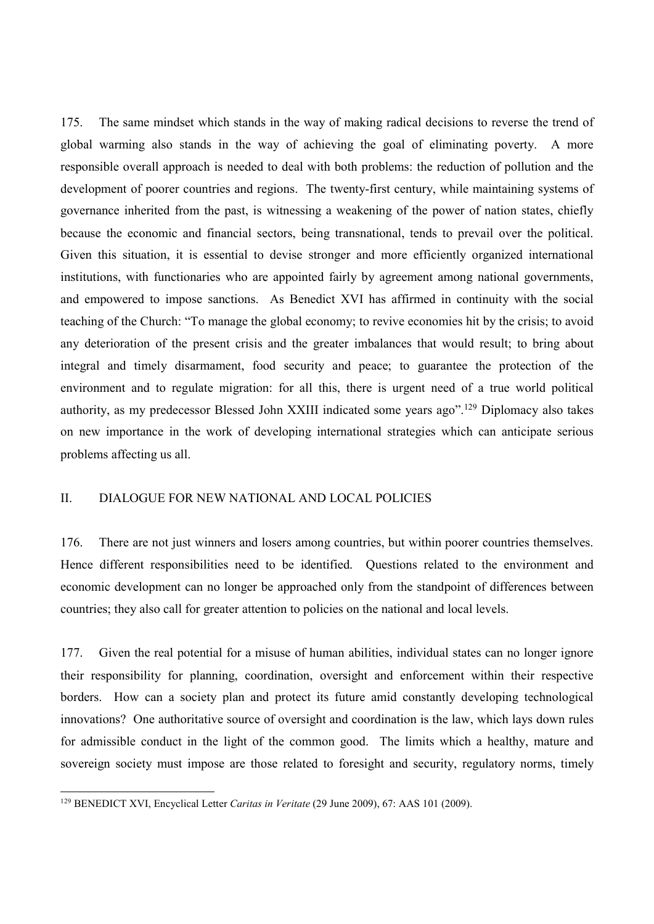175. The same mindset which stands in the way of making radical decisions to reverse the trend of global warming also stands in the way of achieving the goal of eliminating poverty. A more responsible overall approach is needed to deal with both problems: the reduction of pollution and the development of poorer countries and regions. The twenty-first century, while maintaining systems of governance inherited from the past, is witnessing a weakening of the power of nation states, chiefly because the economic and financial sectors, being transnational, tends to prevail over the political. Given this situation, it is essential to devise stronger and more efficiently organized international institutions, with functionaries who are appointed fairly by agreement among national governments, and empowered to impose sanctions. As Benedict XVI has affirmed in continuity with the social teaching of the Church: "To manage the global economy; to revive economies hit by the crisis; to avoid any deterioration of the present crisis and the greater imbalances that would result; to bring about integral and timely disarmament, food security and peace; to guarantee the protection of the environment and to regulate migration: for all this, there is urgent need of a true world political authority, as my predecessor Blessed John XXIII indicated some years ago".129 Diplomacy also takes on new importance in the work of developing international strategies which can anticipate serious problems affecting us all.

# II. DIALOGUE FOR NEW NATIONAL AND LOCAL POLICIES

176. There are not just winners and losers among countries, but within poorer countries themselves. Hence different responsibilities need to be identified. Questions related to the environment and economic development can no longer be approached only from the standpoint of differences between countries; they also call for greater attention to policies on the national and local levels.

177. Given the real potential for a misuse of human abilities, individual states can no longer ignore their responsibility for planning, coordination, oversight and enforcement within their respective borders. How can a society plan and protect its future amid constantly developing technological innovations? One authoritative source of oversight and coordination is the law, which lays down rules for admissible conduct in the light of the common good. The limits which a healthy, mature and sovereign society must impose are those related to foresight and security, regulatory norms, timely

 <sup>129</sup> BENEDICT XVI, Encyclical Letter *Caritas in Veritate* (29 June 2009), 67: AAS 101 (2009).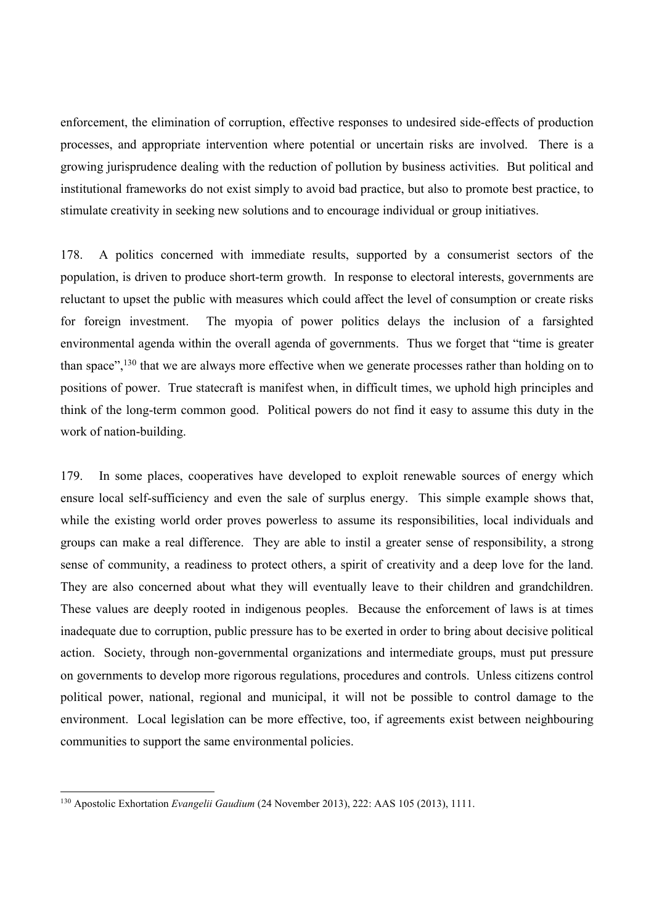enforcement, the elimination of corruption, effective responses to undesired side-effects of production processes, and appropriate intervention where potential or uncertain risks are involved. There is a growing jurisprudence dealing with the reduction of pollution by business activities. But political and institutional frameworks do not exist simply to avoid bad practice, but also to promote best practice, to stimulate creativity in seeking new solutions and to encourage individual or group initiatives.

178. A politics concerned with immediate results, supported by a consumerist sectors of the population, is driven to produce short-term growth. In response to electoral interests, governments are reluctant to upset the public with measures which could affect the level of consumption or create risks for foreign investment. The myopia of power politics delays the inclusion of a farsighted environmental agenda within the overall agenda of governments. Thus we forget that "time is greater than space",130 that we are always more effective when we generate processes rather than holding on to positions of power. True statecraft is manifest when, in difficult times, we uphold high principles and think of the long-term common good. Political powers do not find it easy to assume this duty in the work of nation-building.

179. In some places, cooperatives have developed to exploit renewable sources of energy which ensure local self-sufficiency and even the sale of surplus energy. This simple example shows that, while the existing world order proves powerless to assume its responsibilities, local individuals and groups can make a real difference. They are able to instil a greater sense of responsibility, a strong sense of community, a readiness to protect others, a spirit of creativity and a deep love for the land. They are also concerned about what they will eventually leave to their children and grandchildren. These values are deeply rooted in indigenous peoples. Because the enforcement of laws is at times inadequate due to corruption, public pressure has to be exerted in order to bring about decisive political action. Society, through non-governmental organizations and intermediate groups, must put pressure on governments to develop more rigorous regulations, procedures and controls. Unless citizens control political power, national, regional and municipal, it will not be possible to control damage to the environment. Local legislation can be more effective, too, if agreements exist between neighbouring communities to support the same environmental policies.

 <sup>130</sup> Apostolic Exhortation *Evangelii Gaudium* (24 November 2013), 222: AAS 105 (2013), 1111.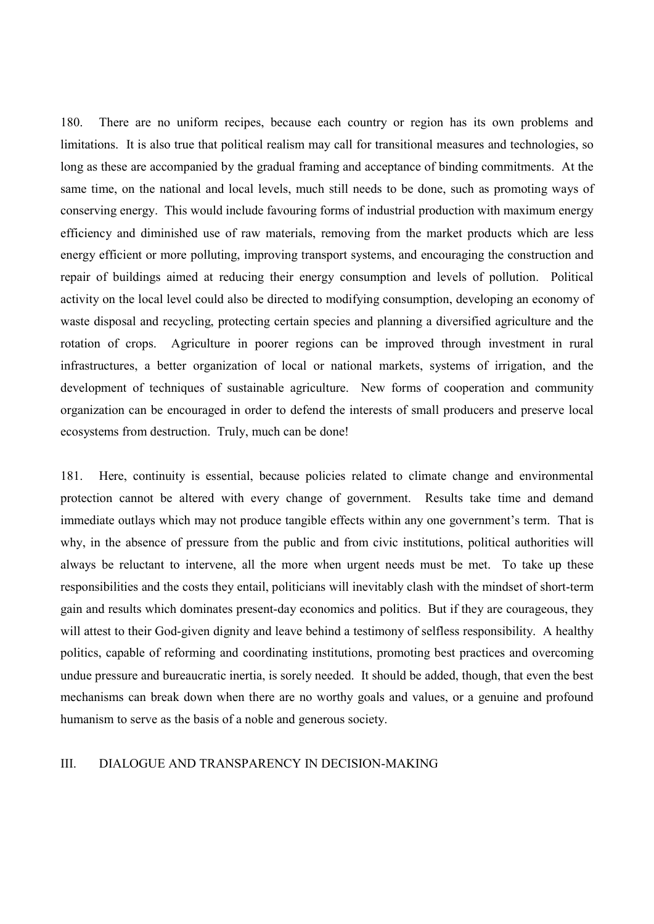180. There are no uniform recipes, because each country or region has its own problems and limitations. It is also true that political realism may call for transitional measures and technologies, so long as these are accompanied by the gradual framing and acceptance of binding commitments. At the same time, on the national and local levels, much still needs to be done, such as promoting ways of conserving energy. This would include favouring forms of industrial production with maximum energy efficiency and diminished use of raw materials, removing from the market products which are less energy efficient or more polluting, improving transport systems, and encouraging the construction and repair of buildings aimed at reducing their energy consumption and levels of pollution. Political activity on the local level could also be directed to modifying consumption, developing an economy of waste disposal and recycling, protecting certain species and planning a diversified agriculture and the rotation of crops. Agriculture in poorer regions can be improved through investment in rural infrastructures, a better organization of local or national markets, systems of irrigation, and the development of techniques of sustainable agriculture. New forms of cooperation and community organization can be encouraged in order to defend the interests of small producers and preserve local ecosystems from destruction. Truly, much can be done!

181. Here, continuity is essential, because policies related to climate change and environmental protection cannot be altered with every change of government. Results take time and demand immediate outlays which may not produce tangible effects within any one government's term. That is why, in the absence of pressure from the public and from civic institutions, political authorities will always be reluctant to intervene, all the more when urgent needs must be met. To take up these responsibilities and the costs they entail, politicians will inevitably clash with the mindset of short-term gain and results which dominates present-day economics and politics. But if they are courageous, they will attest to their God-given dignity and leave behind a testimony of selfless responsibility. A healthy politics, capable of reforming and coordinating institutions, promoting best practices and overcoming undue pressure and bureaucratic inertia, is sorely needed. It should be added, though, that even the best mechanisms can break down when there are no worthy goals and values, or a genuine and profound humanism to serve as the basis of a noble and generous society.

# III. DIALOGUE AND TRANSPARENCY IN DECISION-MAKING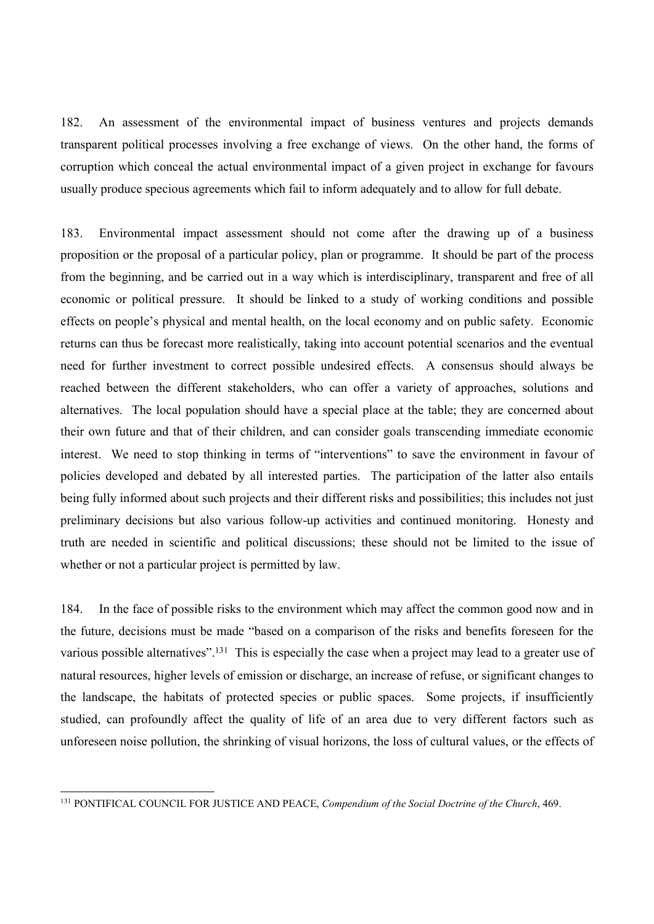182. An assessment of the environmental impact of business ventures and projects demands transparent political processes involving a free exchange of views. On the other hand, the forms of corruption which conceal the actual environmental impact of a given project in exchange for favours usually produce specious agreements which fail to inform adequately and to allow for full debate.

183. Environmental impact assessment should not come after the drawing up of a business proposition or the proposal of a particular policy, plan or programme. It should be part of the process from the beginning, and be carried out in a way which is interdisciplinary, transparent and free of all economic or political pressure. It should be linked to a study of working conditions and possible effects on people's physical and mental health, on the local economy and on public safety. Economic returns can thus be forecast more realistically, taking into account potential scenarios and the eventual need for further investment to correct possible undesired effects. A consensus should always be reached between the different stakeholders, who can offer a variety of approaches, solutions and alternatives. The local population should have a special place at the table; they are concerned about their own future and that of their children, and can consider goals transcending immediate economic interest. We need to stop thinking in terms of "interventions" to save the environment in favour of policies developed and debated by all interested parties. The participation of the latter also entails being fully informed about such projects and their different risks and possibilities; this includes not just preliminary decisions but also various follow-up activities and continued monitoring. Honesty and truth are needed in scientific and political discussions; these should not be limited to the issue of whether or not a particular project is permitted by law.

184. In the face of possible risks to the environment which may affect the common good now and in the future, decisions must be made "based on a comparison of the risks and benefits foreseen for the various possible alternatives".<sup>131</sup> This is especially the case when a project may lead to a greater use of natural resources, higher levels of emission or discharge, an increase of refuse, or significant changes to the landscape, the habitats of protected species or public spaces. Some projects, if insufficiently studied, can profoundly affect the quality of life of an area due to very different factors such as unforeseen noise pollution, the shrinking of visual horizons, the loss of cultural values, or the effects of

 <sup>131</sup> PONTIFICAL COUNCIL FOR JUSTICE AND PEACE, *Compendium of the Social Doctrine of the Church*, 469.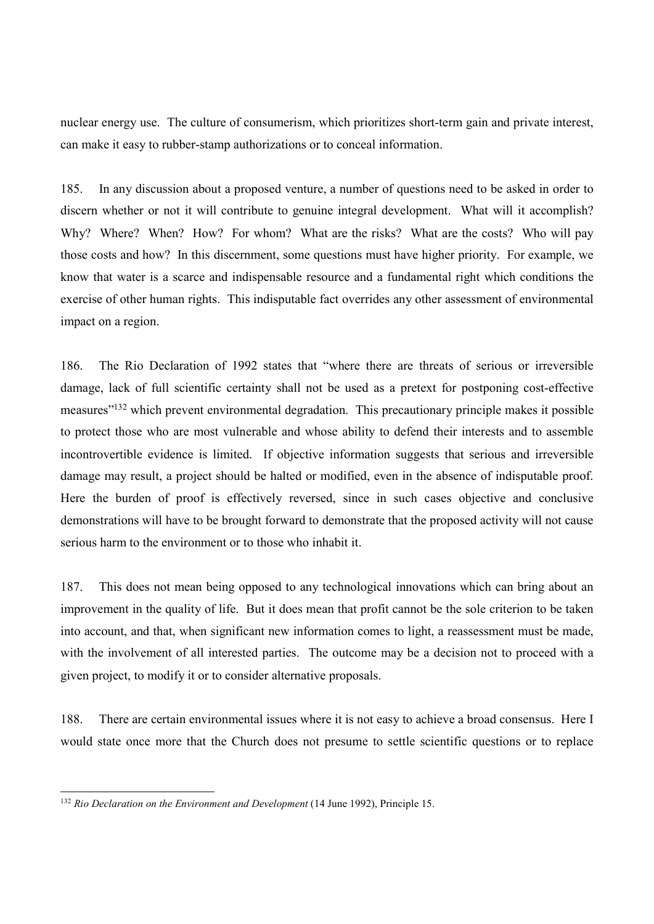nuclear energy use. The culture of consumerism, which prioritizes short-term gain and private interest, can make it easy to rubber-stamp authorizations or to conceal information.

185. In any discussion about a proposed venture, a number of questions need to be asked in order to discern whether or not it will contribute to genuine integral development. What will it accomplish? Why? Where? When? How? For whom? What are the risks? What are the costs? Who will pay those costs and how? In this discernment, some questions must have higher priority. For example, we know that water is a scarce and indispensable resource and a fundamental right which conditions the exercise of other human rights. This indisputable fact overrides any other assessment of environmental impact on a region.

186. The Rio Declaration of 1992 states that "where there are threats of serious or irreversible damage, lack of full scientific certainty shall not be used as a pretext for postponing cost-effective measures"132 which prevent environmental degradation. This precautionary principle makes it possible to protect those who are most vulnerable and whose ability to defend their interests and to assemble incontrovertible evidence is limited. If objective information suggests that serious and irreversible damage may result, a project should be halted or modified, even in the absence of indisputable proof. Here the burden of proof is effectively reversed, since in such cases objective and conclusive demonstrations will have to be brought forward to demonstrate that the proposed activity will not cause serious harm to the environment or to those who inhabit it.

187. This does not mean being opposed to any technological innovations which can bring about an improvement in the quality of life. But it does mean that profit cannot be the sole criterion to be taken into account, and that, when significant new information comes to light, a reassessment must be made, with the involvement of all interested parties. The outcome may be a decision not to proceed with a given project, to modify it or to consider alternative proposals.

188. There are certain environmental issues where it is not easy to achieve a broad consensus. Here I would state once more that the Church does not presume to settle scientific questions or to replace

 <sup>132</sup> *Rio Declaration on the Environment and Development* (14 June 1992), Principle 15.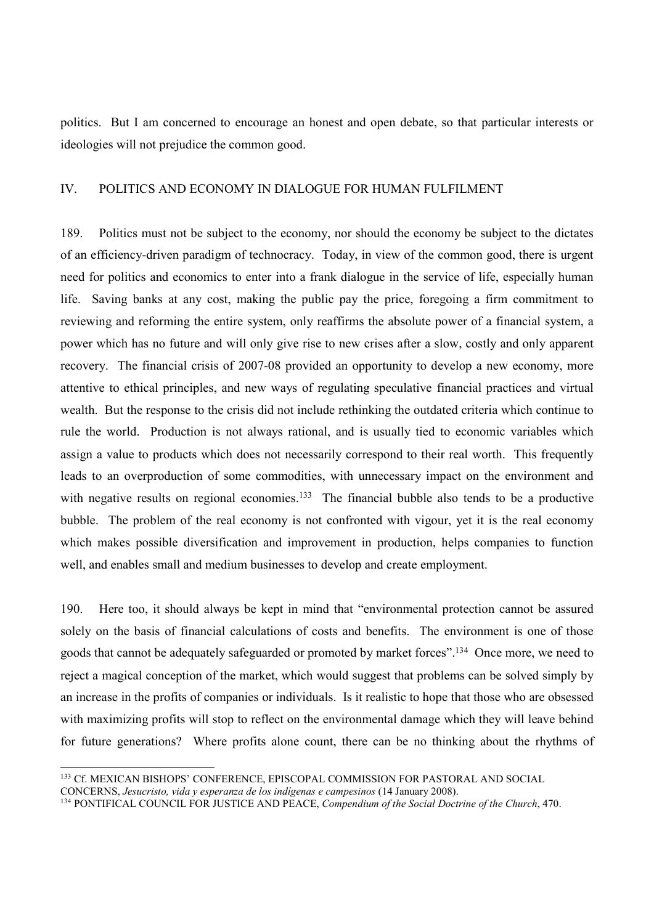politics. But I am concerned to encourage an honest and open debate, so that particular interests or ideologies will not prejudice the common good.

### IV. POLITICS AND ECONOMY IN DIALOGUE FOR HUMAN FULFILMENT

189. Politics must not be subject to the economy, nor should the economy be subject to the dictates of an efficiency-driven paradigm of technocracy. Today, in view of the common good, there is urgent need for politics and economics to enter into a frank dialogue in the service of life, especially human life. Saving banks at any cost, making the public pay the price, foregoing a firm commitment to reviewing and reforming the entire system, only reaffirms the absolute power of a financial system, a power which has no future and will only give rise to new crises after a slow, costly and only apparent recovery. The financial crisis of 2007-08 provided an opportunity to develop a new economy, more attentive to ethical principles, and new ways of regulating speculative financial practices and virtual wealth. But the response to the crisis did not include rethinking the outdated criteria which continue to rule the world. Production is not always rational, and is usually tied to economic variables which assign a value to products which does not necessarily correspond to their real worth. This frequently leads to an overproduction of some commodities, with unnecessary impact on the environment and with negative results on regional economies.<sup>133</sup> The financial bubble also tends to be a productive bubble. The problem of the real economy is not confronted with vigour, yet it is the real economy which makes possible diversification and improvement in production, helps companies to function well, and enables small and medium businesses to develop and create employment.

190. Here too, it should always be kept in mind that "environmental protection cannot be assured solely on the basis of financial calculations of costs and benefits. The environment is one of those goods that cannot be adequately safeguarded or promoted by market forces".134 Once more, we need to reject a magical conception of the market, which would suggest that problems can be solved simply by an increase in the profits of companies or individuals. Is it realistic to hope that those who are obsessed with maximizing profits will stop to reflect on the environmental damage which they will leave behind for future generations? Where profits alone count, there can be no thinking about the rhythms of

<sup>&</sup>lt;sup>133</sup> Cf. MEXICAN BISHOPS' CONFERENCE, EPISCOPAL COMMISSION FOR PASTORAL AND SOCIAL CONCERNS, *Jesucristo, vida y esperanza de los indígenas e campesinos* (14 January 2008).

<sup>&</sup>lt;sup>134</sup> PONTIFICAL COUNCIL FOR JUSTICE AND PEACE, *Compendium of the Social Doctrine of the Church*, 470.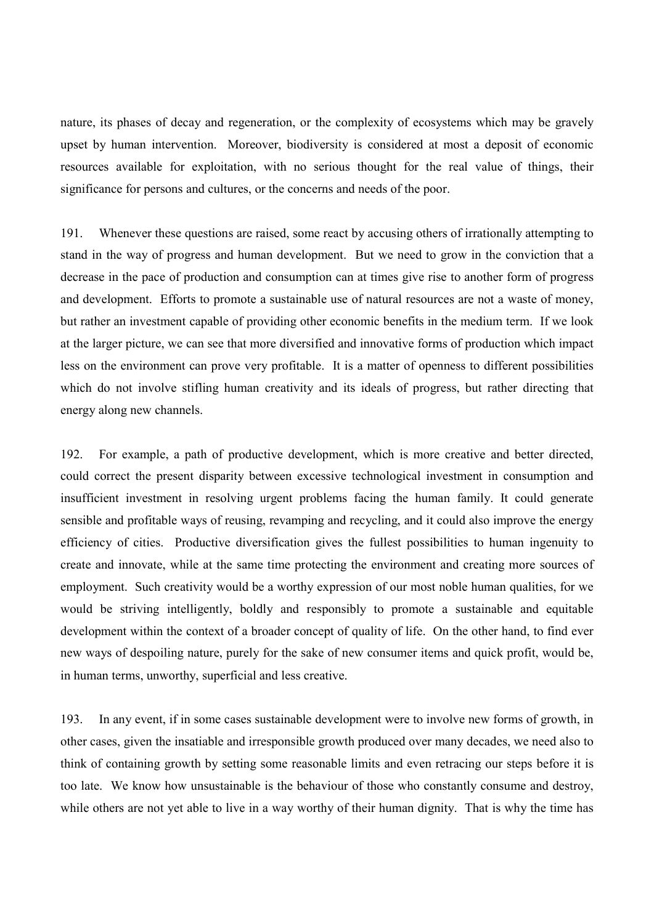nature, its phases of decay and regeneration, or the complexity of ecosystems which may be gravely upset by human intervention. Moreover, biodiversity is considered at most a deposit of economic resources available for exploitation, with no serious thought for the real value of things, their significance for persons and cultures, or the concerns and needs of the poor.

191. Whenever these questions are raised, some react by accusing others of irrationally attempting to stand in the way of progress and human development. But we need to grow in the conviction that a decrease in the pace of production and consumption can at times give rise to another form of progress and development. Efforts to promote a sustainable use of natural resources are not a waste of money, but rather an investment capable of providing other economic benefits in the medium term. If we look at the larger picture, we can see that more diversified and innovative forms of production which impact less on the environment can prove very profitable. It is a matter of openness to different possibilities which do not involve stifling human creativity and its ideals of progress, but rather directing that energy along new channels.

192. For example, a path of productive development, which is more creative and better directed, could correct the present disparity between excessive technological investment in consumption and insufficient investment in resolving urgent problems facing the human family. It could generate sensible and profitable ways of reusing, revamping and recycling, and it could also improve the energy efficiency of cities. Productive diversification gives the fullest possibilities to human ingenuity to create and innovate, while at the same time protecting the environment and creating more sources of employment. Such creativity would be a worthy expression of our most noble human qualities, for we would be striving intelligently, boldly and responsibly to promote a sustainable and equitable development within the context of a broader concept of quality of life. On the other hand, to find ever new ways of despoiling nature, purely for the sake of new consumer items and quick profit, would be, in human terms, unworthy, superficial and less creative.

193. In any event, if in some cases sustainable development were to involve new forms of growth, in other cases, given the insatiable and irresponsible growth produced over many decades, we need also to think of containing growth by setting some reasonable limits and even retracing our steps before it is too late. We know how unsustainable is the behaviour of those who constantly consume and destroy, while others are not yet able to live in a way worthy of their human dignity. That is why the time has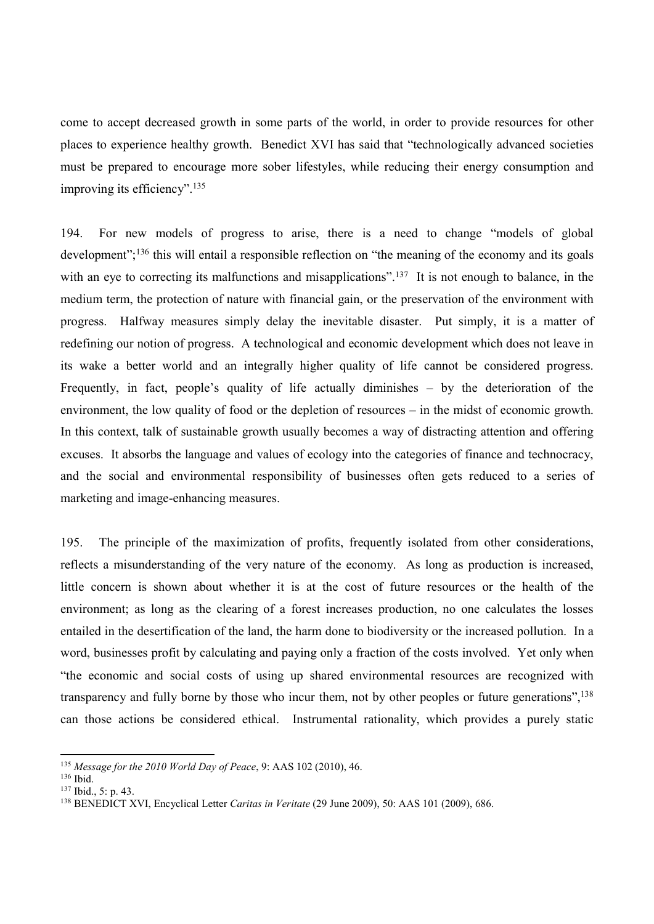come to accept decreased growth in some parts of the world, in order to provide resources for other places to experience healthy growth. Benedict XVI has said that "technologically advanced societies must be prepared to encourage more sober lifestyles, while reducing their energy consumption and improving its efficiency".135

194. For new models of progress to arise, there is a need to change "models of global development";136 this will entail a responsible reflection on "the meaning of the economy and its goals with an eye to correcting its malfunctions and misapplications".<sup>137</sup> It is not enough to balance, in the medium term, the protection of nature with financial gain, or the preservation of the environment with progress. Halfway measures simply delay the inevitable disaster. Put simply, it is a matter of redefining our notion of progress. A technological and economic development which does not leave in its wake a better world and an integrally higher quality of life cannot be considered progress. Frequently, in fact, people's quality of life actually diminishes – by the deterioration of the environment, the low quality of food or the depletion of resources – in the midst of economic growth. In this context, talk of sustainable growth usually becomes a way of distracting attention and offering excuses. It absorbs the language and values of ecology into the categories of finance and technocracy, and the social and environmental responsibility of businesses often gets reduced to a series of marketing and image-enhancing measures.

195. The principle of the maximization of profits, frequently isolated from other considerations, reflects a misunderstanding of the very nature of the economy. As long as production is increased, little concern is shown about whether it is at the cost of future resources or the health of the environment; as long as the clearing of a forest increases production, no one calculates the losses entailed in the desertification of the land, the harm done to biodiversity or the increased pollution. In a word, businesses profit by calculating and paying only a fraction of the costs involved. Yet only when "the economic and social costs of using up shared environmental resources are recognized with transparency and fully borne by those who incur them, not by other peoples or future generations",<sup>138</sup> can those actions be considered ethical. Instrumental rationality, which provides a purely static

 <sup>135</sup> *Message for the 2010 World Day of Peace*, 9: AAS 102 (2010), 46.

<sup>136</sup> Ibid.

<sup>137</sup> Ibid., 5: p. 43.

<sup>138</sup> BENEDICT XVI, Encyclical Letter *Caritas in Veritate* (29 June 2009), 50: AAS 101 (2009), 686.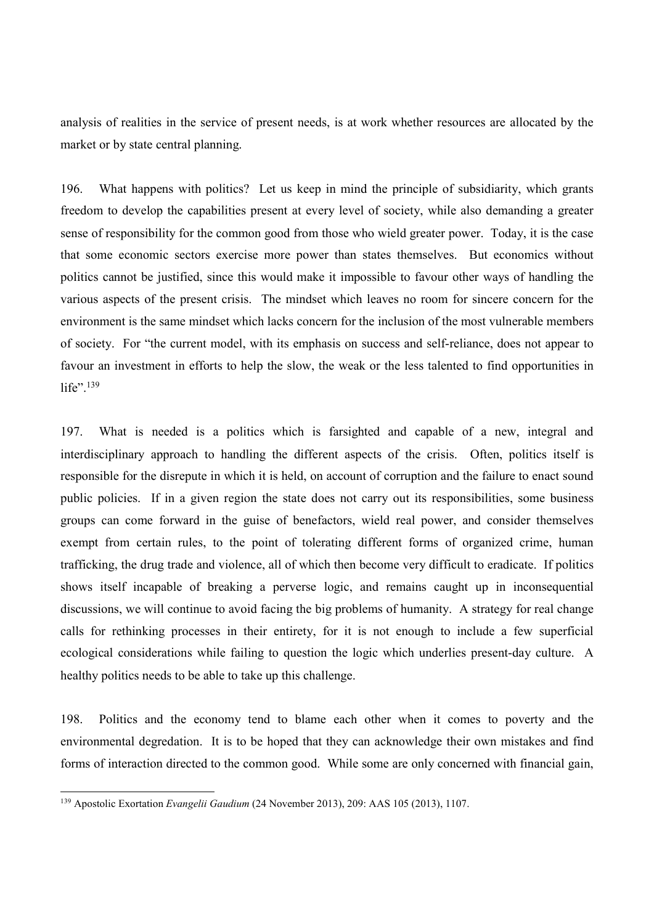analysis of realities in the service of present needs, is at work whether resources are allocated by the market or by state central planning.

196. What happens with politics? Let us keep in mind the principle of subsidiarity, which grants freedom to develop the capabilities present at every level of society, while also demanding a greater sense of responsibility for the common good from those who wield greater power. Today, it is the case that some economic sectors exercise more power than states themselves. But economics without politics cannot be justified, since this would make it impossible to favour other ways of handling the various aspects of the present crisis. The mindset which leaves no room for sincere concern for the environment is the same mindset which lacks concern for the inclusion of the most vulnerable members of society. For "the current model, with its emphasis on success and self-reliance, does not appear to favour an investment in efforts to help the slow, the weak or the less talented to find opportunities in life" $139$ 

197. What is needed is a politics which is farsighted and capable of a new, integral and interdisciplinary approach to handling the different aspects of the crisis. Often, politics itself is responsible for the disrepute in which it is held, on account of corruption and the failure to enact sound public policies. If in a given region the state does not carry out its responsibilities, some business groups can come forward in the guise of benefactors, wield real power, and consider themselves exempt from certain rules, to the point of tolerating different forms of organized crime, human trafficking, the drug trade and violence, all of which then become very difficult to eradicate. If politics shows itself incapable of breaking a perverse logic, and remains caught up in inconsequential discussions, we will continue to avoid facing the big problems of humanity. A strategy for real change calls for rethinking processes in their entirety, for it is not enough to include a few superficial ecological considerations while failing to question the logic which underlies present-day culture. A healthy politics needs to be able to take up this challenge.

198. Politics and the economy tend to blame each other when it comes to poverty and the environmental degredation. It is to be hoped that they can acknowledge their own mistakes and find forms of interaction directed to the common good. While some are only concerned with financial gain,

 <sup>139</sup> Apostolic Exortation *Evangelii Gaudium* (24 November 2013), 209: AAS 105 (2013), 1107.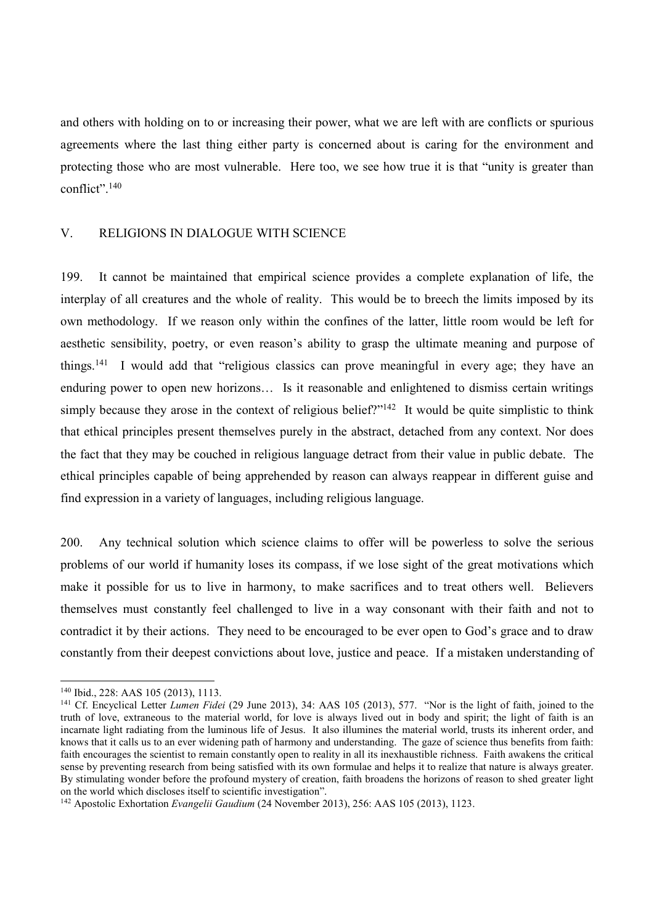and others with holding on to or increasing their power, what we are left with are conflicts or spurious agreements where the last thing either party is concerned about is caring for the environment and protecting those who are most vulnerable. Here too, we see how true it is that "unity is greater than conflict".140

#### V. RELIGIONS IN DIALOGUE WITH SCIENCE

199. It cannot be maintained that empirical science provides a complete explanation of life, the interplay of all creatures and the whole of reality. This would be to breech the limits imposed by its own methodology. If we reason only within the confines of the latter, little room would be left for aesthetic sensibility, poetry, or even reason's ability to grasp the ultimate meaning and purpose of things.141 I would add that "religious classics can prove meaningful in every age; they have an enduring power to open new horizons… Is it reasonable and enlightened to dismiss certain writings simply because they arose in the context of religious belief?"<sup>142</sup> It would be quite simplistic to think that ethical principles present themselves purely in the abstract, detached from any context. Nor does the fact that they may be couched in religious language detract from their value in public debate. The ethical principles capable of being apprehended by reason can always reappear in different guise and find expression in a variety of languages, including religious language.

200. Any technical solution which science claims to offer will be powerless to solve the serious problems of our world if humanity loses its compass, if we lose sight of the great motivations which make it possible for us to live in harmony, to make sacrifices and to treat others well. Believers themselves must constantly feel challenged to live in a way consonant with their faith and not to contradict it by their actions. They need to be encouraged to be ever open to God's grace and to draw constantly from their deepest convictions about love, justice and peace. If a mistaken understanding of

 <sup>140</sup> Ibid., 228: AAS 105 (2013), 1113.

<sup>141</sup> Cf. Encyclical Letter *Lumen Fidei* (29 June 2013), 34: AAS 105 (2013), 577. "Nor is the light of faith, joined to the truth of love, extraneous to the material world, for love is always lived out in body and spirit; the light of faith is an incarnate light radiating from the luminous life of Jesus. It also illumines the material world, trusts its inherent order, and knows that it calls us to an ever widening path of harmony and understanding. The gaze of science thus benefits from faith: faith encourages the scientist to remain constantly open to reality in all its inexhaustible richness. Faith awakens the critical sense by preventing research from being satisfied with its own formulae and helps it to realize that nature is always greater. By stimulating wonder before the profound mystery of creation, faith broadens the horizons of reason to shed greater light on the world which discloses itself to scientific investigation".

<sup>142</sup> Apostolic Exhortation *Evangelii Gaudium* (24 November 2013), 256: AAS 105 (2013), 1123.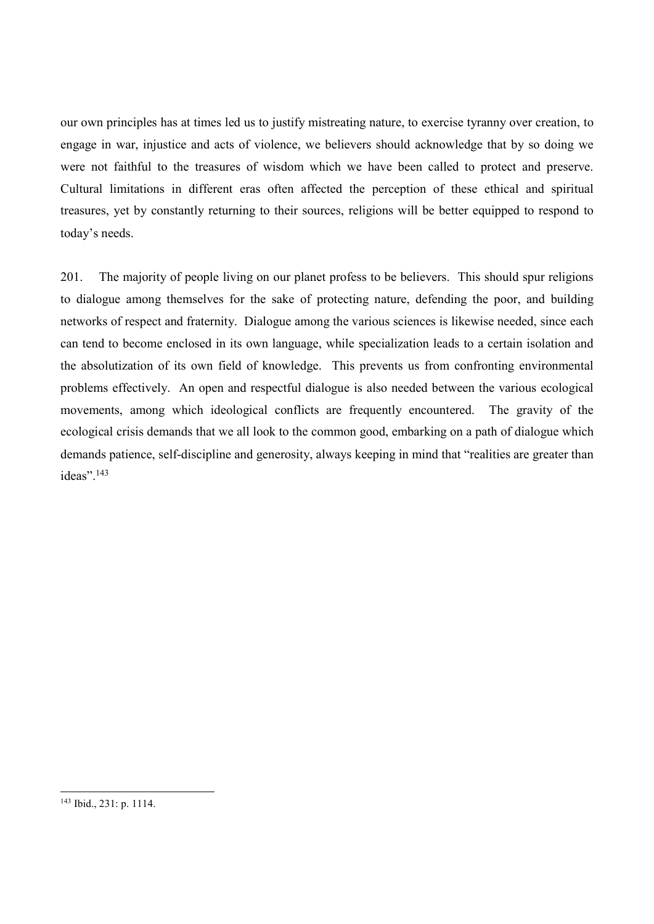our own principles has at times led us to justify mistreating nature, to exercise tyranny over creation, to engage in war, injustice and acts of violence, we believers should acknowledge that by so doing we were not faithful to the treasures of wisdom which we have been called to protect and preserve. Cultural limitations in different eras often affected the perception of these ethical and spiritual treasures, yet by constantly returning to their sources, religions will be better equipped to respond to today's needs.

201. The majority of people living on our planet profess to be believers. This should spur religions to dialogue among themselves for the sake of protecting nature, defending the poor, and building networks of respect and fraternity. Dialogue among the various sciences is likewise needed, since each can tend to become enclosed in its own language, while specialization leads to a certain isolation and the absolutization of its own field of knowledge. This prevents us from confronting environmental problems effectively. An open and respectful dialogue is also needed between the various ecological movements, among which ideological conflicts are frequently encountered. The gravity of the ecological crisis demands that we all look to the common good, embarking on a path of dialogue which demands patience, self-discipline and generosity, always keeping in mind that "realities are greater than ideas".<sup>143</sup>

 <sup>143</sup> Ibid., 231: p. 1114.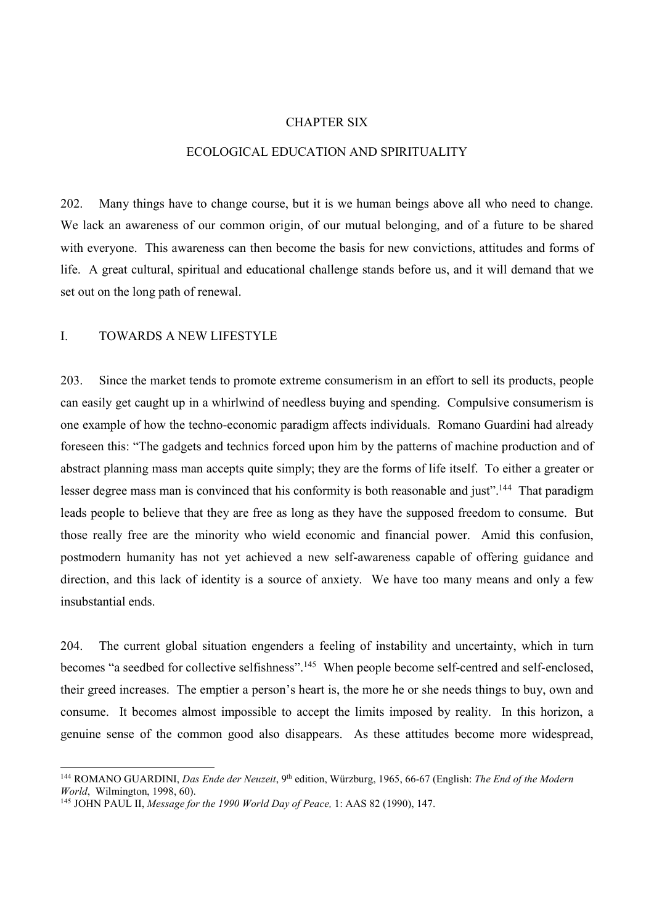#### CHAPTER SIX

### ECOLOGICAL EDUCATION AND SPIRITUALITY

202. Many things have to change course, but it is we human beings above all who need to change. We lack an awareness of our common origin, of our mutual belonging, and of a future to be shared with everyone. This awareness can then become the basis for new convictions, attitudes and forms of life. A great cultural, spiritual and educational challenge stands before us, and it will demand that we set out on the long path of renewal.

### I. TOWARDS A NEW LIFESTYLE

203. Since the market tends to promote extreme consumerism in an effort to sell its products, people can easily get caught up in a whirlwind of needless buying and spending. Compulsive consumerism is one example of how the techno-economic paradigm affects individuals. Romano Guardini had already foreseen this: "The gadgets and technics forced upon him by the patterns of machine production and of abstract planning mass man accepts quite simply; they are the forms of life itself. To either a greater or lesser degree mass man is convinced that his conformity is both reasonable and just".<sup>144</sup> That paradigm leads people to believe that they are free as long as they have the supposed freedom to consume. But those really free are the minority who wield economic and financial power. Amid this confusion, postmodern humanity has not yet achieved a new self-awareness capable of offering guidance and direction, and this lack of identity is a source of anxiety. We have too many means and only a few insubstantial ends.

204. The current global situation engenders a feeling of instability and uncertainty, which in turn becomes "a seedbed for collective selfishness".<sup>145</sup> When people become self-centred and self-enclosed, their greed increases. The emptier a person's heart is, the more he or she needs things to buy, own and consume. It becomes almost impossible to accept the limits imposed by reality. In this horizon, a genuine sense of the common good also disappears. As these attitudes become more widespread,

 <sup>144</sup> ROMANO GUARDINI, *Das Ende der Neuzeit*, 9th edition, Würzburg, 1965, 66-67 (English: *The End of the Modern World*, Wilmington, 1998, 60).

<sup>145</sup> JOHN PAUL II, *Message for the 1990 World Day of Peace,* 1: AAS 82 (1990), 147.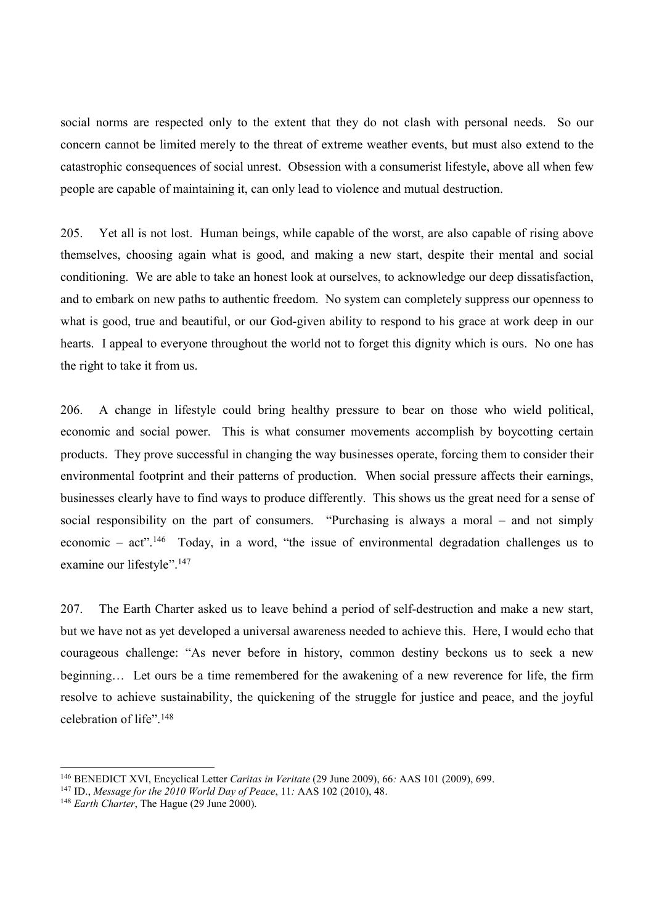social norms are respected only to the extent that they do not clash with personal needs. So our concern cannot be limited merely to the threat of extreme weather events, but must also extend to the catastrophic consequences of social unrest. Obsession with a consumerist lifestyle, above all when few people are capable of maintaining it, can only lead to violence and mutual destruction.

205. Yet all is not lost. Human beings, while capable of the worst, are also capable of rising above themselves, choosing again what is good, and making a new start, despite their mental and social conditioning. We are able to take an honest look at ourselves, to acknowledge our deep dissatisfaction, and to embark on new paths to authentic freedom. No system can completely suppress our openness to what is good, true and beautiful, or our God-given ability to respond to his grace at work deep in our hearts. I appeal to everyone throughout the world not to forget this dignity which is ours. No one has the right to take it from us.

206. A change in lifestyle could bring healthy pressure to bear on those who wield political, economic and social power. This is what consumer movements accomplish by boycotting certain products. They prove successful in changing the way businesses operate, forcing them to consider their environmental footprint and their patterns of production. When social pressure affects their earnings, businesses clearly have to find ways to produce differently. This shows us the great need for a sense of social responsibility on the part of consumers. "Purchasing is always a moral – and not simply economic – act".<sup>146</sup> Today, in a word, "the issue of environmental degradation challenges us to examine our lifestyle".<sup>147</sup>

207. The Earth Charter asked us to leave behind a period of self-destruction and make a new start, but we have not as yet developed a universal awareness needed to achieve this. Here, I would echo that courageous challenge: "As never before in history, common destiny beckons us to seek a new beginning… Let ours be a time remembered for the awakening of a new reverence for life, the firm resolve to achieve sustainability, the quickening of the struggle for justice and peace, and the joyful celebration of life".148

 <sup>146</sup> BENEDICT XVI, Encyclical Letter *Caritas in Veritate* (29 June 2009), 66*:* AAS 101 (2009), 699.

<sup>147</sup> ID., *Message for the 2010 World Day of Peace*, 11*:* AAS 102 (2010), 48.

<sup>148</sup> *Earth Charter*, The Hague (29 June 2000).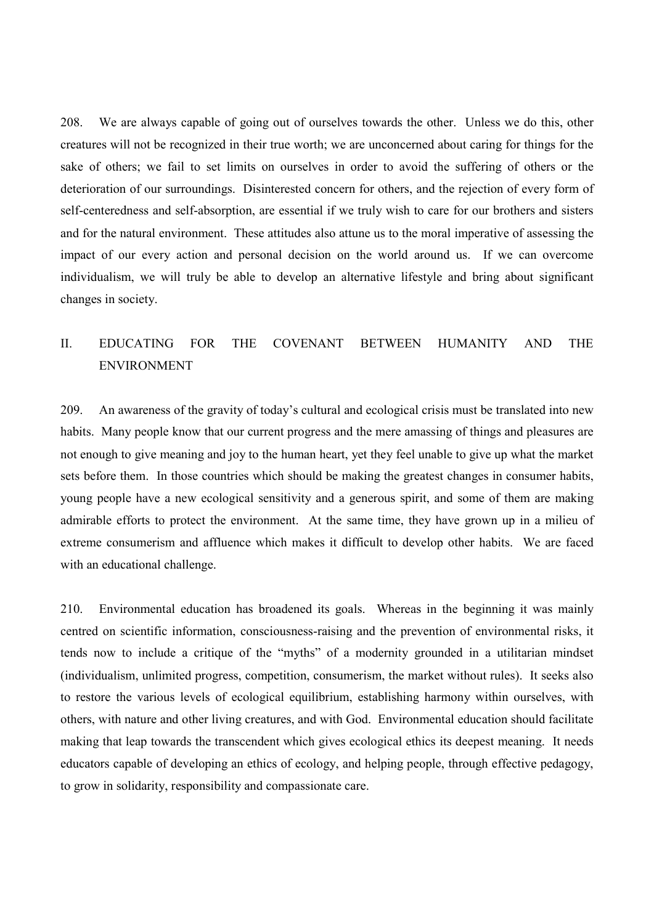208. We are always capable of going out of ourselves towards the other. Unless we do this, other creatures will not be recognized in their true worth; we are unconcerned about caring for things for the sake of others; we fail to set limits on ourselves in order to avoid the suffering of others or the deterioration of our surroundings. Disinterested concern for others, and the rejection of every form of self-centeredness and self-absorption, are essential if we truly wish to care for our brothers and sisters and for the natural environment. These attitudes also attune us to the moral imperative of assessing the impact of our every action and personal decision on the world around us. If we can overcome individualism, we will truly be able to develop an alternative lifestyle and bring about significant changes in society.

# II. EDUCATING FOR THE COVENANT BETWEEN HUMANITY AND THE ENVIRONMENT

209. An awareness of the gravity of today's cultural and ecological crisis must be translated into new habits. Many people know that our current progress and the mere amassing of things and pleasures are not enough to give meaning and joy to the human heart, yet they feel unable to give up what the market sets before them. In those countries which should be making the greatest changes in consumer habits, young people have a new ecological sensitivity and a generous spirit, and some of them are making admirable efforts to protect the environment. At the same time, they have grown up in a milieu of extreme consumerism and affluence which makes it difficult to develop other habits. We are faced with an educational challenge.

210. Environmental education has broadened its goals. Whereas in the beginning it was mainly centred on scientific information, consciousness-raising and the prevention of environmental risks, it tends now to include a critique of the "myths" of a modernity grounded in a utilitarian mindset (individualism, unlimited progress, competition, consumerism, the market without rules). It seeks also to restore the various levels of ecological equilibrium, establishing harmony within ourselves, with others, with nature and other living creatures, and with God. Environmental education should facilitate making that leap towards the transcendent which gives ecological ethics its deepest meaning. It needs educators capable of developing an ethics of ecology, and helping people, through effective pedagogy, to grow in solidarity, responsibility and compassionate care.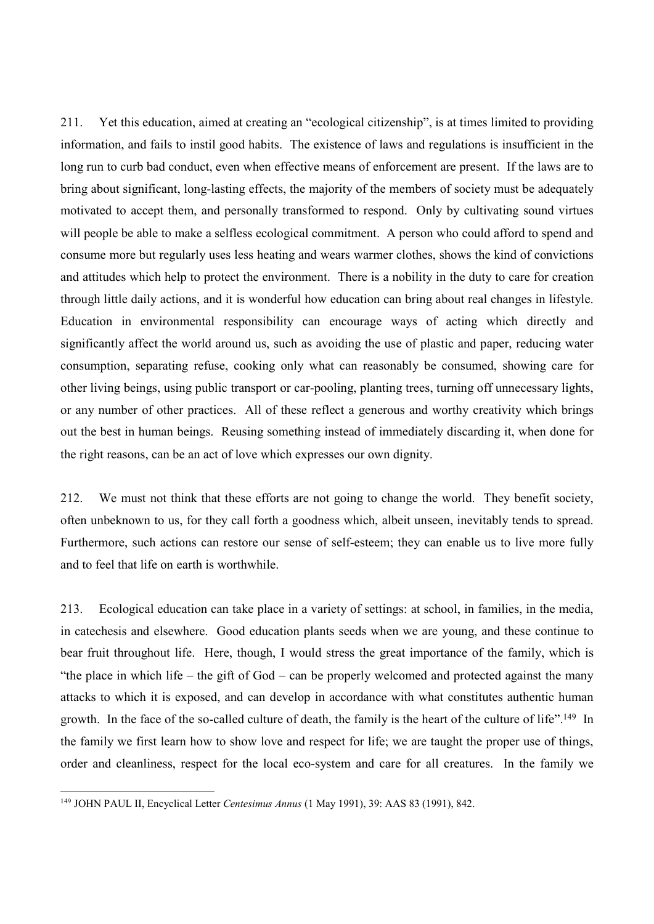211. Yet this education, aimed at creating an "ecological citizenship", is at times limited to providing information, and fails to instil good habits. The existence of laws and regulations is insufficient in the long run to curb bad conduct, even when effective means of enforcement are present. If the laws are to bring about significant, long-lasting effects, the majority of the members of society must be adequately motivated to accept them, and personally transformed to respond. Only by cultivating sound virtues will people be able to make a selfless ecological commitment. A person who could afford to spend and consume more but regularly uses less heating and wears warmer clothes, shows the kind of convictions and attitudes which help to protect the environment. There is a nobility in the duty to care for creation through little daily actions, and it is wonderful how education can bring about real changes in lifestyle. Education in environmental responsibility can encourage ways of acting which directly and significantly affect the world around us, such as avoiding the use of plastic and paper, reducing water consumption, separating refuse, cooking only what can reasonably be consumed, showing care for other living beings, using public transport or car-pooling, planting trees, turning off unnecessary lights, or any number of other practices. All of these reflect a generous and worthy creativity which brings out the best in human beings. Reusing something instead of immediately discarding it, when done for the right reasons, can be an act of love which expresses our own dignity.

212. We must not think that these efforts are not going to change the world. They benefit society, often unbeknown to us, for they call forth a goodness which, albeit unseen, inevitably tends to spread. Furthermore, such actions can restore our sense of self-esteem; they can enable us to live more fully and to feel that life on earth is worthwhile.

213. Ecological education can take place in a variety of settings: at school, in families, in the media, in catechesis and elsewhere. Good education plants seeds when we are young, and these continue to bear fruit throughout life. Here, though, I would stress the great importance of the family, which is "the place in which life – the gift of God – can be properly welcomed and protected against the many attacks to which it is exposed, and can develop in accordance with what constitutes authentic human growth. In the face of the so-called culture of death, the family is the heart of the culture of life".149 In the family we first learn how to show love and respect for life; we are taught the proper use of things, order and cleanliness, respect for the local eco-system and care for all creatures. In the family we

 <sup>149</sup> JOHN PAUL II, Encyclical Letter *Centesimus Annus* (1 May 1991), 39: AAS <sup>83</sup> (1991), 842.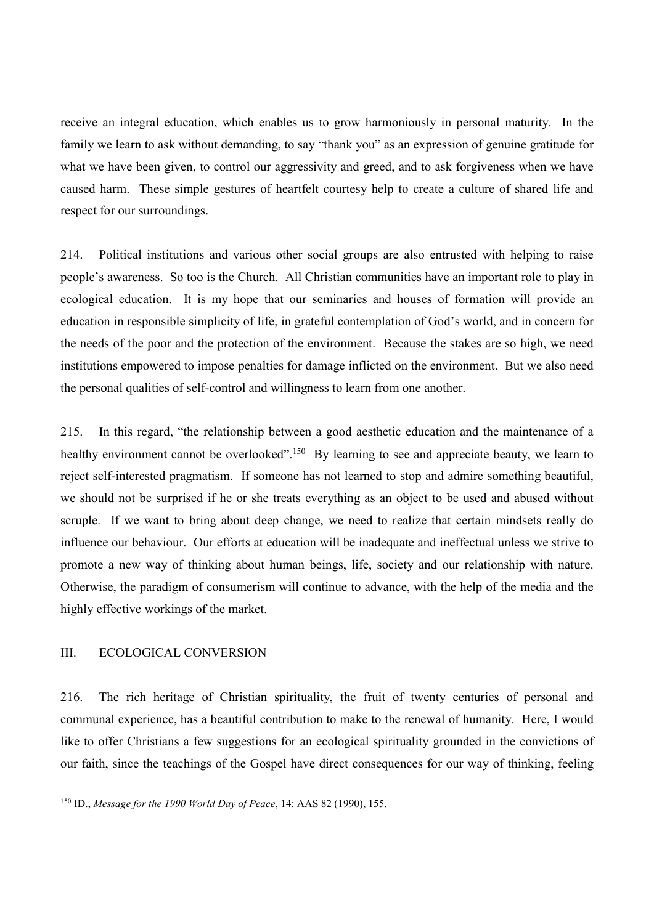receive an integral education, which enables us to grow harmoniously in personal maturity. In the family we learn to ask without demanding, to say "thank you" as an expression of genuine gratitude for what we have been given, to control our aggressivity and greed, and to ask forgiveness when we have caused harm. These simple gestures of heartfelt courtesy help to create a culture of shared life and respect for our surroundings.

214. Political institutions and various other social groups are also entrusted with helping to raise people's awareness. So too is the Church. All Christian communities have an important role to play in ecological education. It is my hope that our seminaries and houses of formation will provide an education in responsible simplicity of life, in grateful contemplation of God's world, and in concern for the needs of the poor and the protection of the environment. Because the stakes are so high, we need institutions empowered to impose penalties for damage inflicted on the environment. But we also need the personal qualities of self-control and willingness to learn from one another.

215. In this regard, "the relationship between a good aesthetic education and the maintenance of a healthy environment cannot be overlooked".<sup>150</sup> By learning to see and appreciate beauty, we learn to reject self-interested pragmatism. If someone has not learned to stop and admire something beautiful, we should not be surprised if he or she treats everything as an object to be used and abused without scruple. If we want to bring about deep change, we need to realize that certain mindsets really do influence our behaviour. Our efforts at education will be inadequate and ineffectual unless we strive to promote a new way of thinking about human beings, life, society and our relationship with nature. Otherwise, the paradigm of consumerism will continue to advance, with the help of the media and the highly effective workings of the market.

# III. ECOLOGICAL CONVERSION

216. The rich heritage of Christian spirituality, the fruit of twenty centuries of personal and communal experience, has a beautiful contribution to make to the renewal of humanity. Here, I would like to offer Christians a few suggestions for an ecological spirituality grounded in the convictions of our faith, since the teachings of the Gospel have direct consequences for our way of thinking, feeling

 <sup>150</sup> ID., *Message for the 1990 World Day of Peace*, 14: AAS 82 (1990), 155.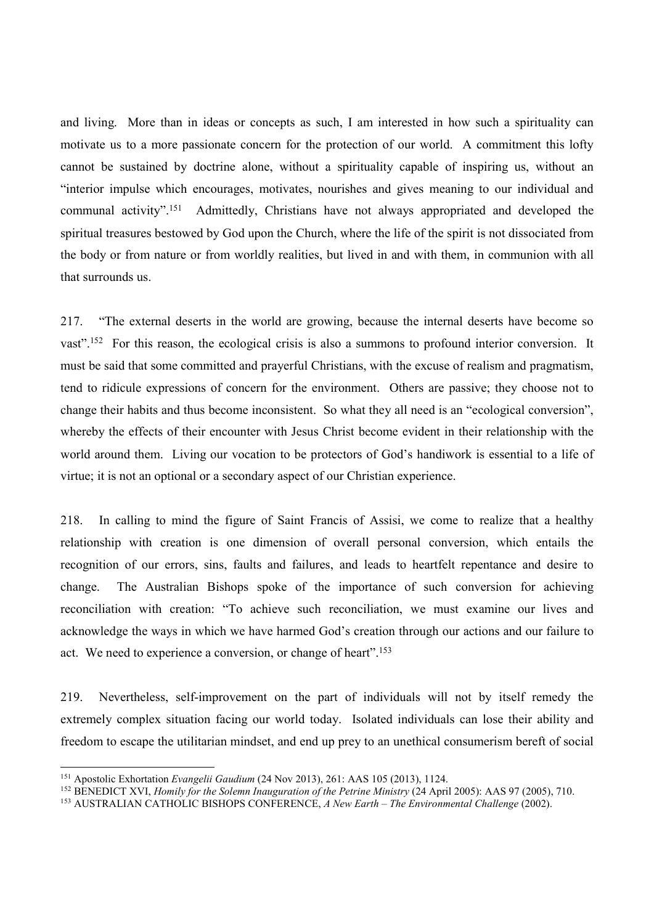and living. More than in ideas or concepts as such, I am interested in how such a spirituality can motivate us to a more passionate concern for the protection of our world. A commitment this lofty cannot be sustained by doctrine alone, without a spirituality capable of inspiring us, without an "interior impulse which encourages, motivates, nourishes and gives meaning to our individual and communal activity".151 Admittedly, Christians have not always appropriated and developed the spiritual treasures bestowed by God upon the Church, where the life of the spirit is not dissociated from the body or from nature or from worldly realities, but lived in and with them, in communion with all that surrounds us.

217. "The external deserts in the world are growing, because the internal deserts have become so vast".152 For this reason, the ecological crisis is also a summons to profound interior conversion. It must be said that some committed and prayerful Christians, with the excuse of realism and pragmatism, tend to ridicule expressions of concern for the environment. Others are passive; they choose not to change their habits and thus become inconsistent. So what they all need is an "ecological conversion", whereby the effects of their encounter with Jesus Christ become evident in their relationship with the world around them. Living our vocation to be protectors of God's handiwork is essential to a life of virtue; it is not an optional or a secondary aspect of our Christian experience.

218. In calling to mind the figure of Saint Francis of Assisi, we come to realize that a healthy relationship with creation is one dimension of overall personal conversion, which entails the recognition of our errors, sins, faults and failures, and leads to heartfelt repentance and desire to change. The Australian Bishops spoke of the importance of such conversion for achieving reconciliation with creation: "To achieve such reconciliation, we must examine our lives and acknowledge the ways in which we have harmed God's creation through our actions and our failure to act. We need to experience a conversion, or change of heart".153

219. Nevertheless, self-improvement on the part of individuals will not by itself remedy the extremely complex situation facing our world today. Isolated individuals can lose their ability and freedom to escape the utilitarian mindset, and end up prey to an unethical consumerism bereft of social

 <sup>151</sup> Apostolic Exhortation *Evangelii Gaudium* (24 Nov 2013), 261: AAS 105 (2013), 1124.

<sup>152</sup> BENEDICT XVI, *Homily for the Solemn Inauguration of the Petrine Ministry* (24 April 2005): AAS 97 (2005), 710.

<sup>153</sup> AUSTRALIAN CATHOLIC BISHOPS CONFERENCE, *A New Earth – The Environmental Challenge* (2002).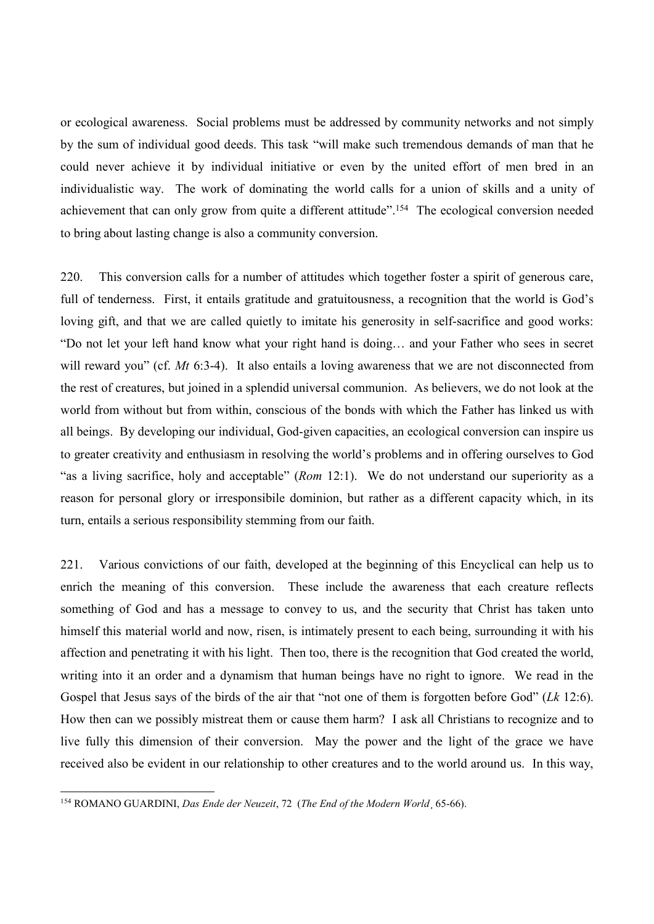or ecological awareness. Social problems must be addressed by community networks and not simply by the sum of individual good deeds. This task "will make such tremendous demands of man that he could never achieve it by individual initiative or even by the united effort of men bred in an individualistic way. The work of dominating the world calls for a union of skills and a unity of achievement that can only grow from quite a different attitude".154 The ecological conversion needed to bring about lasting change is also a community conversion.

220. This conversion calls for a number of attitudes which together foster a spirit of generous care, full of tenderness. First, it entails gratitude and gratuitousness, a recognition that the world is God's loving gift, and that we are called quietly to imitate his generosity in self-sacrifice and good works: "Do not let your left hand know what your right hand is doing… and your Father who sees in secret will reward you" (cf. *Mt* 6:3-4). It also entails a loving awareness that we are not disconnected from the rest of creatures, but joined in a splendid universal communion. As believers, we do not look at the world from without but from within, conscious of the bonds with which the Father has linked us with all beings. By developing our individual, God-given capacities, an ecological conversion can inspire us to greater creativity and enthusiasm in resolving the world's problems and in offering ourselves to God "as a living sacrifice, holy and acceptable" (*Rom* 12:1). We do not understand our superiority as a reason for personal glory or irresponsibile dominion, but rather as a different capacity which, in its turn, entails a serious responsibility stemming from our faith.

221. Various convictions of our faith, developed at the beginning of this Encyclical can help us to enrich the meaning of this conversion. These include the awareness that each creature reflects something of God and has a message to convey to us, and the security that Christ has taken unto himself this material world and now, risen, is intimately present to each being, surrounding it with his affection and penetrating it with his light. Then too, there is the recognition that God created the world, writing into it an order and a dynamism that human beings have no right to ignore. We read in the Gospel that Jesus says of the birds of the air that "not one of them is forgotten before God" (*Lk* 12:6). How then can we possibly mistreat them or cause them harm? I ask all Christians to recognize and to live fully this dimension of their conversion. May the power and the light of the grace we have received also be evident in our relationship to other creatures and to the world around us. In this way,

 <sup>154</sup> ROMANO GUARDINI, *Das Ende der Neuzeit*, 72 (*The End of the Modern World*¸ 65-66).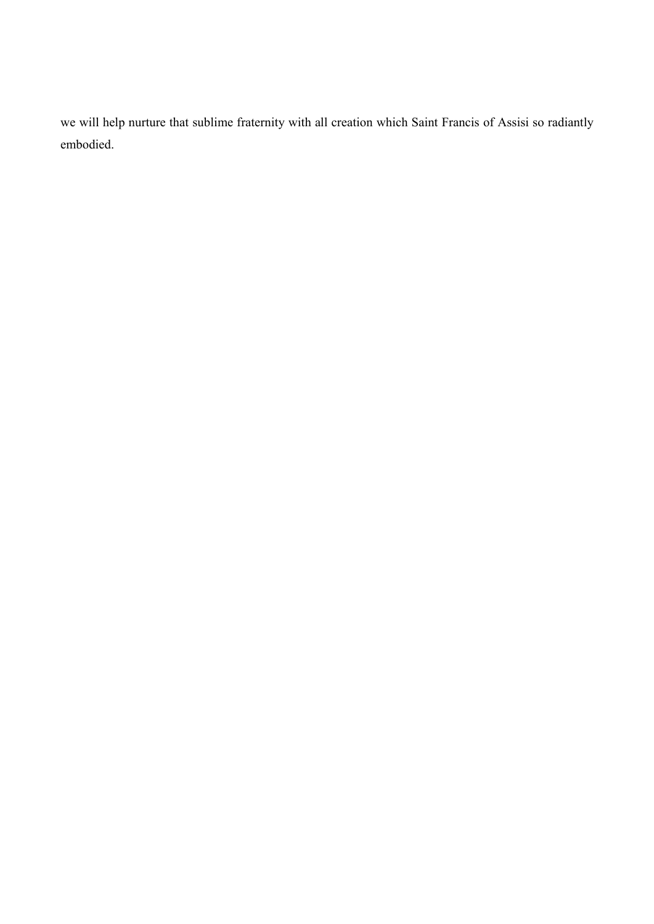we will help nurture that sublime fraternity with all creation which Saint Francis of Assisi so radiantly embodied.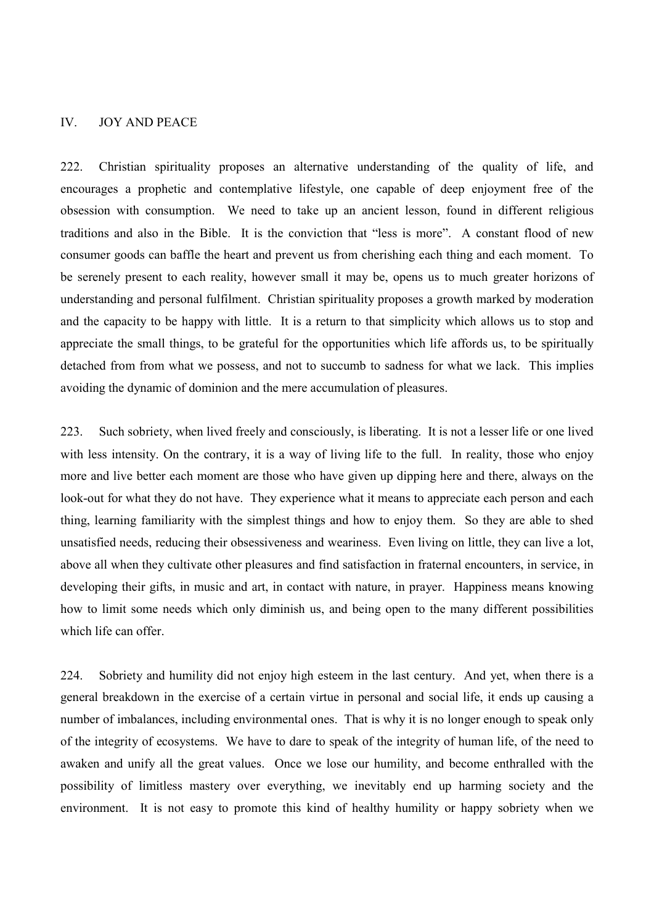#### IV. JOY AND PEACE

222. Christian spirituality proposes an alternative understanding of the quality of life, and encourages a prophetic and contemplative lifestyle, one capable of deep enjoyment free of the obsession with consumption. We need to take up an ancient lesson, found in different religious traditions and also in the Bible. It is the conviction that "less is more". A constant flood of new consumer goods can baffle the heart and prevent us from cherishing each thing and each moment. To be serenely present to each reality, however small it may be, opens us to much greater horizons of understanding and personal fulfilment. Christian spirituality proposes a growth marked by moderation and the capacity to be happy with little. It is a return to that simplicity which allows us to stop and appreciate the small things, to be grateful for the opportunities which life affords us, to be spiritually detached from from what we possess, and not to succumb to sadness for what we lack. This implies avoiding the dynamic of dominion and the mere accumulation of pleasures.

223. Such sobriety, when lived freely and consciously, is liberating. It is not a lesser life or one lived with less intensity. On the contrary, it is a way of living life to the full. In reality, those who enjoy more and live better each moment are those who have given up dipping here and there, always on the look-out for what they do not have. They experience what it means to appreciate each person and each thing, learning familiarity with the simplest things and how to enjoy them. So they are able to shed unsatisfied needs, reducing their obsessiveness and weariness. Even living on little, they can live a lot, above all when they cultivate other pleasures and find satisfaction in fraternal encounters, in service, in developing their gifts, in music and art, in contact with nature, in prayer. Happiness means knowing how to limit some needs which only diminish us, and being open to the many different possibilities which life can offer.

224. Sobriety and humility did not enjoy high esteem in the last century. And yet, when there is a general breakdown in the exercise of a certain virtue in personal and social life, it ends up causing a number of imbalances, including environmental ones. That is why it is no longer enough to speak only of the integrity of ecosystems. We have to dare to speak of the integrity of human life, of the need to awaken and unify all the great values. Once we lose our humility, and become enthralled with the possibility of limitless mastery over everything, we inevitably end up harming society and the environment. It is not easy to promote this kind of healthy humility or happy sobriety when we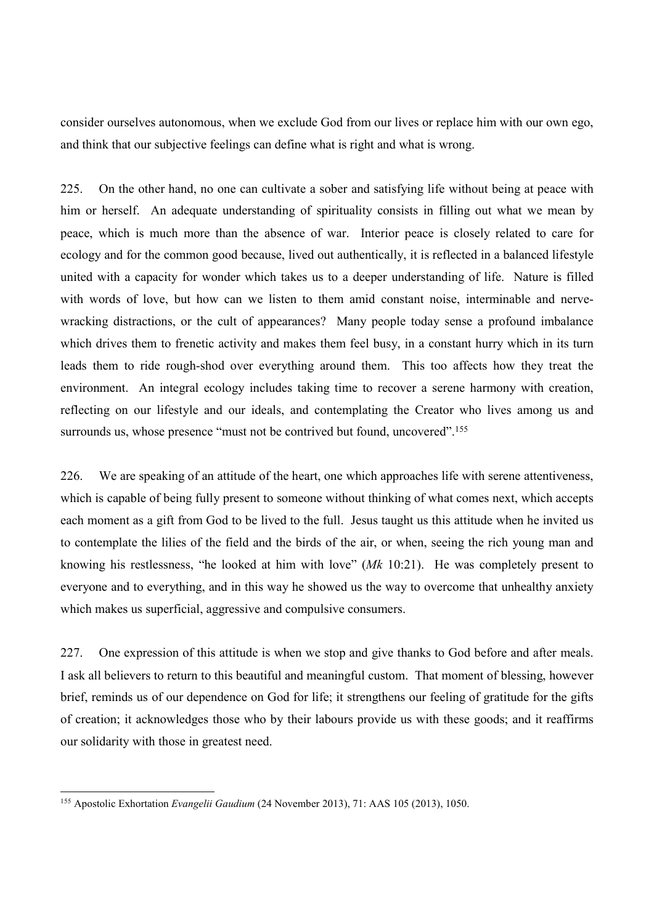consider ourselves autonomous, when we exclude God from our lives or replace him with our own ego, and think that our subjective feelings can define what is right and what is wrong.

225. On the other hand, no one can cultivate a sober and satisfying life without being at peace with him or herself. An adequate understanding of spirituality consists in filling out what we mean by peace, which is much more than the absence of war. Interior peace is closely related to care for ecology and for the common good because, lived out authentically, it is reflected in a balanced lifestyle united with a capacity for wonder which takes us to a deeper understanding of life. Nature is filled with words of love, but how can we listen to them amid constant noise, interminable and nervewracking distractions, or the cult of appearances? Many people today sense a profound imbalance which drives them to frenetic activity and makes them feel busy, in a constant hurry which in its turn leads them to ride rough-shod over everything around them. This too affects how they treat the environment. An integral ecology includes taking time to recover a serene harmony with creation, reflecting on our lifestyle and our ideals, and contemplating the Creator who lives among us and surrounds us, whose presence "must not be contrived but found, uncovered".<sup>155</sup>

226. We are speaking of an attitude of the heart, one which approaches life with serene attentiveness, which is capable of being fully present to someone without thinking of what comes next, which accepts each moment as a gift from God to be lived to the full. Jesus taught us this attitude when he invited us to contemplate the lilies of the field and the birds of the air, or when, seeing the rich young man and knowing his restlessness, "he looked at him with love" (*Mk* 10:21). He was completely present to everyone and to everything, and in this way he showed us the way to overcome that unhealthy anxiety which makes us superficial, aggressive and compulsive consumers.

227. One expression of this attitude is when we stop and give thanks to God before and after meals. I ask all believers to return to this beautiful and meaningful custom. That moment of blessing, however brief, reminds us of our dependence on God for life; it strengthens our feeling of gratitude for the gifts of creation; it acknowledges those who by their labours provide us with these goods; and it reaffirms our solidarity with those in greatest need.

 <sup>155</sup> Apostolic Exhortation *Evangelii Gaudium* (24 November 2013), 71: AAS 105 (2013), 1050.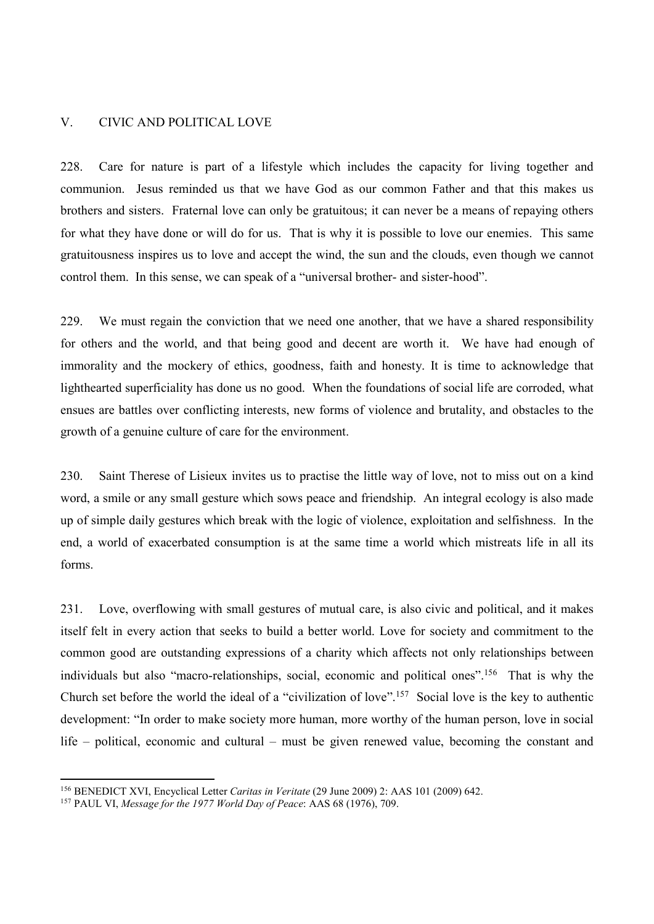### V. CIVIC AND POLITICAL LOVE

228. Care for nature is part of a lifestyle which includes the capacity for living together and communion. Jesus reminded us that we have God as our common Father and that this makes us brothers and sisters. Fraternal love can only be gratuitous; it can never be a means of repaying others for what they have done or will do for us. That is why it is possible to love our enemies. This same gratuitousness inspires us to love and accept the wind, the sun and the clouds, even though we cannot control them. In this sense, we can speak of a "universal brother- and sister-hood".

229. We must regain the conviction that we need one another, that we have a shared responsibility for others and the world, and that being good and decent are worth it. We have had enough of immorality and the mockery of ethics, goodness, faith and honesty. It is time to acknowledge that lighthearted superficiality has done us no good. When the foundations of social life are corroded, what ensues are battles over conflicting interests, new forms of violence and brutality, and obstacles to the growth of a genuine culture of care for the environment.

230. Saint Therese of Lisieux invites us to practise the little way of love, not to miss out on a kind word, a smile or any small gesture which sows peace and friendship. An integral ecology is also made up of simple daily gestures which break with the logic of violence, exploitation and selfishness. In the end, a world of exacerbated consumption is at the same time a world which mistreats life in all its forms.

231. Love, overflowing with small gestures of mutual care, is also civic and political, and it makes itself felt in every action that seeks to build a better world. Love for society and commitment to the common good are outstanding expressions of a charity which affects not only relationships between individuals but also "macro-relationships, social, economic and political ones".156 That is why the Church set before the world the ideal of a "civilization of love". 157 Social love is the key to authentic development: "In order to make society more human, more worthy of the human person, love in social life – political, economic and cultural – must be given renewed value, becoming the constant and

 <sup>156</sup> BENEDICT XVI, Encyclical Letter *Caritas in Veritate* (29 June 2009) 2: AAS 101 (2009) 642.

<sup>157</sup> PAUL VI, *Message for the 1977 World Day of Peace*: AAS 68 (1976), 709.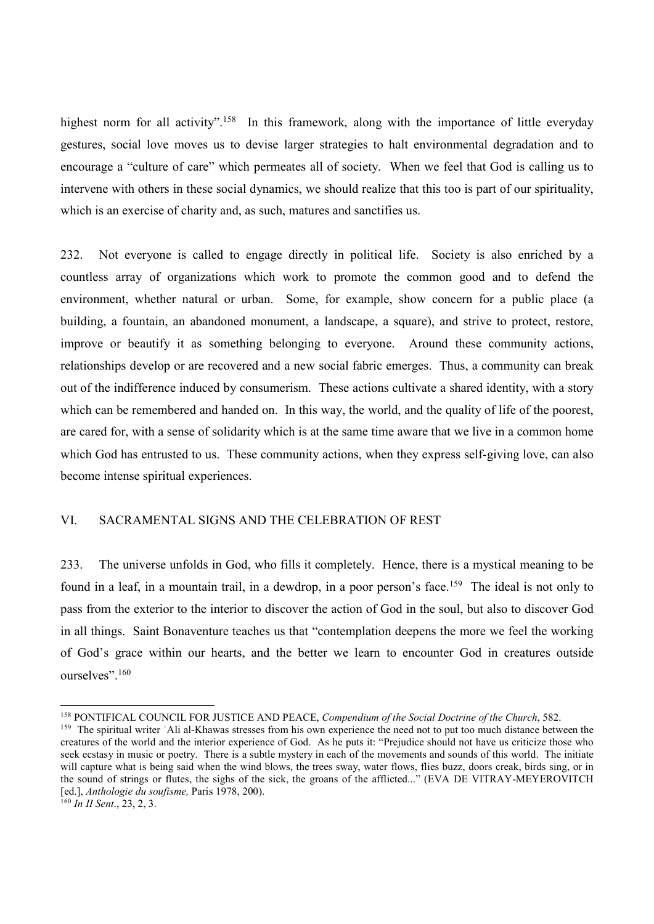highest norm for all activity".<sup>158</sup> In this framework, along with the importance of little everyday gestures, social love moves us to devise larger strategies to halt environmental degradation and to encourage a "culture of care" which permeates all of society. When we feel that God is calling us to intervene with others in these social dynamics, we should realize that this too is part of our spirituality, which is an exercise of charity and, as such, matures and sanctifies us.

232. Not everyone is called to engage directly in political life. Society is also enriched by a countless array of organizations which work to promote the common good and to defend the environment, whether natural or urban. Some, for example, show concern for a public place (a building, a fountain, an abandoned monument, a landscape, a square), and strive to protect, restore, improve or beautify it as something belonging to everyone. Around these community actions, relationships develop or are recovered and a new social fabric emerges. Thus, a community can break out of the indifference induced by consumerism. These actions cultivate a shared identity, with a story which can be remembered and handed on. In this way, the world, and the quality of life of the poorest, are cared for, with a sense of solidarity which is at the same time aware that we live in a common home which God has entrusted to us. These community actions, when they express self-giving love, can also become intense spiritual experiences.

# VI. SACRAMENTAL SIGNS AND THE CELEBRATION OF REST

233. The universe unfolds in God, who fills it completely. Hence, there is a mystical meaning to be found in a leaf, in a mountain trail, in a dewdrop, in a poor person's face.<sup>159</sup> The ideal is not only to pass from the exterior to the interior to discover the action of God in the soul, but also to discover God in all things. Saint Bonaventure teaches us that "contemplation deepens the more we feel the working of God's grace within our hearts, and the better we learn to encounter God in creatures outside ourselves". 160

 <sup>158</sup> PONTIFICAL COUNCIL FOR JUSTICE AND PEACE, *Compendium of the Social Doctrine of the Church*, 582.

<sup>&</sup>lt;sup>159</sup> The spiritual writer `Ali al-Khawas stresses from his own experience the need not to put too much distance between the creatures of the world and the interior experience of God. As he puts it: "Prejudice should not have us criticize those who seek ecstasy in music or poetry. There is a subtle mystery in each of the movements and sounds of this world. The initiate will capture what is being said when the wind blows, the trees sway, water flows, flies buzz, doors creak, birds sing, or in the sound of strings or flutes, the sighs of the sick, the groans of the afflicted..." (EVA DE VITRAY-MEYEROVITCH [ed.], *Anthologie du soufisme,* Paris 1978, 200).

<sup>160</sup> *In II Sent*., 23, 2, 3.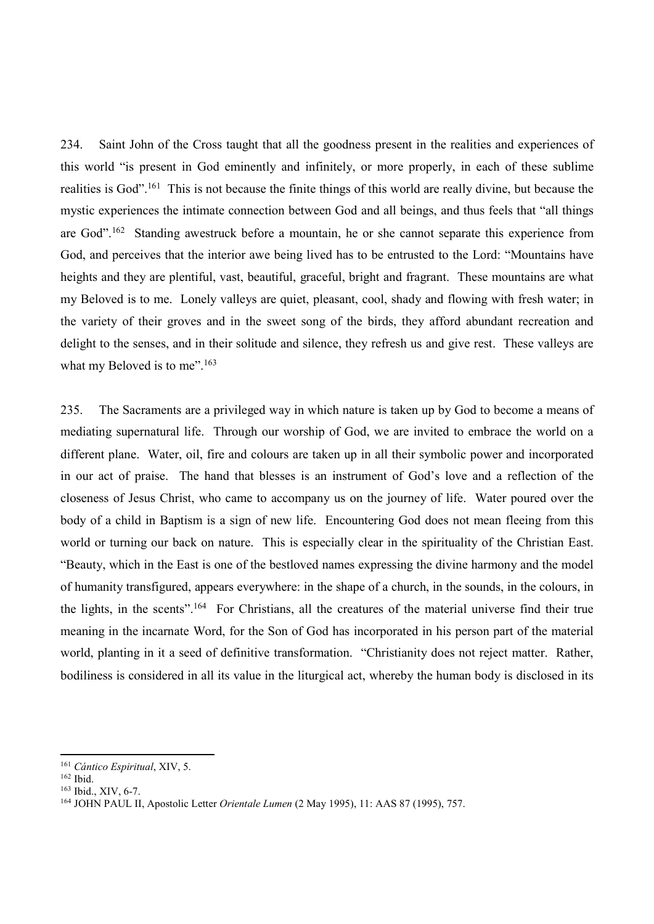234. Saint John of the Cross taught that all the goodness present in the realities and experiences of this world "is present in God eminently and infinitely, or more properly, in each of these sublime realities is God".<sup>161</sup> This is not because the finite things of this world are really divine, but because the mystic experiences the intimate connection between God and all beings, and thus feels that "all things are God".<sup>162</sup> Standing awestruck before a mountain, he or she cannot separate this experience from God, and perceives that the interior awe being lived has to be entrusted to the Lord: "Mountains have heights and they are plentiful, vast, beautiful, graceful, bright and fragrant. These mountains are what my Beloved is to me. Lonely valleys are quiet, pleasant, cool, shady and flowing with fresh water; in the variety of their groves and in the sweet song of the birds, they afford abundant recreation and delight to the senses, and in their solitude and silence, they refresh us and give rest. These valleys are what my Beloved is to me".<sup>163</sup>

235. The Sacraments are a privileged way in which nature is taken up by God to become a means of mediating supernatural life. Through our worship of God, we are invited to embrace the world on a different plane. Water, oil, fire and colours are taken up in all their symbolic power and incorporated in our act of praise. The hand that blesses is an instrument of God's love and a reflection of the closeness of Jesus Christ, who came to accompany us on the journey of life. Water poured over the body of a child in Baptism is a sign of new life. Encountering God does not mean fleeing from this world or turning our back on nature. This is especially clear in the spirituality of the Christian East. "Beauty, which in the East is one of the bestloved names expressing the divine harmony and the model of humanity transfigured, appears everywhere: in the shape of a church, in the sounds, in the colours, in the lights, in the scents".164 For Christians, all the creatures of the material universe find their true meaning in the incarnate Word, for the Son of God has incorporated in his person part of the material world, planting in it a seed of definitive transformation. "Christianity does not reject matter. Rather, bodiliness is considered in all its value in the liturgical act, whereby the human body is disclosed in its

 <sup>161</sup> *Cántico Espiritual*, XIV, 5.

<sup>162</sup> Ibid.

<sup>163</sup> Ibid., XIV, 6-7.

<sup>164</sup> JOHN PAUL II, Apostolic Letter *Orientale Lumen* (2 May 1995), 11: AAS 87 (1995), 757.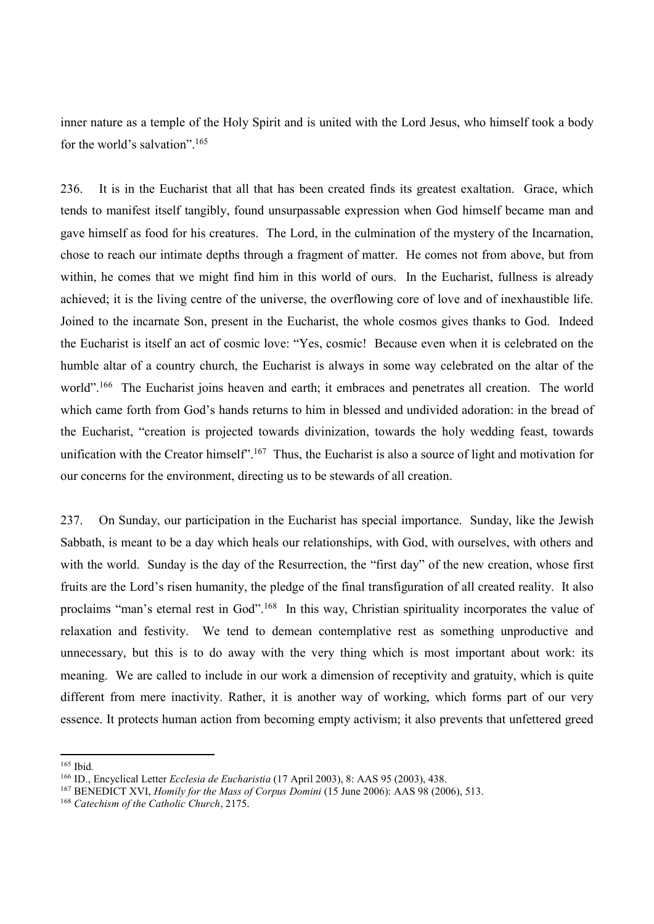inner nature as a temple of the Holy Spirit and is united with the Lord Jesus, who himself took a body for the world's salvation".165

236. It is in the Eucharist that all that has been created finds its greatest exaltation. Grace, which tends to manifest itself tangibly, found unsurpassable expression when God himself became man and gave himself as food for his creatures. The Lord, in the culmination of the mystery of the Incarnation, chose to reach our intimate depths through a fragment of matter. He comes not from above, but from within, he comes that we might find him in this world of ours. In the Eucharist, fullness is already achieved; it is the living centre of the universe, the overflowing core of love and of inexhaustible life. Joined to the incarnate Son, present in the Eucharist, the whole cosmos gives thanks to God. Indeed the Eucharist is itself an act of cosmic love: "Yes, cosmic! Because even when it is celebrated on the humble altar of a country church, the Eucharist is always in some way celebrated on the altar of the world".<sup>166</sup> The Eucharist joins heaven and earth; it embraces and penetrates all creation. The world which came forth from God's hands returns to him in blessed and undivided adoration: in the bread of the Eucharist, "creation is projected towards divinization, towards the holy wedding feast, towards unification with the Creator himself".<sup>167</sup> Thus, the Eucharist is also a source of light and motivation for our concerns for the environment, directing us to be stewards of all creation.

237. On Sunday, our participation in the Eucharist has special importance. Sunday, like the Jewish Sabbath, is meant to be a day which heals our relationships, with God, with ourselves, with others and with the world. Sunday is the day of the Resurrection, the "first day" of the new creation, whose first fruits are the Lord's risen humanity, the pledge of the final transfiguration of all created reality. It also proclaims "man's eternal rest in God".168 In this way, Christian spirituality incorporates the value of relaxation and festivity. We tend to demean contemplative rest as something unproductive and unnecessary, but this is to do away with the very thing which is most important about work: its meaning. We are called to include in our work a dimension of receptivity and gratuity, which is quite different from mere inactivity. Rather, it is another way of working, which forms part of our very essence. It protects human action from becoming empty activism; it also prevents that unfettered greed

 <sup>165</sup> Ibid*.*

<sup>166</sup> ID., Encyclical Letter *Ecclesia de Eucharistia* (17 April 2003), 8: AAS 95 (2003), 438.

<sup>167</sup> BENEDICT XVI, *Homily for the Mass of Corpus Domini* (15 June 2006): AAS 98 (2006), 513.

<sup>168</sup> *Catechism of the Catholic Church*, 2175.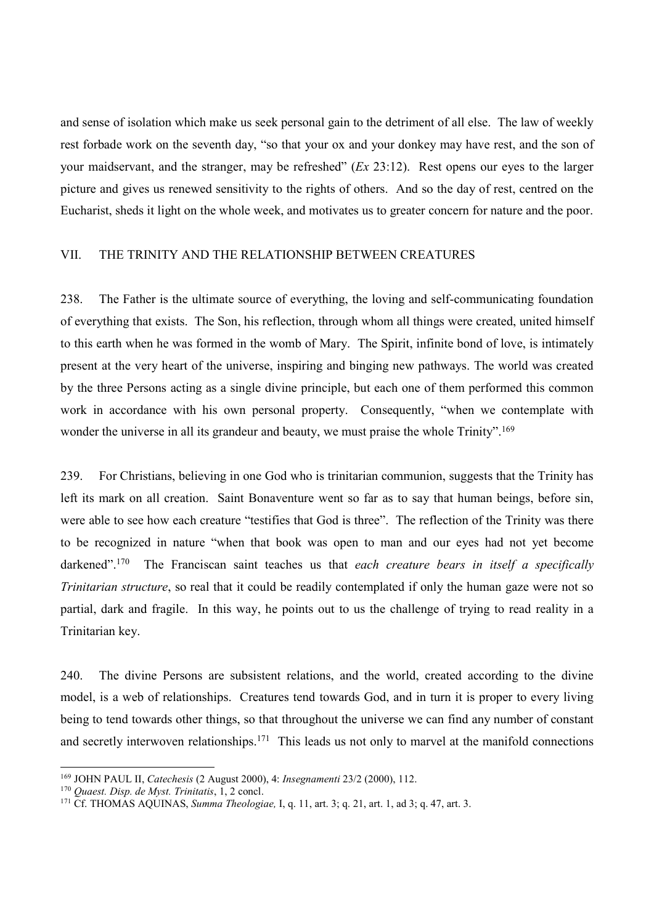and sense of isolation which make us seek personal gain to the detriment of all else. The law of weekly rest forbade work on the seventh day, "so that your ox and your donkey may have rest, and the son of your maidservant, and the stranger, may be refreshed" (*Ex* 23:12). Rest opens our eyes to the larger picture and gives us renewed sensitivity to the rights of others. And so the day of rest, centred on the Eucharist, sheds it light on the whole week, and motivates us to greater concern for nature and the poor.

# VII. THE TRINITY AND THE RELATIONSHIP BETWEEN CREATURES

238. The Father is the ultimate source of everything, the loving and self-communicating foundation of everything that exists. The Son, his reflection, through whom all things were created, united himself to this earth when he was formed in the womb of Mary. The Spirit, infinite bond of love, is intimately present at the very heart of the universe, inspiring and binging new pathways. The world was created by the three Persons acting as a single divine principle, but each one of them performed this common work in accordance with his own personal property. Consequently, "when we contemplate with wonder the universe in all its grandeur and beauty, we must praise the whole Trinity".<sup>169</sup>

239. For Christians, believing in one God who is trinitarian communion, suggests that the Trinity has left its mark on all creation. Saint Bonaventure went so far as to say that human beings, before sin, were able to see how each creature "testifies that God is three". The reflection of the Trinity was there to be recognized in nature "when that book was open to man and our eyes had not yet become darkened".<sup>170</sup> The Franciscan saint teaches us that *each creature bears in itself a specifically Trinitarian structure*, so real that it could be readily contemplated if only the human gaze were not so partial, dark and fragile. In this way, he points out to us the challenge of trying to read reality in a Trinitarian key.

240. The divine Persons are subsistent relations, and the world, created according to the divine model, is a web of relationships. Creatures tend towards God, and in turn it is proper to every living being to tend towards other things, so that throughout the universe we can find any number of constant and secretly interwoven relationships.<sup>171</sup> This leads us not only to marvel at the manifold connections

 <sup>169</sup> JOHN PAUL II, *Catechesis* (2 August 2000), 4: *Insegnamenti* 23/2 (2000), 112.

<sup>170</sup> *Quaest. Disp. de Myst. Trinitatis*, 1, 2 concl.

<sup>171</sup> Cf. THOMAS AQUINAS, *Summa Theologiae,* I, q. 11, art. 3; q. 21, art. 1, ad 3; q. 47, art. 3.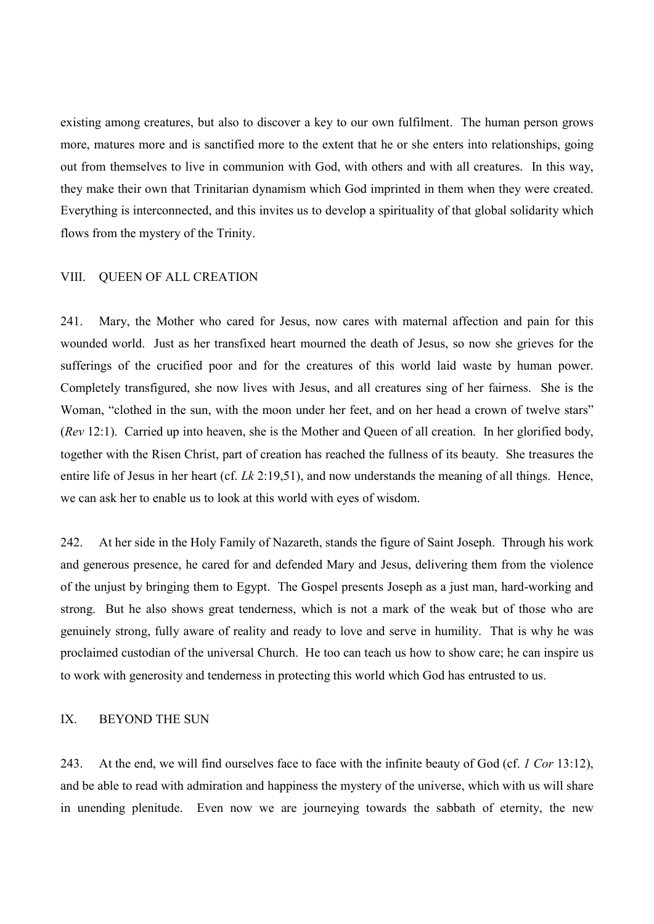existing among creatures, but also to discover a key to our own fulfilment. The human person grows more, matures more and is sanctified more to the extent that he or she enters into relationships, going out from themselves to live in communion with God, with others and with all creatures. In this way, they make their own that Trinitarian dynamism which God imprinted in them when they were created. Everything is interconnected, and this invites us to develop a spirituality of that global solidarity which flows from the mystery of the Trinity.

#### VIII. QUEEN OF ALL CREATION

241. Mary, the Mother who cared for Jesus, now cares with maternal affection and pain for this wounded world. Just as her transfixed heart mourned the death of Jesus, so now she grieves for the sufferings of the crucified poor and for the creatures of this world laid waste by human power. Completely transfigured, she now lives with Jesus, and all creatures sing of her fairness. She is the Woman, "clothed in the sun, with the moon under her feet, and on her head a crown of twelve stars" (*Rev* 12:1). Carried up into heaven, she is the Mother and Queen of all creation. In her glorified body, together with the Risen Christ, part of creation has reached the fullness of its beauty. She treasures the entire life of Jesus in her heart (cf. *Lk* 2:19,51), and now understands the meaning of all things. Hence, we can ask her to enable us to look at this world with eyes of wisdom.

242. At her side in the Holy Family of Nazareth, stands the figure of Saint Joseph. Through his work and generous presence, he cared for and defended Mary and Jesus, delivering them from the violence of the unjust by bringing them to Egypt. The Gospel presents Joseph as a just man, hard-working and strong. But he also shows great tenderness, which is not a mark of the weak but of those who are genuinely strong, fully aware of reality and ready to love and serve in humility. That is why he was proclaimed custodian of the universal Church. He too can teach us how to show care; he can inspire us to work with generosity and tenderness in protecting this world which God has entrusted to us.

## IX. BEYOND THE SUN

243. At the end, we will find ourselves face to face with the infinite beauty of God (cf. *1 Cor* 13:12), and be able to read with admiration and happiness the mystery of the universe, which with us will share in unending plenitude. Even now we are journeying towards the sabbath of eternity, the new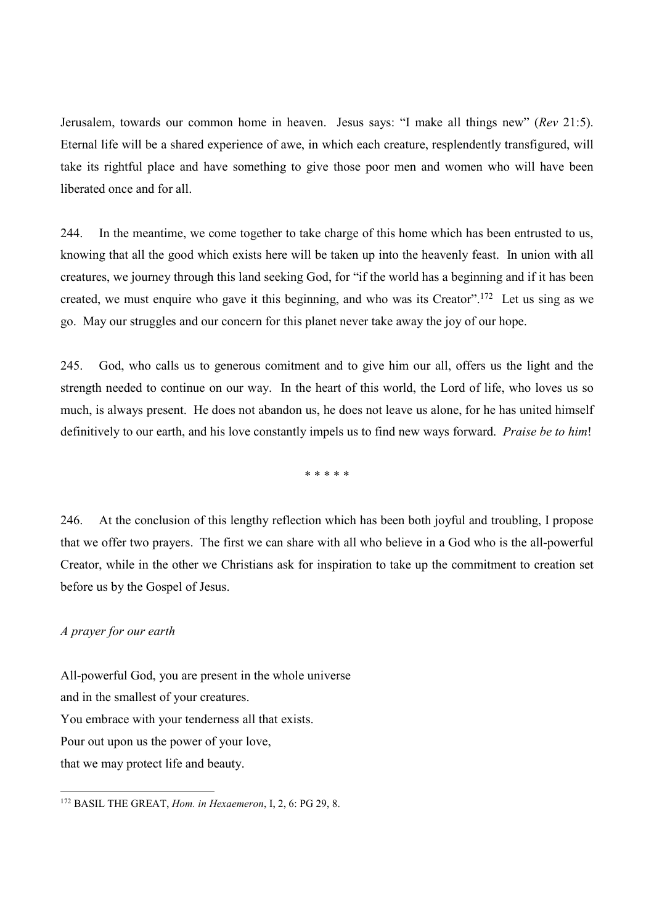Jerusalem, towards our common home in heaven. Jesus says: "I make all things new" (*Rev* 21:5). Eternal life will be a shared experience of awe, in which each creature, resplendently transfigured, will take its rightful place and have something to give those poor men and women who will have been liberated once and for all.

244. In the meantime, we come together to take charge of this home which has been entrusted to us, knowing that all the good which exists here will be taken up into the heavenly feast. In union with all creatures, we journey through this land seeking God, for "if the world has a beginning and if it has been created, we must enquire who gave it this beginning, and who was its Creator".172 Let us sing as we go. May our struggles and our concern for this planet never take away the joy of our hope.

245. God, who calls us to generous comitment and to give him our all, offers us the light and the strength needed to continue on our way. In the heart of this world, the Lord of life, who loves us so much, is always present. He does not abandon us, he does not leave us alone, for he has united himself definitively to our earth, and his love constantly impels us to find new ways forward. *Praise be to him*!

\* \* \* \* \*

246. At the conclusion of this lengthy reflection which has been both joyful and troubling, I propose that we offer two prayers. The first we can share with all who believe in a God who is the all-powerful Creator, while in the other we Christians ask for inspiration to take up the commitment to creation set before us by the Gospel of Jesus.

#### *A prayer for our earth*

All-powerful God, you are present in the whole universe and in the smallest of your creatures. You embrace with your tenderness all that exists. Pour out upon us the power of your love, that we may protect life and beauty.

 <sup>172</sup> BASIL THE GREAT, *Hom. in Hexaemeron*, I, 2, 6: PG 29, 8.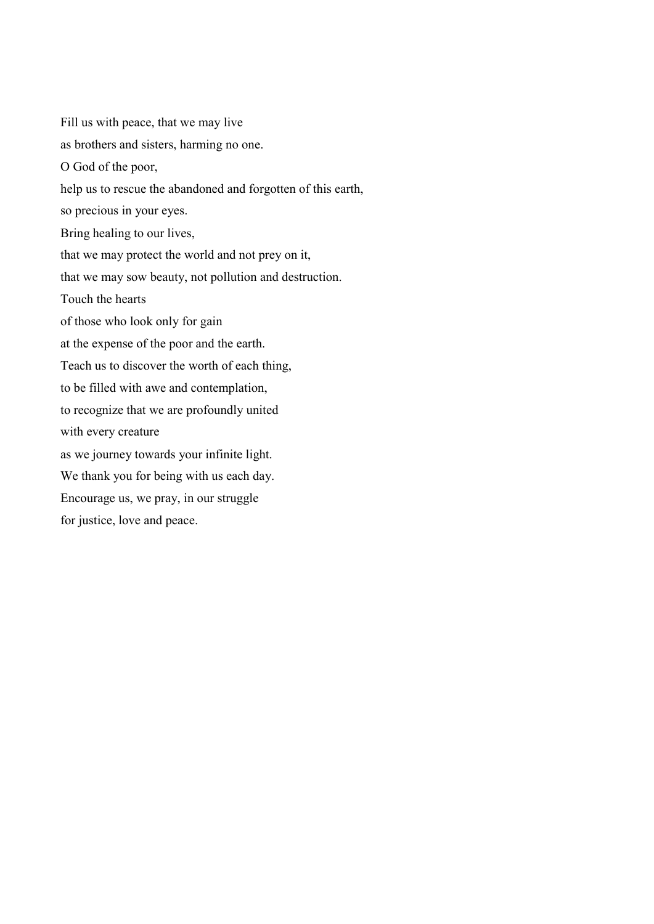Fill us with peace, that we may live as brothers and sisters, harming no one. O God of the poor, help us to rescue the abandoned and forgotten of this earth, so precious in your eyes. Bring healing to our lives, that we may protect the world and not prey on it, that we may sow beauty, not pollution and destruction. Touch the hearts of those who look only for gain at the expense of the poor and the earth. Teach us to discover the worth of each thing, to be filled with awe and contemplation, to recognize that we are profoundly united with every creature as we journey towards your infinite light. We thank you for being with us each day. Encourage us, we pray, in our struggle for justice, love and peace.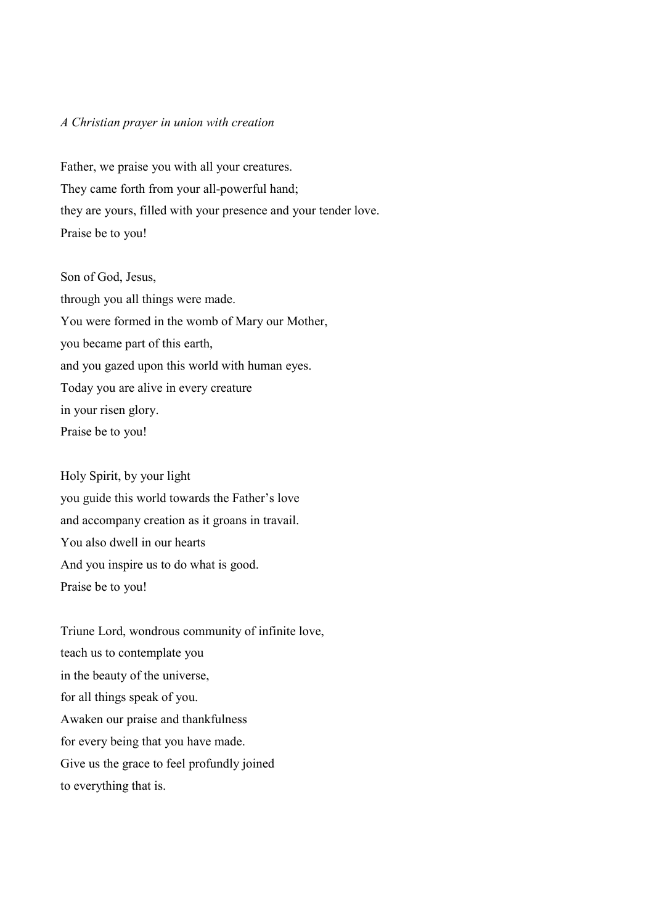#### *A Christian prayer in union with creation*

Father, we praise you with all your creatures. They came forth from your all-powerful hand; they are yours, filled with your presence and your tender love. Praise be to you!

Son of God, Jesus, through you all things were made. You were formed in the womb of Mary our Mother, you became part of this earth, and you gazed upon this world with human eyes. Today you are alive in every creature in your risen glory. Praise be to you!

Holy Spirit, by your light you guide this world towards the Father's love and accompany creation as it groans in travail. You also dwell in our hearts And you inspire us to do what is good. Praise be to you!

Triune Lord, wondrous community of infinite love, teach us to contemplate you in the beauty of the universe, for all things speak of you. Awaken our praise and thankfulness for every being that you have made. Give us the grace to feel profundly joined to everything that is.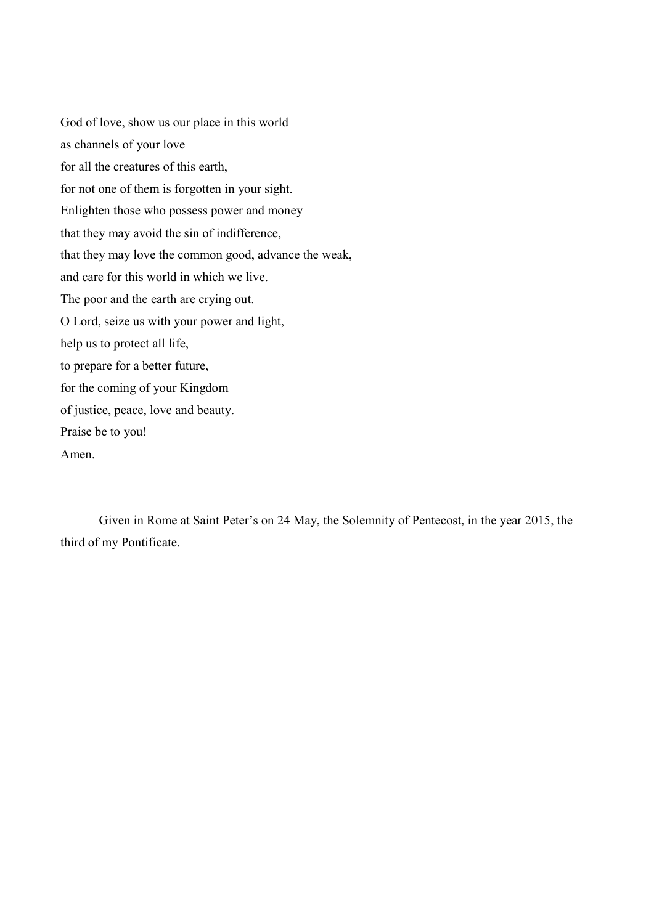God of love, show us our place in this world as channels of your love for all the creatures of this earth, for not one of them is forgotten in your sight. Enlighten those who possess power and money that they may avoid the sin of indifference, that they may love the common good, advance the weak, and care for this world in which we live. The poor and the earth are crying out. O Lord, seize us with your power and light, help us to protect all life, to prepare for a better future, for the coming of your Kingdom of justice, peace, love and beauty. Praise be to you! Amen.

Given in Rome at Saint Peter's on 24 May, the Solemnity of Pentecost, in the year 2015, the third of my Pontificate.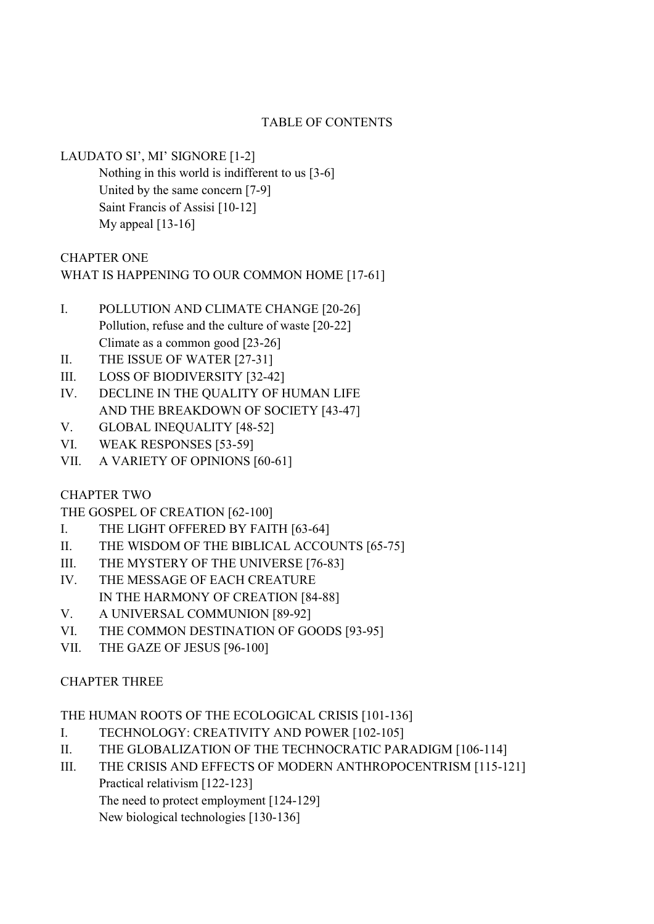# TABLE OF CONTENTS

# LAUDATO SI', MI' SIGNORE [1-2]

Nothing in this world is indifferent to us [3-6] United by the same concern [7-9] Saint Francis of Assisi [10-12] My appeal  $[13-16]$ 

# CHAPTER ONE

WHAT IS HAPPENING TO OUR COMMON HOME [17-61]

- I. POLLUTION AND CLIMATE CHANGE [20-26] Pollution, refuse and the culture of waste [20-22] Climate as a common good [23-26]
- II. THE ISSUE OF WATER [27-31]
- III. LOSS OF BIODIVERSITY [32-42]
- IV. DECLINE IN THE QUALITY OF HUMAN LIFE AND THE BREAKDOWN OF SOCIETY [43-47]
- V. GLOBAL INEQUALITY [48-52]
- VI. WEAK RESPONSES [53-59]
- VII. A VARIETY OF OPINIONS [60-61]

# CHAPTER TWO

THE GOSPEL OF CREATION [62-100]

- I. THE LIGHT OFFERED BY FAITH [63-64]
- II. THE WISDOM OF THE BIBLICAL ACCOUNTS [65-75]
- III. THE MYSTERY OF THE UNIVERSE [76-83]
- IV. THE MESSAGE OF EACH CREATURE
	- IN THE HARMONY OF CREATION [84-88]
- V. A UNIVERSAL COMMUNION [89-92]
- VI. THE COMMON DESTINATION OF GOODS [93-95]
- VII. THE GAZE OF JESUS [96-100]

# CHAPTER THREE

# THE HUMAN ROOTS OF THE ECOLOGICAL CRISIS [101-136]

- I. TECHNOLOGY: CREATIVITY AND POWER [102-105]
- II. THE GLOBALIZATION OF THE TECHNOCRATIC PARADIGM [106-114]
- III. THE CRISIS AND EFFECTS OF MODERN ANTHROPOCENTRISM [115-121] Practical relativism [122-123]

The need to protect employment [124-129]

New biological technologies [130-136]